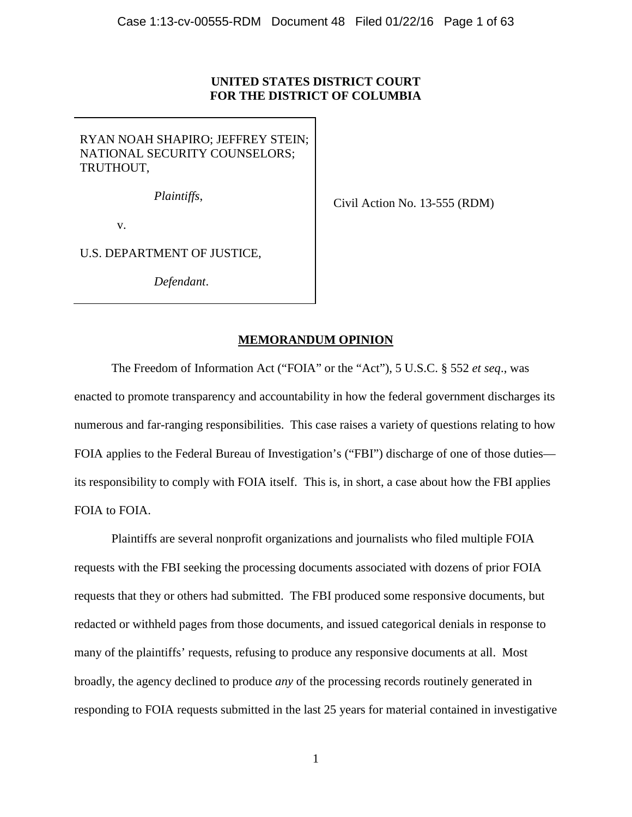# **UNITED STATES DISTRICT COURT FOR THE DISTRICT OF COLUMBIA**

RYAN NOAH SHAPIRO; JEFFREY STEIN; NATIONAL SECURITY COUNSELORS; TRUTHOUT,

*Plaintiffs*,

Civil Action No. 13-555 (RDM)

v.

U.S. DEPARTMENT OF JUSTICE,

*Defendant*.

# **MEMORANDUM OPINION**

The Freedom of Information Act ("FOIA" or the "Act"), 5 U.S.C. § 552 *et seq*., was enacted to promote transparency and accountability in how the federal government discharges its numerous and far-ranging responsibilities. This case raises a variety of questions relating to how FOIA applies to the Federal Bureau of Investigation's ("FBI") discharge of one of those duties its responsibility to comply with FOIA itself. This is, in short, a case about how the FBI applies FOIA to FOIA.

Plaintiffs are several nonprofit organizations and journalists who filed multiple FOIA requests with the FBI seeking the processing documents associated with dozens of prior FOIA requests that they or others had submitted. The FBI produced some responsive documents, but redacted or withheld pages from those documents, and issued categorical denials in response to many of the plaintiffs' requests, refusing to produce any responsive documents at all. Most broadly, the agency declined to produce *any* of the processing records routinely generated in responding to FOIA requests submitted in the last 25 years for material contained in investigative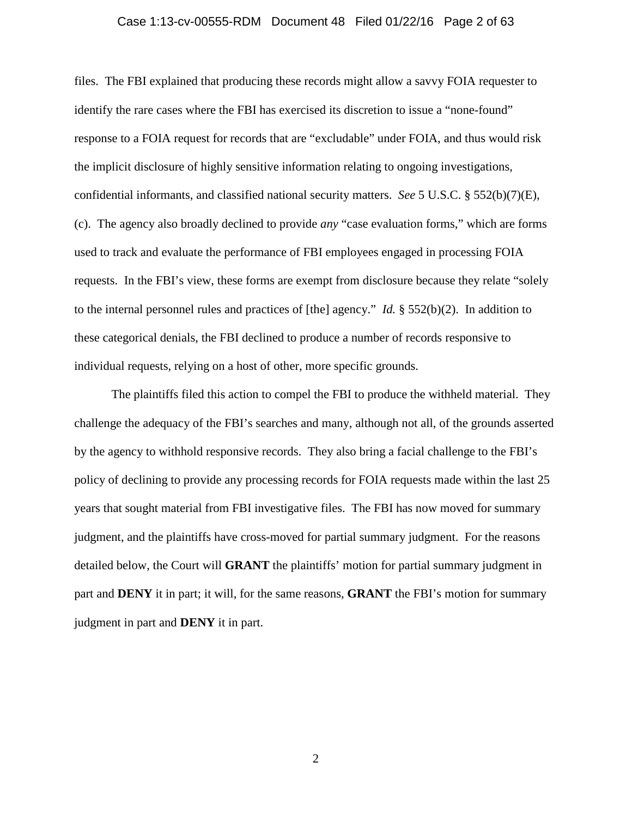### Case 1:13-cv-00555-RDM Document 48 Filed 01/22/16 Page 2 of 63

files. The FBI explained that producing these records might allow a savvy FOIA requester to identify the rare cases where the FBI has exercised its discretion to issue a "none-found" response to a FOIA request for records that are "excludable" under FOIA, and thus would risk the implicit disclosure of highly sensitive information relating to ongoing investigations, confidential informants, and classified national security matters. *See* 5 U.S.C. § 552(b)(7)(E), (c). The agency also broadly declined to provide *any* "case evaluation forms," which are forms used to track and evaluate the performance of FBI employees engaged in processing FOIA requests. In the FBI's view, these forms are exempt from disclosure because they relate "solely to the internal personnel rules and practices of [the] agency." *Id.* § 552(b)(2). In addition to these categorical denials, the FBI declined to produce a number of records responsive to individual requests, relying on a host of other, more specific grounds.

The plaintiffs filed this action to compel the FBI to produce the withheld material. They challenge the adequacy of the FBI's searches and many, although not all, of the grounds asserted by the agency to withhold responsive records. They also bring a facial challenge to the FBI's policy of declining to provide any processing records for FOIA requests made within the last 25 years that sought material from FBI investigative files. The FBI has now moved for summary judgment, and the plaintiffs have cross-moved for partial summary judgment. For the reasons detailed below, the Court will **GRANT** the plaintiffs' motion for partial summary judgment in part and **DENY** it in part; it will, for the same reasons, **GRANT** the FBI's motion for summary judgment in part and **DENY** it in part.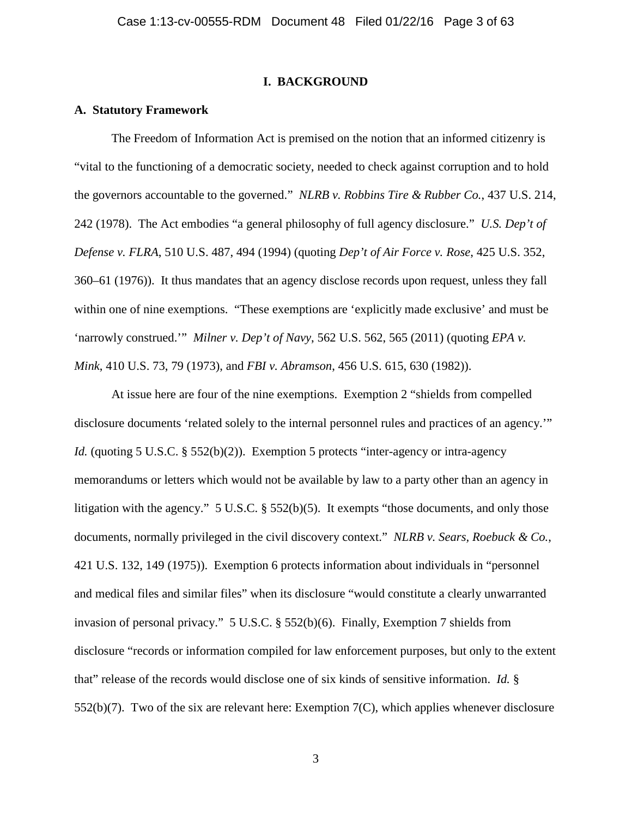## **I. BACKGROUND**

## **A. Statutory Framework**

The Freedom of Information Act is premised on the notion that an informed citizenry is "vital to the functioning of a democratic society, needed to check against corruption and to hold the governors accountable to the governed." *NLRB v. Robbins Tire & Rubber Co.*, 437 U.S. 214, 242 (1978). The Act embodies "a general philosophy of full agency disclosure." *U.S. Dep't of Defense v. FLRA*, 510 U.S. 487, 494 (1994) (quoting *Dep't of Air Force v. Rose*, 425 U.S. 352, 360–61 (1976)). It thus mandates that an agency disclose records upon request, unless they fall within one of nine exemptions. "These exemptions are 'explicitly made exclusive' and must be 'narrowly construed.'" *Milner v. Dep't of Navy*, 562 U.S. 562, 565 (2011) (quoting *EPA v. Mink*, 410 U.S. 73, 79 (1973), and *FBI v. Abramson*, 456 U.S. 615, 630 (1982)).

At issue here are four of the nine exemptions. Exemption 2 "shields from compelled disclosure documents 'related solely to the internal personnel rules and practices of an agency.'" *Id.* (quoting 5 U.S.C. § 552(b)(2)). Exemption 5 protects "inter-agency or intra-agency memorandums or letters which would not be available by law to a party other than an agency in litigation with the agency." 5 U.S.C. § 552(b)(5). It exempts "those documents, and only those documents, normally privileged in the civil discovery context." *NLRB v. Sears, Roebuck & Co.*, 421 U.S. 132, 149 (1975)). Exemption 6 protects information about individuals in "personnel and medical files and similar files" when its disclosure "would constitute a clearly unwarranted invasion of personal privacy." 5 U.S.C. § 552(b)(6). Finally, Exemption 7 shields from disclosure "records or information compiled for law enforcement purposes, but only to the extent that" release of the records would disclose one of six kinds of sensitive information. *Id.* § 552(b)(7). Two of the six are relevant here: Exemption 7(C), which applies whenever disclosure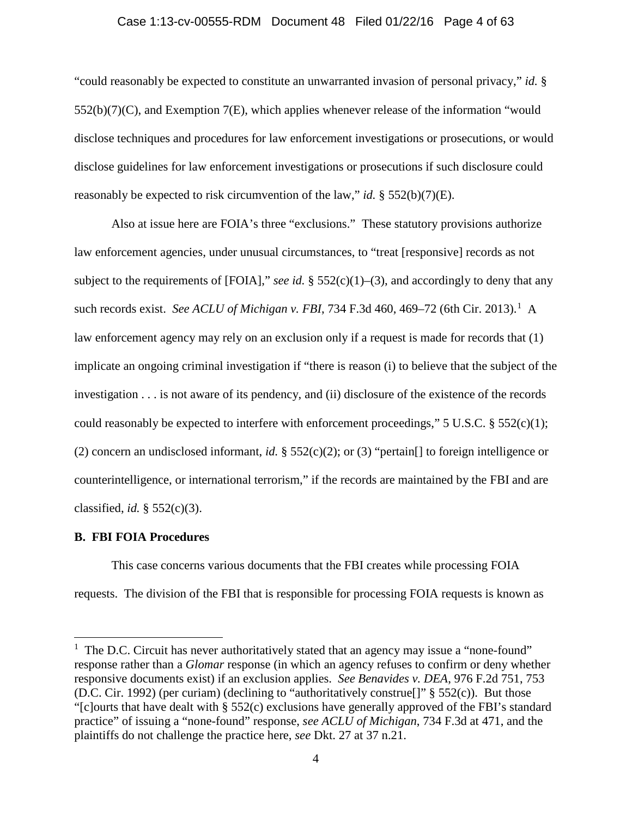## Case 1:13-cv-00555-RDM Document 48 Filed 01/22/16 Page 4 of 63

"could reasonably be expected to constitute an unwarranted invasion of personal privacy," *id.* §  $552(b)(7)(C)$ , and Exemption  $7(E)$ , which applies whenever release of the information "would" disclose techniques and procedures for law enforcement investigations or prosecutions, or would disclose guidelines for law enforcement investigations or prosecutions if such disclosure could reasonably be expected to risk circumvention of the law," *id.* § 552(b)(7)(E).

Also at issue here are FOIA's three "exclusions." These statutory provisions authorize law enforcement agencies, under unusual circumstances, to "treat [responsive] records as not subject to the requirements of [FOIA]," *see id.* § 552(c)(1)–(3), and accordingly to deny that any such records exist. *See ACLU of Michigan v. FBI*, 734 F.3d 460, 469–72 (6th Cir. 20[1](#page-3-0)3).<sup>1</sup> A law enforcement agency may rely on an exclusion only if a request is made for records that (1) implicate an ongoing criminal investigation if "there is reason (i) to believe that the subject of the investigation . . . is not aware of its pendency, and (ii) disclosure of the existence of the records could reasonably be expected to interfere with enforcement proceedings,"  $5 \text{ U.S.C.}$   $\S 552(c)(1)$ ; (2) concern an undisclosed informant, *id.* § 552(c)(2); or (3) "pertain[] to foreign intelligence or counterintelligence, or international terrorism," if the records are maintained by the FBI and are classified, *id.*  $\S$  552(c)(3).

#### **B. FBI FOIA Procedures**

 $\overline{a}$ 

This case concerns various documents that the FBI creates while processing FOIA requests. The division of the FBI that is responsible for processing FOIA requests is known as

<span id="page-3-0"></span><sup>&</sup>lt;sup>1</sup> The D.C. Circuit has never authoritatively stated that an agency may issue a "none-found" response rather than a *Glomar* response (in which an agency refuses to confirm or deny whether responsive documents exist) if an exclusion applies. *See Benavides v. DEA*, 976 F.2d 751, 753 (D.C. Cir. 1992) (per curiam) (declining to "authoritatively construe[]" § 552(c)). But those "[c]ourts that have dealt with § 552(c) exclusions have generally approved of the FBI's standard practice" of issuing a "none-found" response, *see ACLU of Michigan*, 734 F.3d at 471, and the plaintiffs do not challenge the practice here, *see* Dkt. 27 at 37 n.21.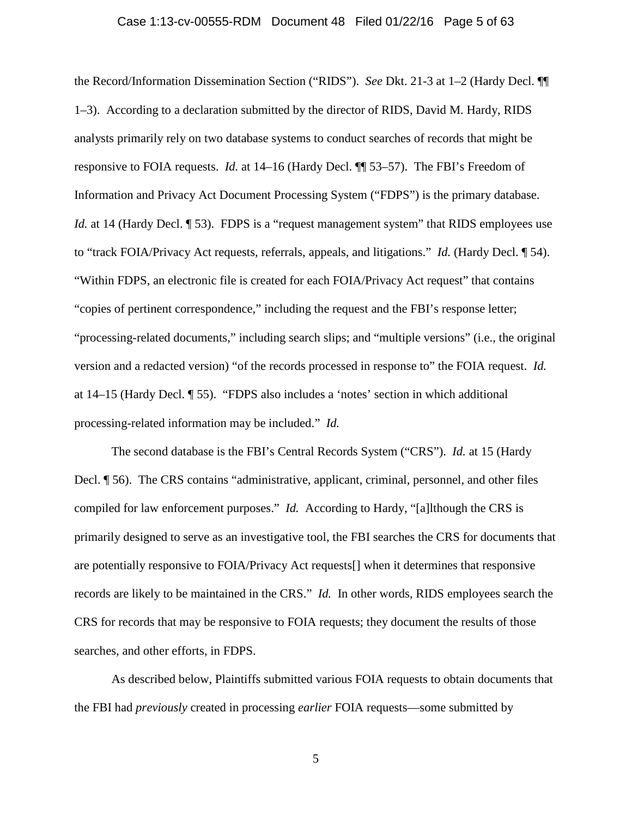### Case 1:13-cv-00555-RDM Document 48 Filed 01/22/16 Page 5 of 63

the Record/Information Dissemination Section ("RIDS"). *See* Dkt. 21-3 at 1–2 (Hardy Decl. ¶¶ 1–3). According to a declaration submitted by the director of RIDS, David M. Hardy, RIDS analysts primarily rely on two database systems to conduct searches of records that might be responsive to FOIA requests. *Id.* at 14–16 (Hardy Decl. ¶¶ 53–57). The FBI's Freedom of Information and Privacy Act Document Processing System ("FDPS") is the primary database. *Id.* at 14 (Hardy Decl. 153). FDPS is a "request management system" that RIDS employees use to "track FOIA/Privacy Act requests, referrals, appeals, and litigations." *Id.* (Hardy Decl. ¶ 54). "Within FDPS, an electronic file is created for each FOIA/Privacy Act request" that contains "copies of pertinent correspondence," including the request and the FBI's response letter; "processing-related documents," including search slips; and "multiple versions" (i.e., the original version and a redacted version) "of the records processed in response to" the FOIA request. *Id.* at 14–15 (Hardy Decl. ¶ 55). "FDPS also includes a 'notes' section in which additional processing-related information may be included." *Id.*

The second database is the FBI's Central Records System ("CRS"). *Id.* at 15 (Hardy Decl. ¶ 56). The CRS contains "administrative, applicant, criminal, personnel, and other files compiled for law enforcement purposes." *Id.* According to Hardy, "[a]lthough the CRS is primarily designed to serve as an investigative tool, the FBI searches the CRS for documents that are potentially responsive to FOIA/Privacy Act requests[] when it determines that responsive records are likely to be maintained in the CRS." *Id.* In other words, RIDS employees search the CRS for records that may be responsive to FOIA requests; they document the results of those searches, and other efforts, in FDPS.

As described below, Plaintiffs submitted various FOIA requests to obtain documents that the FBI had *previously* created in processing *earlier* FOIA requests—some submitted by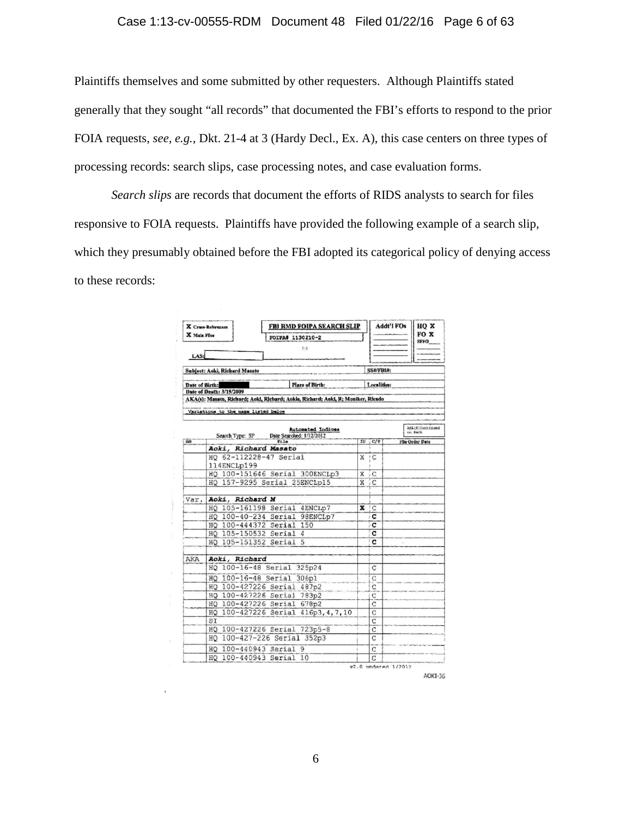## Case 1:13-cv-00555-RDM Document 48 Filed 01/22/16 Page 6 of 63

Plaintiffs themselves and some submitted by other requesters. Although Plaintiffs stated generally that they sought "all records" that documented the FBI's efforts to respond to the prior FOIA requests, *see, e.g.*, Dkt. 21-4 at 3 (Hardy Decl., Ex. A), this case centers on three types of processing records: search slips, case processing notes, and case evaluation forms.

*Search slips* are records that document the efforts of RIDS analysts to search for files responsive to FOIA requests. Plaintiffs have provided the following example of a search slip, which they presumably obtained before the FBI adopted its categorical policy of denying access to these records:

|                | FBI RMD FOIPA SEARCH SLIP<br><b>X</b> Crass-References                                                       |   |                          | Addt'l FOs | HO X                           |
|----------------|--------------------------------------------------------------------------------------------------------------|---|--------------------------|------------|--------------------------------|
| X Main Files   | FOIPA# 1130210-2                                                                                             |   |                          |            | FO <sub>x</sub><br><b>SFFO</b> |
|                | b.8                                                                                                          |   |                          |            |                                |
| LAS:           |                                                                                                              |   |                          |            |                                |
|                | Subject: Aoki, Richard Masato                                                                                |   | <b>SS#/FBI#:</b>         |            |                                |
| Date of Birth: | <b>Place of Birth:</b>                                                                                       |   | Localities:              |            |                                |
|                | Date of Death: 3/15/2009<br>AKA(s): Masato, Richard; Aokl, Richard; Aokie, Richard; Aoki, R; Moniker, Ricado |   |                          |            |                                |
|                |                                                                                                              |   |                          |            |                                |
|                | Variations to the name listed below                                                                          |   |                          |            |                                |
|                | Automated Indices<br>Date Searched: 1/12/2012<br>Search Type: SP                                             |   |                          |            | AKA(S)Continued<br>on Back     |
| <b>BB</b>      | P10                                                                                                          |   | $ID$ $C/P$               |            | <b>File Order Date</b>         |
|                | Aoki, Richard Masato                                                                                         |   |                          |            |                                |
|                | HQ 62-112228-47 Serial<br>114ENCLp199                                                                        |   | X C                      |            |                                |
|                | HQ 100-151646 Serial 300ENCLp3                                                                               |   | X C                      |            |                                |
|                | HQ 157-9295 Serial 25ENCLp15                                                                                 |   | X C                      |            |                                |
|                |                                                                                                              |   |                          |            |                                |
| Var.           | Aoki, Richard M                                                                                              |   |                          |            |                                |
|                | HQ 105-161198 Serial 4ENCLp7                                                                                 | x | ₹C                       |            |                                |
|                | HQ 100-40-234 Serial 98ENCLp7                                                                                |   | c                        |            |                                |
|                | HQ 100-444372 Serial 150                                                                                     |   | c                        |            |                                |
|                | HQ 105-150532 Serial 4<br>HQ 105-151352 Serial 5                                                             |   | c<br>c                   |            |                                |
|                |                                                                                                              |   |                          |            |                                |
| AKA            | Aoki, Richard                                                                                                |   |                          |            |                                |
|                | HQ 100-16-48 Serial 325p24                                                                                   |   | C                        |            |                                |
|                | HQ 100-16-48 Serial 306pl                                                                                    |   | Ć                        |            |                                |
|                | HQ 100-427226 Serial 487p2                                                                                   |   | C                        |            |                                |
|                | HQ 100-427226 Serial 783p2                                                                                   |   | Ċ                        |            |                                |
|                | HQ 100-427226 Serial 678p2                                                                                   |   | $\overline{C}$           |            |                                |
|                | HQ 100-427226 Serial 416p3, 4, 7, 10                                                                         |   | C                        |            |                                |
|                | SI                                                                                                           |   | Ċ                        |            |                                |
|                | HQ 100-427226 Serial 723p5-8<br>HO 100-427-226 Serial 352p3                                                  |   | C                        |            |                                |
|                |                                                                                                              |   | C                        |            |                                |
|                | HQ 100-440943 Serial 9                                                                                       |   | C                        |            |                                |
|                | HO 100-440943 Serial 10                                                                                      |   | C<br>v7.0 undated 1/2012 |            |                                |

AOKI-36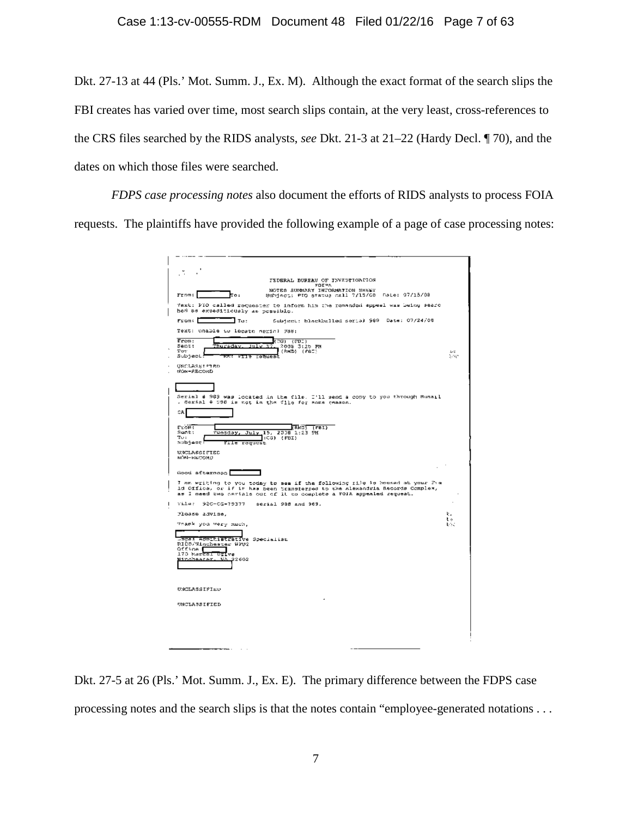## Case 1:13-cv-00555-RDM Document 48 Filed 01/22/16 Page 7 of 63

Dkt. 27-13 at 44 (Pls.' Mot. Summ. J., Ex. M). Although the exact format of the search slips the FBI creates has varied over time, most search slips contain, at the very least, cross-references to the CRS files searched by the RIDS analysts, *see* Dkt. 21-3 at 21–22 (Hardy Decl. ¶ 70), and the dates on which those files were searched.

*FDPS case processing notes* also document the efforts of RIDS analysts to process FOIA requests. The plaintiffs have provided the following example of a page of case processing notes:



Dkt. 27-5 at 26 (Pls.' Mot. Summ. J., Ex. E). The primary difference between the FDPS case processing notes and the search slips is that the notes contain "employee-generated notations . . .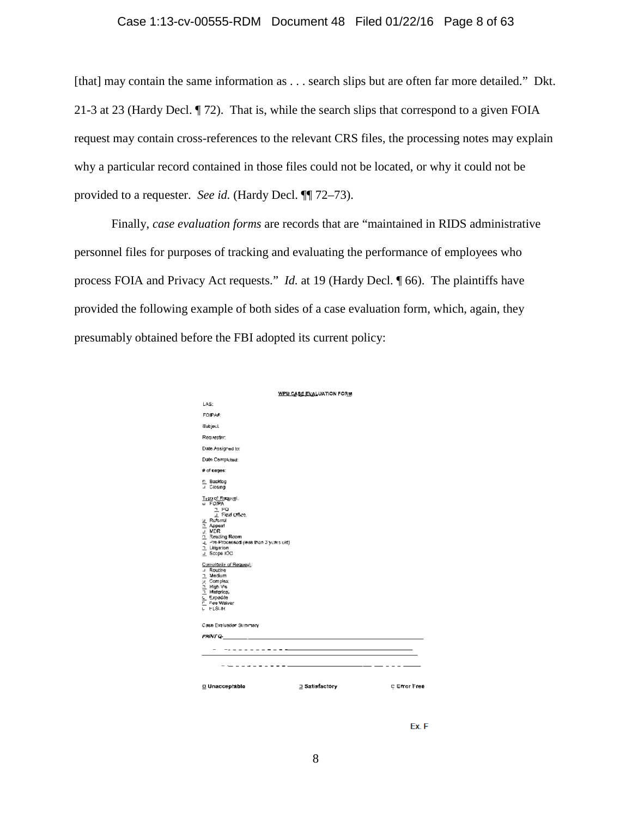## Case 1:13-cv-00555-RDM Document 48 Filed 01/22/16 Page 8 of 63

[that] may contain the same information as . . . search slips but are often far more detailed." Dkt. 21-3 at 23 (Hardy Decl. ¶ 72). That is, while the search slips that correspond to a given FOIA request may contain cross-references to the relevant CRS files, the processing notes may explain why a particular record contained in those files could not be located, or why it could not be provided to a requester. *See id.* (Hardy Decl. ¶¶ 72–73).

Finally, *case evaluation forms* are records that are "maintained in RIDS administrative personnel files for purposes of tracking and evaluating the performance of employees who process FOIA and Privacy Act requests." *Id.* at 19 (Hardy Decl. ¶ 66). The plaintiffs have provided the following example of both sides of a case evaluation form, which, again, they presumably obtained before the FBI adopted its current policy:



Ex.F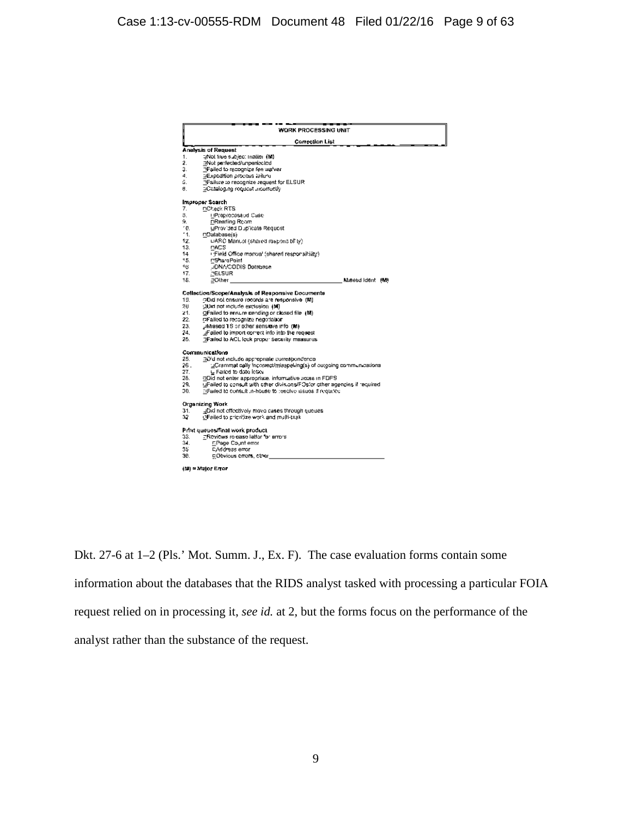|                                               | Correction List                                                                                                                                     |  |
|-----------------------------------------------|-----------------------------------------------------------------------------------------------------------------------------------------------------|--|
|                                               | Analysis of Request                                                                                                                                 |  |
| 1.                                            | gNot true subject matter (M)                                                                                                                        |  |
| 2.                                            | DNot perfected/unperfected                                                                                                                          |  |
| з.                                            | Theiled to recognize fee waiver                                                                                                                     |  |
| 4.                                            | DExpedition process failure                                                                                                                         |  |
| ű.                                            | DFsilure to recognize request for ELSUR                                                                                                             |  |
| θ.                                            | ⊐Catalog.ng request incorrectly                                                                                                                     |  |
|                                               | Improper Search                                                                                                                                     |  |
| 7.                                            | nCheck RTS                                                                                                                                          |  |
| 9.                                            | <b>LIP/aprocossud Case</b>                                                                                                                          |  |
| 9.                                            | DReading Room                                                                                                                                       |  |
| φ.                                            | UProvided Duplicate Request                                                                                                                         |  |
| 11.                                           | nDatabasejs).                                                                                                                                       |  |
| 12.                                           | DARC Manuel (shared responsibility)                                                                                                                 |  |
| 13.                                           | <b>DACS</b>                                                                                                                                         |  |
| 14                                            | + Field Office manual (shared responsibility).                                                                                                      |  |
| 15.                                           | nSharoPoint                                                                                                                                         |  |
| 46.                                           | JDNA/CODIS Database                                                                                                                                 |  |
| 17.                                           | <b>PELSUR</b>                                                                                                                                       |  |
|                                               |                                                                                                                                                     |  |
| 18.<br>19.                                    | <b>JOlher</b><br><b>Museud Ident (MI)</b><br><b>Collection/Scope/Analysis of Reaponsive Documents</b><br>Olid not ensure records are responsive (M) |  |
| 20.                                           | giust not indude exclusion (M)                                                                                                                      |  |
| 21.                                           | Offsiled to ensure pending or closed file (M)                                                                                                       |  |
| 22.                                           | raFalled to recognize negotiation                                                                                                                   |  |
| 23.                                           | JMissed 16 or other sensitive into (M).                                                                                                             |  |
|                                               | LiFailed to import correct info into the request                                                                                                    |  |
|                                               | DFailed to ACL lock proper security measures                                                                                                        |  |
|                                               | Communications                                                                                                                                      |  |
|                                               | DD'd not include appropriate correspondence.                                                                                                        |  |
|                                               | ⊡Crammat cally incorrect/miaspel inc(s) of outgoing communications.                                                                                 |  |
|                                               | L. Farled to data letter                                                                                                                            |  |
|                                               | ODid not enter appropriate, informative agtes in FDPS.                                                                                              |  |
| 24.<br>25.<br>25.<br>26.<br>27.<br>28.<br>29. | ulFailed to consult with other divisions/FOs/or other agencies if required                                                                          |  |
|                                               | fifferied to consult in-house to readive issues if required.                                                                                        |  |
|                                               | Organizing Work                                                                                                                                     |  |
|                                               | gDid not effectively move cases through queues                                                                                                      |  |
|                                               | OF siled to priorifize work and multi-task                                                                                                          |  |
| 30.<br>31.<br>32                              | Print queues/final work product                                                                                                                     |  |
| 33.                                           | PRoviews release latter for arrors                                                                                                                  |  |
| 34.                                           | CPage Count error                                                                                                                                   |  |
| 35.                                           | DAddress error                                                                                                                                      |  |

Dkt. 27-6 at 1–2 (Pls.' Mot. Summ. J., Ex. F). The case evaluation forms contain some information about the databases that the RIDS analyst tasked with processing a particular FOIA request relied on in processing it, *see id.* at 2, but the forms focus on the performance of the analyst rather than the substance of the request.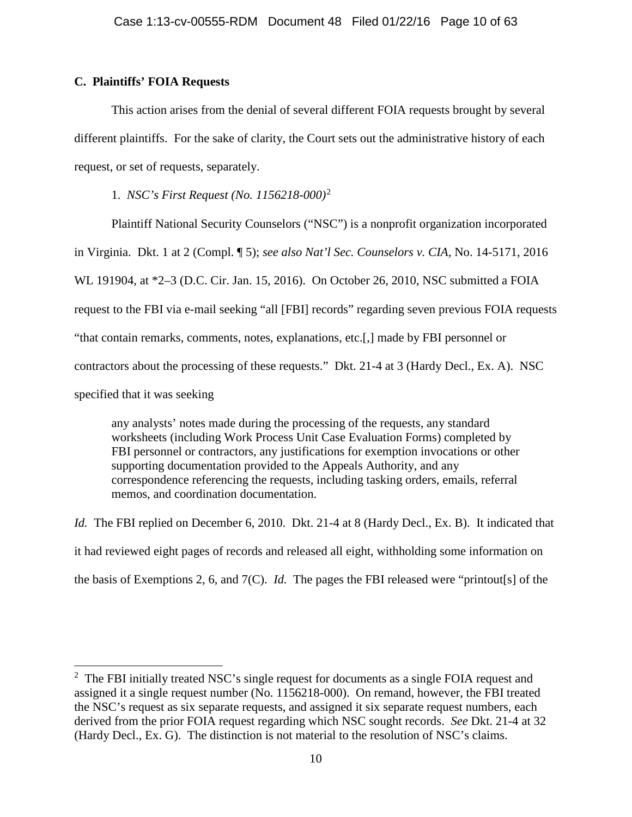# **C. Plaintiffs' FOIA Requests**

This action arises from the denial of several different FOIA requests brought by several different plaintiffs. For the sake of clarity, the Court sets out the administrative history of each request, or set of requests, separately.

1. *NSC's First Request (No. 1156218-000)*[2](#page-9-0)

Plaintiff National Security Counselors ("NSC") is a nonprofit organization incorporated

in Virginia. Dkt. 1 at 2 (Compl. ¶ 5); *see also Nat'l Sec. Counselors v. CIA*, No. 14-5171, 2016

WL 191904, at \*2–3 (D.C. Cir. Jan. 15, 2016). On October 26, 2010, NSC submitted a FOIA

request to the FBI via e-mail seeking "all [FBI] records" regarding seven previous FOIA requests

"that contain remarks, comments, notes, explanations, etc.[,] made by FBI personnel or

contractors about the processing of these requests." Dkt. 21-4 at 3 (Hardy Decl., Ex. A). NSC

specified that it was seeking

 $\overline{\phantom{a}}$ 

any analysts' notes made during the processing of the requests, any standard worksheets (including Work Process Unit Case Evaluation Forms) completed by FBI personnel or contractors, any justifications for exemption invocations or other supporting documentation provided to the Appeals Authority, and any correspondence referencing the requests, including tasking orders, emails, referral memos, and coordination documentation.

*Id.* The FBI replied on December 6, 2010. Dkt. 21-4 at 8 (Hardy Decl., Ex. B). It indicated that it had reviewed eight pages of records and released all eight, withholding some information on the basis of Exemptions 2, 6, and 7(C). *Id.* The pages the FBI released were "printout[s] of the

<span id="page-9-0"></span> $2$  The FBI initially treated NSC's single request for documents as a single FOIA request and assigned it a single request number (No. 1156218-000). On remand, however, the FBI treated the NSC's request as six separate requests, and assigned it six separate request numbers, each derived from the prior FOIA request regarding which NSC sought records. *See* Dkt. 21-4 at 32 (Hardy Decl., Ex. G). The distinction is not material to the resolution of NSC's claims.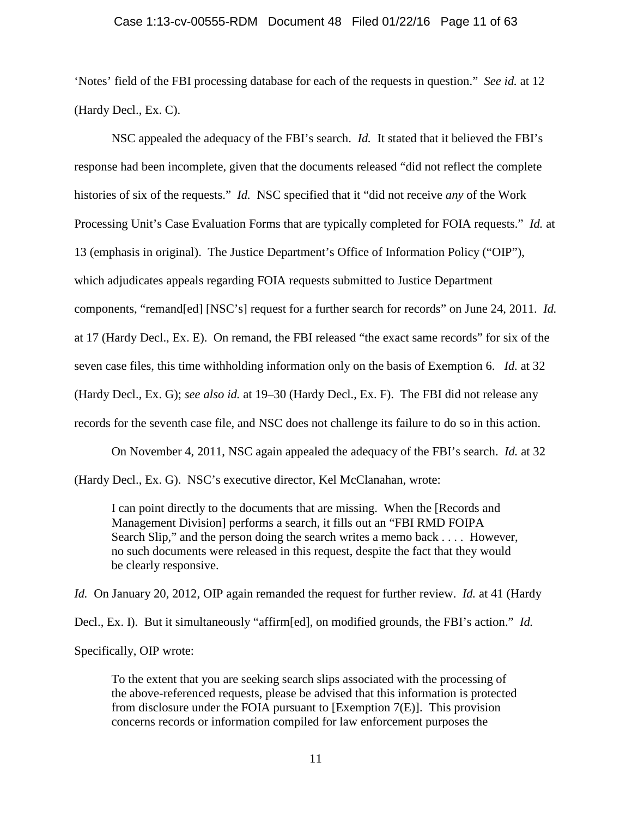#### Case 1:13-cv-00555-RDM Document 48 Filed 01/22/16 Page 11 of 63

'Notes' field of the FBI processing database for each of the requests in question." *See id.* at 12 (Hardy Decl., Ex. C).

NSC appealed the adequacy of the FBI's search. *Id.* It stated that it believed the FBI's response had been incomplete, given that the documents released "did not reflect the complete histories of six of the requests." *Id.* NSC specified that it "did not receive *any* of the Work Processing Unit's Case Evaluation Forms that are typically completed for FOIA requests." *Id.* at 13 (emphasis in original). The Justice Department's Office of Information Policy ("OIP"), which adjudicates appeals regarding FOIA requests submitted to Justice Department components, "remand[ed] [NSC's] request for a further search for records" on June 24, 2011. *Id.* at 17 (Hardy Decl., Ex. E). On remand, the FBI released "the exact same records" for six of the seven case files, this time withholding information only on the basis of Exemption 6. *Id.* at 32 (Hardy Decl., Ex. G); *see also id.* at 19–30 (Hardy Decl., Ex. F). The FBI did not release any records for the seventh case file, and NSC does not challenge its failure to do so in this action.

On November 4, 2011, NSC again appealed the adequacy of the FBI's search. *Id.* at 32 (Hardy Decl., Ex. G). NSC's executive director, Kel McClanahan, wrote:

I can point directly to the documents that are missing. When the [Records and Management Division] performs a search, it fills out an "FBI RMD FOIPA Search Slip," and the person doing the search writes a memo back . . . . However, no such documents were released in this request, despite the fact that they would be clearly responsive.

*Id.* On January 20, 2012, OIP again remanded the request for further review. *Id.* at 41 (Hardy Decl., Ex. I). But it simultaneously "affirm[ed], on modified grounds, the FBI's action." *Id.* Specifically, OIP wrote:

To the extent that you are seeking search slips associated with the processing of the above-referenced requests, please be advised that this information is protected from disclosure under the FOIA pursuant to [Exemption 7(E)]. This provision concerns records or information compiled for law enforcement purposes the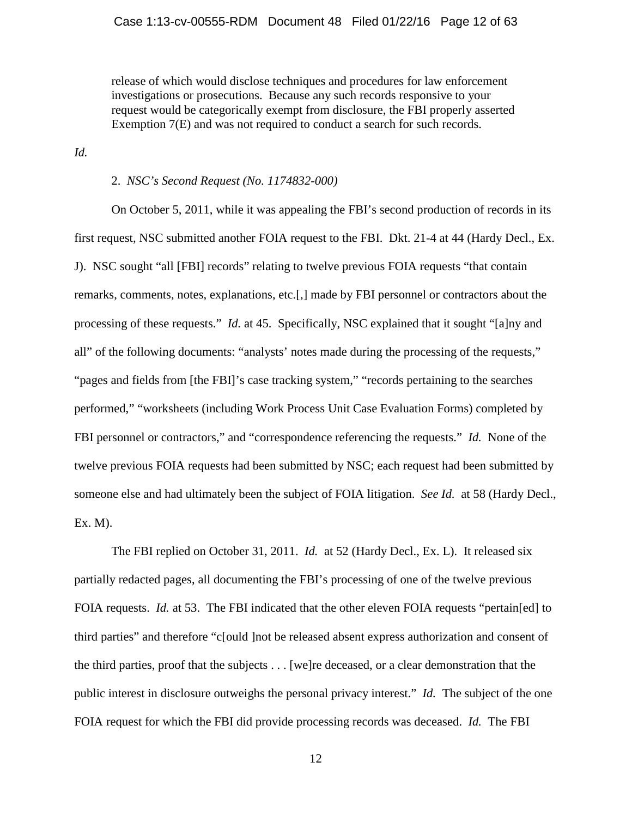release of which would disclose techniques and procedures for law enforcement investigations or prosecutions. Because any such records responsive to your request would be categorically exempt from disclosure, the FBI properly asserted Exemption 7(E) and was not required to conduct a search for such records.

*Id.*

## 2. *NSC's Second Request (No. 1174832-000)*

On October 5, 2011, while it was appealing the FBI's second production of records in its first request, NSC submitted another FOIA request to the FBI. Dkt. 21-4 at 44 (Hardy Decl., Ex. J). NSC sought "all [FBI] records" relating to twelve previous FOIA requests "that contain remarks, comments, notes, explanations, etc.[,] made by FBI personnel or contractors about the processing of these requests." *Id.* at 45. Specifically, NSC explained that it sought "[a]ny and all" of the following documents: "analysts' notes made during the processing of the requests," "pages and fields from [the FBI]'s case tracking system," "records pertaining to the searches performed," "worksheets (including Work Process Unit Case Evaluation Forms) completed by FBI personnel or contractors," and "correspondence referencing the requests." *Id.* None of the twelve previous FOIA requests had been submitted by NSC; each request had been submitted by someone else and had ultimately been the subject of FOIA litigation. *See Id.* at 58 (Hardy Decl., Ex. M).

The FBI replied on October 31, 2011. *Id.* at 52 (Hardy Decl., Ex. L). It released six partially redacted pages, all documenting the FBI's processing of one of the twelve previous FOIA requests. *Id.* at 53. The FBI indicated that the other eleven FOIA requests "pertain[ed] to third parties" and therefore "c[ould ]not be released absent express authorization and consent of the third parties, proof that the subjects . . . [we]re deceased, or a clear demonstration that the public interest in disclosure outweighs the personal privacy interest." *Id.* The subject of the one FOIA request for which the FBI did provide processing records was deceased. *Id.* The FBI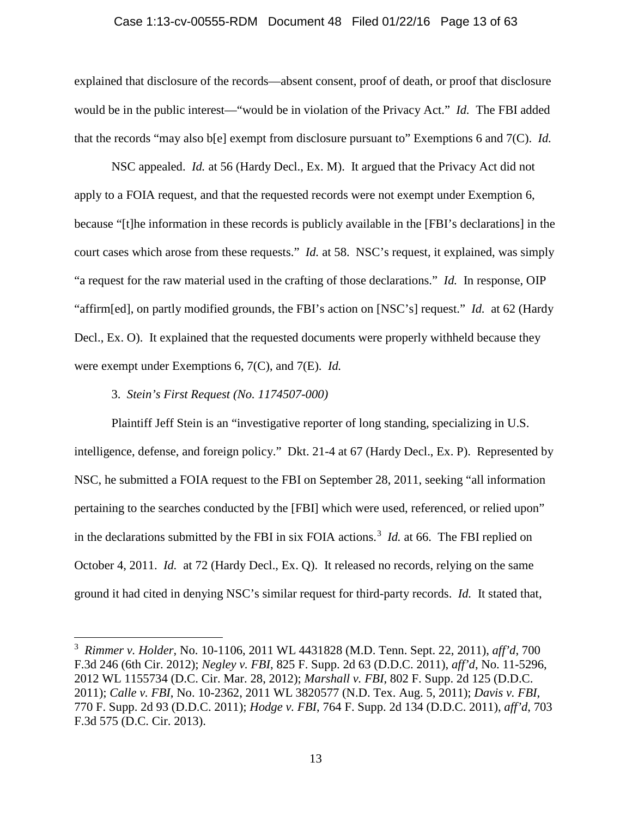#### Case 1:13-cv-00555-RDM Document 48 Filed 01/22/16 Page 13 of 63

explained that disclosure of the records—absent consent, proof of death, or proof that disclosure would be in the public interest—"would be in violation of the Privacy Act." *Id.* The FBI added that the records "may also b[e] exempt from disclosure pursuant to" Exemptions 6 and 7(C). *Id.*

NSC appealed. *Id.* at 56 (Hardy Decl., Ex. M). It argued that the Privacy Act did not apply to a FOIA request, and that the requested records were not exempt under Exemption 6, because "[t]he information in these records is publicly available in the [FBI's declarations] in the court cases which arose from these requests." *Id.* at 58. NSC's request, it explained, was simply "a request for the raw material used in the crafting of those declarations." *Id.* In response, OIP "affirm[ed], on partly modified grounds, the FBI's action on [NSC's] request." *Id.* at 62 (Hardy Decl., Ex. O). It explained that the requested documents were properly withheld because they were exempt under Exemptions 6, 7(C), and 7(E). *Id.*

3. *Stein's First Request (No. 1174507-000)*

 $\overline{a}$ 

Plaintiff Jeff Stein is an "investigative reporter of long standing, specializing in U.S. intelligence, defense, and foreign policy." Dkt. 21-4 at 67 (Hardy Decl., Ex. P). Represented by NSC, he submitted a FOIA request to the FBI on September 28, 2011, seeking "all information pertaining to the searches conducted by the [FBI] which were used, referenced, or relied upon" in the declarations submitted by the FBI in six FOIA actions.<sup>[3](#page-12-0)</sup> *Id.* at 66. The FBI replied on October 4, 2011. *Id.* at 72 (Hardy Decl., Ex. Q). It released no records, relying on the same ground it had cited in denying NSC's similar request for third-party records. *Id.* It stated that,

<span id="page-12-0"></span><sup>3</sup> *Rimmer v. Holder*, No. 10-1106, 2011 WL 4431828 (M.D. Tenn. Sept. 22, 2011), *aff'd*, 700 F.3d 246 (6th Cir. 2012); *Negley v. FBI*, 825 F. Supp. 2d 63 (D.D.C. 2011), *aff'd*, No. 11-5296, 2012 WL 1155734 (D.C. Cir. Mar. 28, 2012); *Marshall v. FBI*, 802 F. Supp. 2d 125 (D.D.C. 2011); *Calle v. FBI*, No. 10-2362, 2011 WL 3820577 (N.D. Tex. Aug. 5, 2011); *Davis v. FBI*, 770 F. Supp. 2d 93 (D.D.C. 2011); *Hodge v. FBI*, 764 F. Supp. 2d 134 (D.D.C. 2011), *aff'd*, 703 F.3d 575 (D.C. Cir. 2013).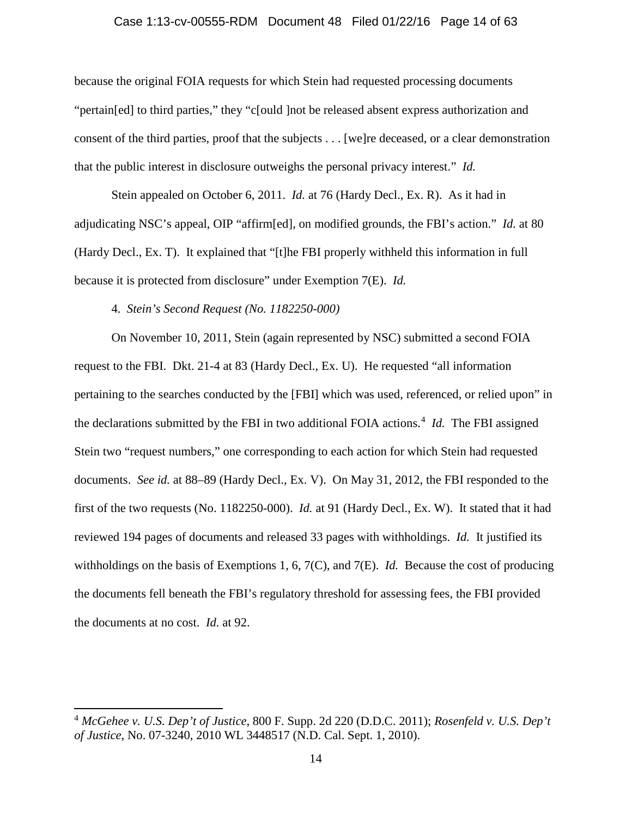## Case 1:13-cv-00555-RDM Document 48 Filed 01/22/16 Page 14 of 63

because the original FOIA requests for which Stein had requested processing documents "pertain[ed] to third parties," they "c[ould ]not be released absent express authorization and consent of the third parties, proof that the subjects . . . [we]re deceased, or a clear demonstration that the public interest in disclosure outweighs the personal privacy interest." *Id.*

Stein appealed on October 6, 2011. *Id.* at 76 (Hardy Decl., Ex. R). As it had in adjudicating NSC's appeal, OIP "affirm[ed], on modified grounds, the FBI's action." *Id.* at 80 (Hardy Decl., Ex. T). It explained that "[t]he FBI properly withheld this information in full because it is protected from disclosure" under Exemption 7(E). *Id.*

4. *Stein's Second Request (No. 1182250-000)*

 $\overline{a}$ 

On November 10, 2011, Stein (again represented by NSC) submitted a second FOIA request to the FBI. Dkt. 21-4 at 83 (Hardy Decl., Ex. U). He requested "all information pertaining to the searches conducted by the [FBI] which was used, referenced, or relied upon" in the declarations submitted by the FBI in two additional FOIA actions.<sup>[4](#page-13-0)</sup> *Id.* The FBI assigned Stein two "request numbers," one corresponding to each action for which Stein had requested documents. *See id.* at 88–89 (Hardy Decl., Ex. V). On May 31, 2012, the FBI responded to the first of the two requests (No. 1182250-000). *Id.* at 91 (Hardy Decl., Ex. W). It stated that it had reviewed 194 pages of documents and released 33 pages with withholdings. *Id.* It justified its withholdings on the basis of Exemptions 1, 6, 7(C), and 7(E). *Id.* Because the cost of producing the documents fell beneath the FBI's regulatory threshold for assessing fees, the FBI provided the documents at no cost. *Id.* at 92.

<span id="page-13-0"></span><sup>4</sup> *McGehee v. U.S. Dep't of Justice*, 800 F. Supp. 2d 220 (D.D.C. 2011); *Rosenfeld v. U.S. Dep't of Justice*, No. 07-3240, 2010 WL 3448517 (N.D. Cal. Sept. 1, 2010).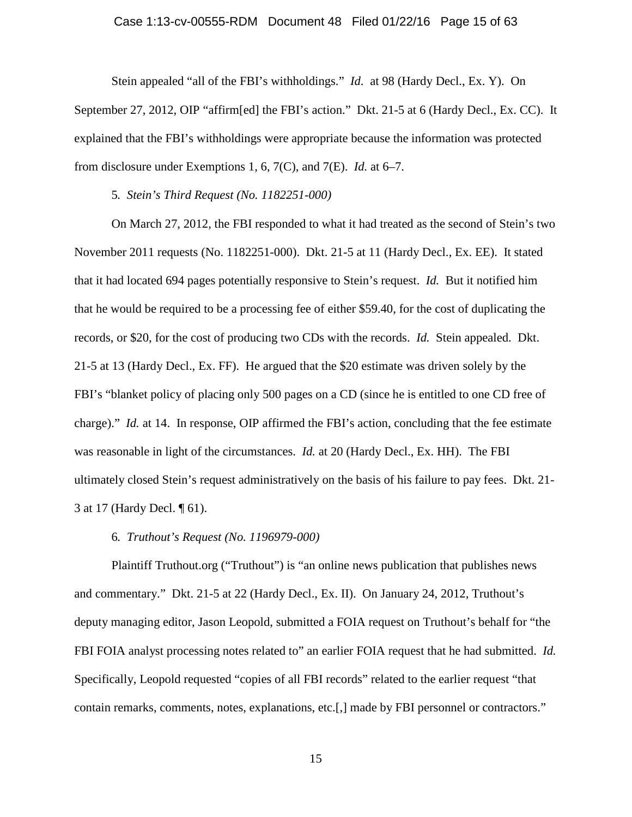## Case 1:13-cv-00555-RDM Document 48 Filed 01/22/16 Page 15 of 63

Stein appealed "all of the FBI's withholdings." *Id.* at 98 (Hardy Decl., Ex. Y). On September 27, 2012, OIP "affirm[ed] the FBI's action." Dkt. 21-5 at 6 (Hardy Decl., Ex. CC). It explained that the FBI's withholdings were appropriate because the information was protected from disclosure under Exemptions 1, 6, 7(C), and 7(E). *Id.* at 6–7.

5*. Stein's Third Request (No. 1182251-000)*

On March 27, 2012, the FBI responded to what it had treated as the second of Stein's two November 2011 requests (No. 1182251-000). Dkt. 21-5 at 11 (Hardy Decl., Ex. EE). It stated that it had located 694 pages potentially responsive to Stein's request. *Id.* But it notified him that he would be required to be a processing fee of either \$59.40, for the cost of duplicating the records, or \$20, for the cost of producing two CDs with the records. *Id.* Stein appealed. Dkt. 21-5 at 13 (Hardy Decl., Ex. FF). He argued that the \$20 estimate was driven solely by the FBI's "blanket policy of placing only 500 pages on a CD (since he is entitled to one CD free of charge)." *Id.* at 14. In response, OIP affirmed the FBI's action, concluding that the fee estimate was reasonable in light of the circumstances. *Id.* at 20 (Hardy Decl., Ex. HH). The FBI ultimately closed Stein's request administratively on the basis of his failure to pay fees. Dkt. 21- 3 at 17 (Hardy Decl. ¶ 61).

## 6*. Truthout's Request (No. 1196979-000)*

Plaintiff Truthout.org ("Truthout") is "an online news publication that publishes news and commentary." Dkt. 21-5 at 22 (Hardy Decl., Ex. II). On January 24, 2012, Truthout's deputy managing editor, Jason Leopold, submitted a FOIA request on Truthout's behalf for "the FBI FOIA analyst processing notes related to" an earlier FOIA request that he had submitted. *Id.* Specifically, Leopold requested "copies of all FBI records" related to the earlier request "that contain remarks, comments, notes, explanations, etc.[,] made by FBI personnel or contractors."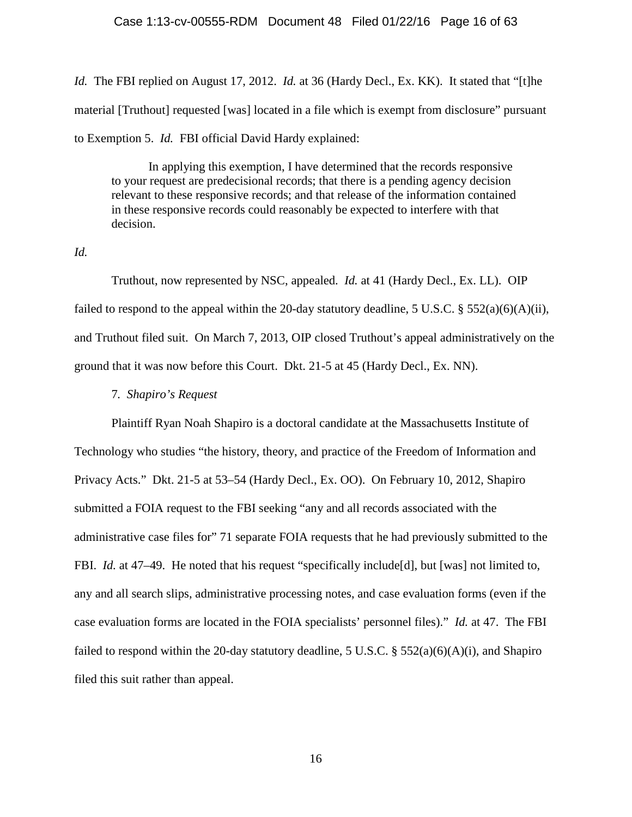## Case 1:13-cv-00555-RDM Document 48 Filed 01/22/16 Page 16 of 63

*Id.* The FBI replied on August 17, 2012. *Id.* at 36 (Hardy Decl., Ex. KK). It stated that "[t]he material [Truthout] requested [was] located in a file which is exempt from disclosure" pursuant to Exemption 5. *Id.* FBI official David Hardy explained:

In applying this exemption, I have determined that the records responsive to your request are predecisional records; that there is a pending agency decision relevant to these responsive records; and that release of the information contained in these responsive records could reasonably be expected to interfere with that decision.

*Id.*

Truthout, now represented by NSC, appealed. *Id.* at 41 (Hardy Decl., Ex. LL). OIP failed to respond to the appeal within the 20-day statutory deadline, 5 U.S.C. § 552(a)(6)(A)(ii), and Truthout filed suit. On March 7, 2013, OIP closed Truthout's appeal administratively on the ground that it was now before this Court. Dkt. 21-5 at 45 (Hardy Decl., Ex. NN).

7*. Shapiro's Request*

Plaintiff Ryan Noah Shapiro is a doctoral candidate at the Massachusetts Institute of Technology who studies "the history, theory, and practice of the Freedom of Information and Privacy Acts." Dkt. 21-5 at 53–54 (Hardy Decl., Ex. OO). On February 10, 2012, Shapiro submitted a FOIA request to the FBI seeking "any and all records associated with the administrative case files for" 71 separate FOIA requests that he had previously submitted to the FBI. *Id.* at 47–49. He noted that his request "specifically include[d], but [was] not limited to, any and all search slips, administrative processing notes, and case evaluation forms (even if the case evaluation forms are located in the FOIA specialists' personnel files)." *Id.* at 47. The FBI failed to respond within the 20-day statutory deadline, 5 U.S.C. § 552(a)(6)(A)(i), and Shapiro filed this suit rather than appeal.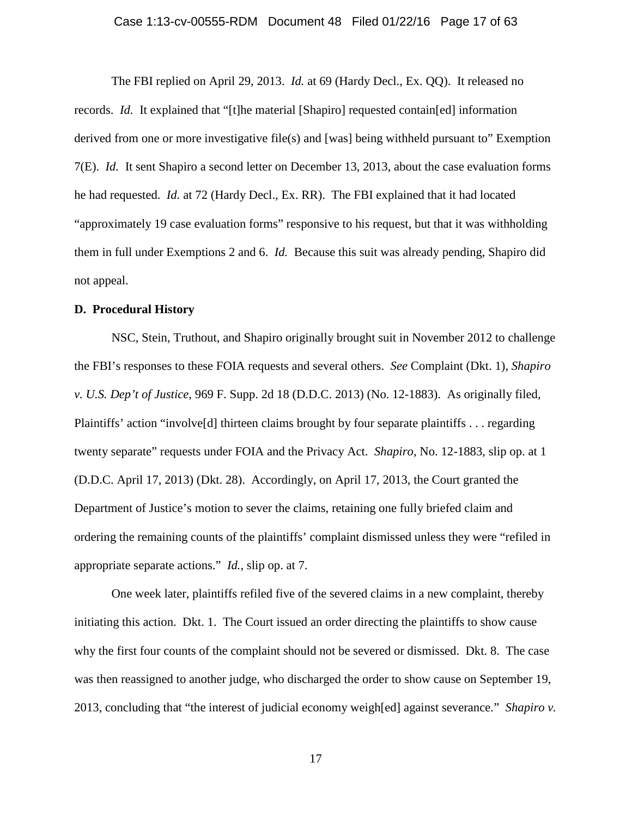# Case 1:13-cv-00555-RDM Document 48 Filed 01/22/16 Page 17 of 63

The FBI replied on April 29, 2013. *Id.* at 69 (Hardy Decl., Ex. QQ). It released no records. *Id.* It explained that "[t]he material [Shapiro] requested contain[ed] information derived from one or more investigative file(s) and [was] being withheld pursuant to" Exemption 7(E). *Id.* It sent Shapiro a second letter on December 13, 2013, about the case evaluation forms he had requested. *Id.* at 72 (Hardy Decl., Ex. RR). The FBI explained that it had located "approximately 19 case evaluation forms" responsive to his request, but that it was withholding them in full under Exemptions 2 and 6. *Id.* Because this suit was already pending, Shapiro did not appeal.

## **D. Procedural History**

NSC, Stein, Truthout, and Shapiro originally brought suit in November 2012 to challenge the FBI's responses to these FOIA requests and several others. *See* Complaint (Dkt. 1), *Shapiro v. U.S. Dep't of Justice*, 969 F. Supp. 2d 18 (D.D.C. 2013) (No. 12-1883). As originally filed, Plaintiffs' action "involve<sup>[d]</sup> thirteen claims brought by four separate plaintiffs . . . regarding twenty separate" requests under FOIA and the Privacy Act. *Shapiro*, No. 12-1883, slip op. at 1 (D.D.C. April 17, 2013) (Dkt. 28). Accordingly, on April 17, 2013, the Court granted the Department of Justice's motion to sever the claims, retaining one fully briefed claim and ordering the remaining counts of the plaintiffs' complaint dismissed unless they were "refiled in appropriate separate actions." *Id.*, slip op. at 7.

One week later, plaintiffs refiled five of the severed claims in a new complaint, thereby initiating this action. Dkt. 1. The Court issued an order directing the plaintiffs to show cause why the first four counts of the complaint should not be severed or dismissed. Dkt. 8. The case was then reassigned to another judge, who discharged the order to show cause on September 19, 2013, concluding that "the interest of judicial economy weigh[ed] against severance." *Shapiro v.*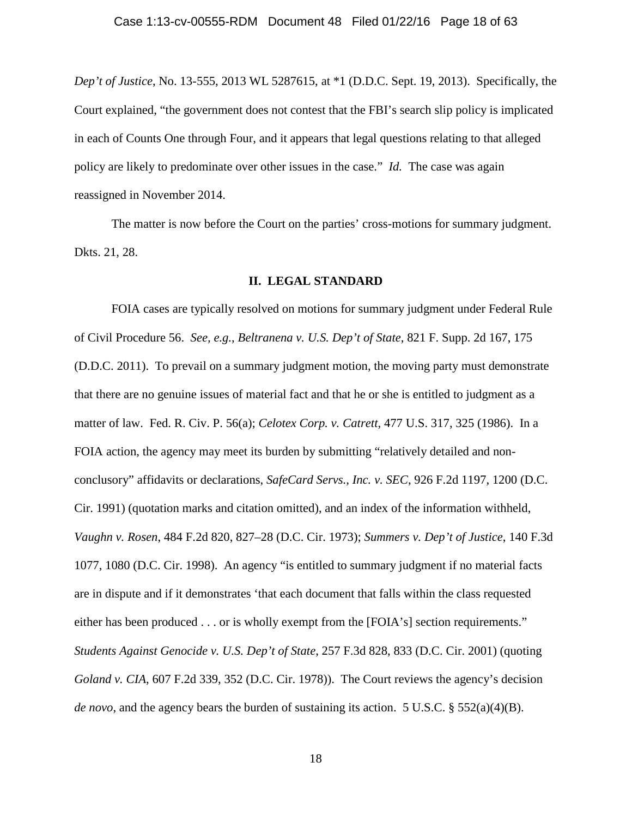*Dep't of Justice*, No. 13-555, 2013 WL 5287615, at \*1 (D.D.C. Sept. 19, 2013). Specifically, the Court explained, "the government does not contest that the FBI's search slip policy is implicated in each of Counts One through Four, and it appears that legal questions relating to that alleged policy are likely to predominate over other issues in the case." *Id.* The case was again reassigned in November 2014.

The matter is now before the Court on the parties' cross-motions for summary judgment. Dkts. 21, 28.

## **II. LEGAL STANDARD**

FOIA cases are typically resolved on motions for summary judgment under Federal Rule of Civil Procedure 56. *See, e.g.*, *Beltranena v. U.S. Dep't of State*, 821 F. Supp. 2d 167, 175 (D.D.C. 2011). To prevail on a summary judgment motion, the moving party must demonstrate that there are no genuine issues of material fact and that he or she is entitled to judgment as a matter of law. Fed. R. Civ. P. 56(a); *Celotex Corp. v. Catrett*, 477 U.S. 317, 325 (1986). In a FOIA action, the agency may meet its burden by submitting "relatively detailed and nonconclusory" affidavits or declarations, *SafeCard Servs., Inc. v. SEC*, 926 F.2d 1197, 1200 (D.C. Cir. 1991) (quotation marks and citation omitted), and an index of the information withheld, *Vaughn v. Rosen*, 484 F.2d 820, 827–28 (D.C. Cir. 1973); *Summers v. Dep't of Justice*, 140 F.3d 1077, 1080 (D.C. Cir. 1998). An agency "is entitled to summary judgment if no material facts are in dispute and if it demonstrates 'that each document that falls within the class requested either has been produced . . . or is wholly exempt from the [FOIA's] section requirements." *Students Against Genocide v. U.S. Dep't of State*, 257 F.3d 828, 833 (D.C. Cir. 2001) (quoting *Goland v. CIA*, 607 F.2d 339, 352 (D.C. Cir. 1978)). The Court reviews the agency's decision *de novo*, and the agency bears the burden of sustaining its action. 5 U.S.C. § 552(a)(4)(B).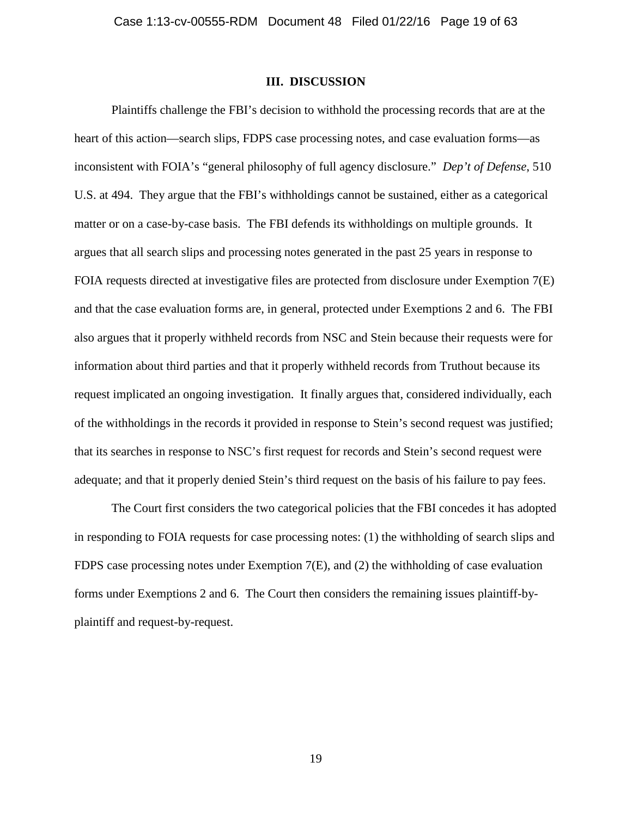### **III. DISCUSSION**

Plaintiffs challenge the FBI's decision to withhold the processing records that are at the heart of this action—search slips, FDPS case processing notes, and case evaluation forms—as inconsistent with FOIA's "general philosophy of full agency disclosure." *Dep't of Defense*, 510 U.S. at 494. They argue that the FBI's withholdings cannot be sustained, either as a categorical matter or on a case-by-case basis. The FBI defends its withholdings on multiple grounds. It argues that all search slips and processing notes generated in the past 25 years in response to FOIA requests directed at investigative files are protected from disclosure under Exemption 7(E) and that the case evaluation forms are, in general, protected under Exemptions 2 and 6. The FBI also argues that it properly withheld records from NSC and Stein because their requests were for information about third parties and that it properly withheld records from Truthout because its request implicated an ongoing investigation. It finally argues that, considered individually, each of the withholdings in the records it provided in response to Stein's second request was justified; that its searches in response to NSC's first request for records and Stein's second request were adequate; and that it properly denied Stein's third request on the basis of his failure to pay fees.

The Court first considers the two categorical policies that the FBI concedes it has adopted in responding to FOIA requests for case processing notes: (1) the withholding of search slips and FDPS case processing notes under Exemption 7(E), and (2) the withholding of case evaluation forms under Exemptions 2 and 6. The Court then considers the remaining issues plaintiff-byplaintiff and request-by-request.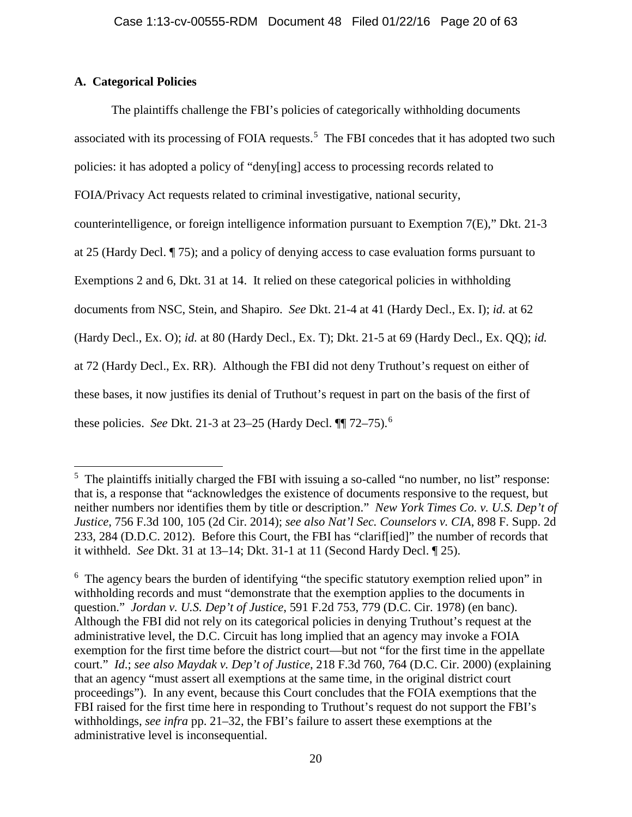# **A. Categorical Policies**

l

The plaintiffs challenge the FBI's policies of categorically withholding documents associated with its processing of FOIA requests.<sup>[5](#page-19-0)</sup> The FBI concedes that it has adopted two such policies: it has adopted a policy of "deny[ing] access to processing records related to FOIA/Privacy Act requests related to criminal investigative, national security, counterintelligence, or foreign intelligence information pursuant to Exemption 7(E)," Dkt. 21-3 at 25 (Hardy Decl. ¶ 75); and a policy of denying access to case evaluation forms pursuant to Exemptions 2 and 6, Dkt. 31 at 14. It relied on these categorical policies in withholding documents from NSC, Stein, and Shapiro. *See* Dkt. 21-4 at 41 (Hardy Decl., Ex. I); *id.* at 62 (Hardy Decl., Ex. O); *id.* at 80 (Hardy Decl., Ex. T); Dkt. 21-5 at 69 (Hardy Decl., Ex. QQ); *id.* at 72 (Hardy Decl., Ex. RR). Although the FBI did not deny Truthout's request on either of these bases, it now justifies its denial of Truthout's request in part on the basis of the first of these policies. *See* Dkt. 21-3 at 23–25 (Hardy Decl. ¶¶ 72–75).[6](#page-19-1)

<span id="page-19-0"></span> $<sup>5</sup>$  The plaintiffs initially charged the FBI with issuing a so-called "no number, no list" response:</sup> that is, a response that "acknowledges the existence of documents responsive to the request, but neither numbers nor identifies them by title or description." *New York Times Co. v. U.S. Dep't of Justice*, 756 F.3d 100, 105 (2d Cir. 2014); *see also Nat'l Sec. Counselors v. CIA*, 898 F. Supp. 2d 233, 284 (D.D.C. 2012). Before this Court, the FBI has "clarif[ied]" the number of records that it withheld. *See* Dkt. 31 at 13–14; Dkt. 31-1 at 11 (Second Hardy Decl. ¶ 25).

<span id="page-19-1"></span><sup>&</sup>lt;sup>6</sup> The agency bears the burden of identifying "the specific statutory exemption relied upon" in withholding records and must "demonstrate that the exemption applies to the documents in question." *Jordan v. U.S. Dep't of Justice*, 591 F.2d 753, 779 (D.C. Cir. 1978) (en banc). Although the FBI did not rely on its categorical policies in denying Truthout's request at the administrative level, the D.C. Circuit has long implied that an agency may invoke a FOIA exemption for the first time before the district court—but not "for the first time in the appellate court." *Id*.; *see also Maydak v. Dep't of Justice*, 218 F.3d 760, 764 (D.C. Cir. 2000) (explaining that an agency "must assert all exemptions at the same time, in the original district court proceedings"). In any event, because this Court concludes that the FOIA exemptions that the FBI raised for the first time here in responding to Truthout's request do not support the FBI's withholdings, *see infra* pp. 21–32, the FBI's failure to assert these exemptions at the administrative level is inconsequential.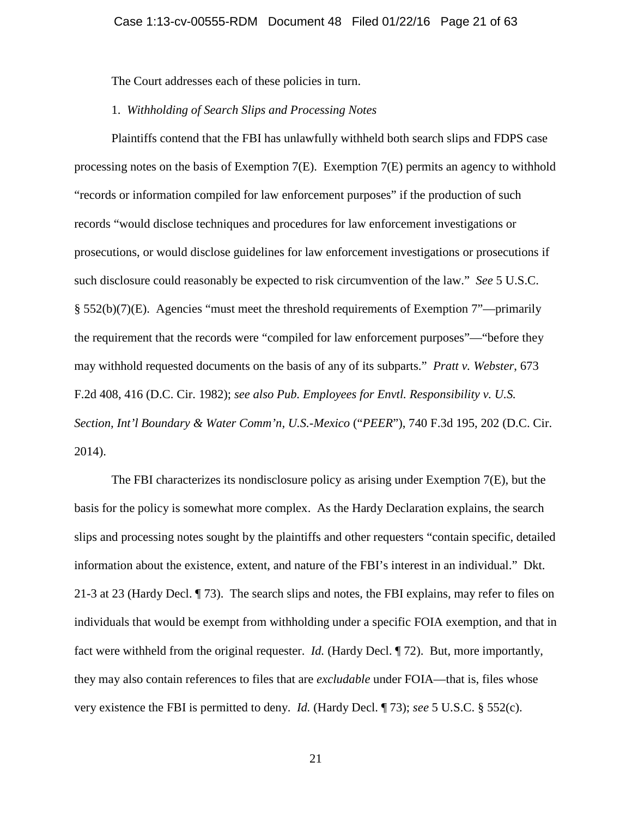The Court addresses each of these policies in turn.

## 1. *Withholding of Search Slips and Processing Notes*

Plaintiffs contend that the FBI has unlawfully withheld both search slips and FDPS case processing notes on the basis of Exemption  $7(E)$ . Exemption  $7(E)$  permits an agency to withhold "records or information compiled for law enforcement purposes" if the production of such records "would disclose techniques and procedures for law enforcement investigations or prosecutions, or would disclose guidelines for law enforcement investigations or prosecutions if such disclosure could reasonably be expected to risk circumvention of the law." *See* 5 U.S.C. § 552(b)(7)(E). Agencies "must meet the threshold requirements of Exemption 7"—primarily the requirement that the records were "compiled for law enforcement purposes"—"before they may withhold requested documents on the basis of any of its subparts." *Pratt v. Webster*, 673 F.2d 408, 416 (D.C. Cir. 1982); *see also Pub. Employees for Envtl. Responsibility v. U.S. Section, Int'l Boundary & Water Comm'n, U.S.-Mexico* ("*PEER*"), 740 F.3d 195, 202 (D.C. Cir. 2014).

The FBI characterizes its nondisclosure policy as arising under Exemption 7(E), but the basis for the policy is somewhat more complex. As the Hardy Declaration explains, the search slips and processing notes sought by the plaintiffs and other requesters "contain specific, detailed information about the existence, extent, and nature of the FBI's interest in an individual." Dkt. 21-3 at 23 (Hardy Decl. ¶ 73). The search slips and notes, the FBI explains, may refer to files on individuals that would be exempt from withholding under a specific FOIA exemption, and that in fact were withheld from the original requester. *Id.* (Hardy Decl. ¶ 72). But, more importantly, they may also contain references to files that are *excludable* under FOIA—that is, files whose very existence the FBI is permitted to deny. *Id.* (Hardy Decl. ¶ 73); *see* 5 U.S.C. § 552(c).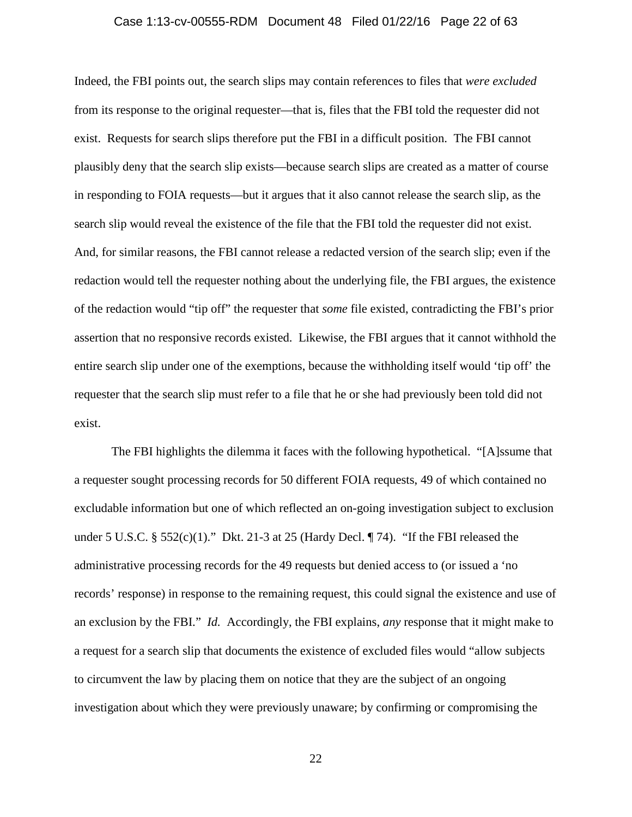#### Case 1:13-cv-00555-RDM Document 48 Filed 01/22/16 Page 22 of 63

Indeed, the FBI points out, the search slips may contain references to files that *were excluded* from its response to the original requester—that is, files that the FBI told the requester did not exist. Requests for search slips therefore put the FBI in a difficult position. The FBI cannot plausibly deny that the search slip exists—because search slips are created as a matter of course in responding to FOIA requests—but it argues that it also cannot release the search slip, as the search slip would reveal the existence of the file that the FBI told the requester did not exist. And, for similar reasons, the FBI cannot release a redacted version of the search slip; even if the redaction would tell the requester nothing about the underlying file, the FBI argues, the existence of the redaction would "tip off" the requester that *some* file existed, contradicting the FBI's prior assertion that no responsive records existed. Likewise, the FBI argues that it cannot withhold the entire search slip under one of the exemptions, because the withholding itself would 'tip off' the requester that the search slip must refer to a file that he or she had previously been told did not exist.

The FBI highlights the dilemma it faces with the following hypothetical. "[A]ssume that a requester sought processing records for 50 different FOIA requests, 49 of which contained no excludable information but one of which reflected an on-going investigation subject to exclusion under 5 U.S.C. §  $552(c)(1)$ ." Dkt. 21-3 at 25 (Hardy Decl. ¶ 74). "If the FBI released the administrative processing records for the 49 requests but denied access to (or issued a 'no records' response) in response to the remaining request, this could signal the existence and use of an exclusion by the FBI." *Id.* Accordingly, the FBI explains, *any* response that it might make to a request for a search slip that documents the existence of excluded files would "allow subjects to circumvent the law by placing them on notice that they are the subject of an ongoing investigation about which they were previously unaware; by confirming or compromising the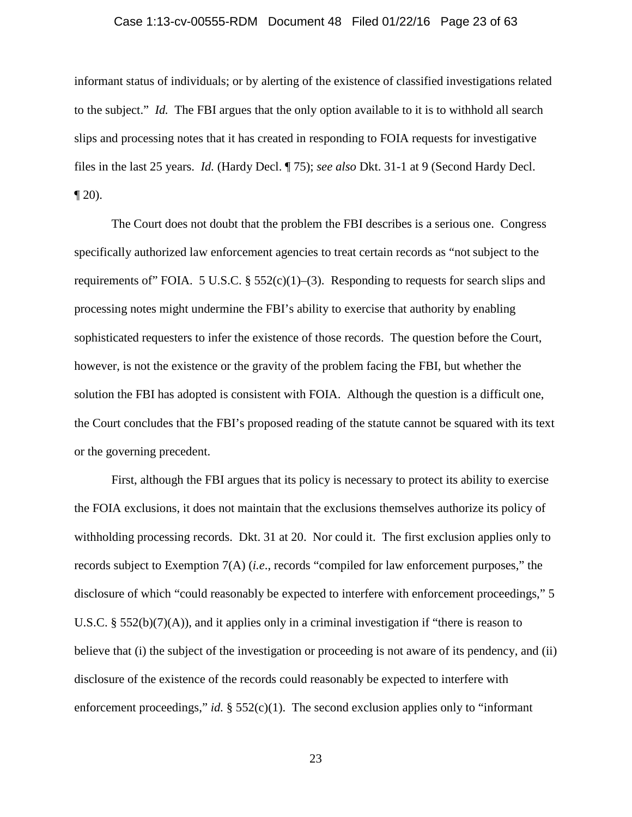## Case 1:13-cv-00555-RDM Document 48 Filed 01/22/16 Page 23 of 63

informant status of individuals; or by alerting of the existence of classified investigations related to the subject." *Id.* The FBI argues that the only option available to it is to withhold all search slips and processing notes that it has created in responding to FOIA requests for investigative files in the last 25 years. *Id.* (Hardy Decl. ¶ 75); *see also* Dkt. 31-1 at 9 (Second Hardy Decl.  $\P$  20).

The Court does not doubt that the problem the FBI describes is a serious one. Congress specifically authorized law enforcement agencies to treat certain records as "not subject to the requirements of FOIA. 5 U.S.C.  $\S 552(c)(1)-(3)$ . Responding to requests for search slips and processing notes might undermine the FBI's ability to exercise that authority by enabling sophisticated requesters to infer the existence of those records. The question before the Court, however, is not the existence or the gravity of the problem facing the FBI, but whether the solution the FBI has adopted is consistent with FOIA. Although the question is a difficult one, the Court concludes that the FBI's proposed reading of the statute cannot be squared with its text or the governing precedent.

First, although the FBI argues that its policy is necessary to protect its ability to exercise the FOIA exclusions, it does not maintain that the exclusions themselves authorize its policy of withholding processing records. Dkt. 31 at 20. Nor could it. The first exclusion applies only to records subject to Exemption 7(A) (*i.e*., records "compiled for law enforcement purposes," the disclosure of which "could reasonably be expected to interfere with enforcement proceedings," 5 U.S.C. § 552(b)(7)(A)), and it applies only in a criminal investigation if "there is reason to believe that (i) the subject of the investigation or proceeding is not aware of its pendency, and (ii) disclosure of the existence of the records could reasonably be expected to interfere with enforcement proceedings," *id.* § 552(c)(1). The second exclusion applies only to "informant"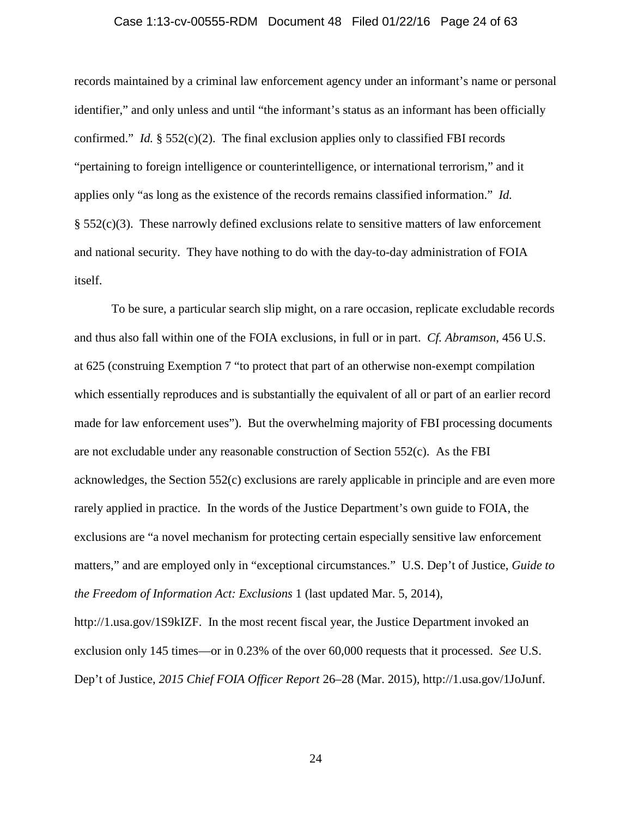# Case 1:13-cv-00555-RDM Document 48 Filed 01/22/16 Page 24 of 63

records maintained by a criminal law enforcement agency under an informant's name or personal identifier," and only unless and until "the informant's status as an informant has been officially confirmed." *Id.*  $\S 552(c)(2)$ . The final exclusion applies only to classified FBI records "pertaining to foreign intelligence or counterintelligence, or international terrorism," and it applies only "as long as the existence of the records remains classified information." *Id.*  $§$  552(c)(3). These narrowly defined exclusions relate to sensitive matters of law enforcement and national security. They have nothing to do with the day-to-day administration of FOIA itself.

To be sure, a particular search slip might, on a rare occasion, replicate excludable records and thus also fall within one of the FOIA exclusions, in full or in part. *Cf. Abramson*, 456 U.S. at 625 (construing Exemption 7 "to protect that part of an otherwise non-exempt compilation which essentially reproduces and is substantially the equivalent of all or part of an earlier record made for law enforcement uses"). But the overwhelming majority of FBI processing documents are not excludable under any reasonable construction of Section 552(c). As the FBI acknowledges, the Section 552(c) exclusions are rarely applicable in principle and are even more rarely applied in practice. In the words of the Justice Department's own guide to FOIA, the exclusions are "a novel mechanism for protecting certain especially sensitive law enforcement matters," and are employed only in "exceptional circumstances." U.S. Dep't of Justice, *Guide to the Freedom of Information Act: Exclusions* 1 (last updated Mar. 5, 2014), http://1.usa.gov/1S9kIZF. In the most recent fiscal year, the Justice Department invoked an exclusion only 145 times—or in 0.23% of the over 60,000 requests that it processed. *See* U.S.

Dep't of Justice, *2015 Chief FOIA Officer Report* 26–28 (Mar. 2015), http://1.usa.gov/1JoJunf.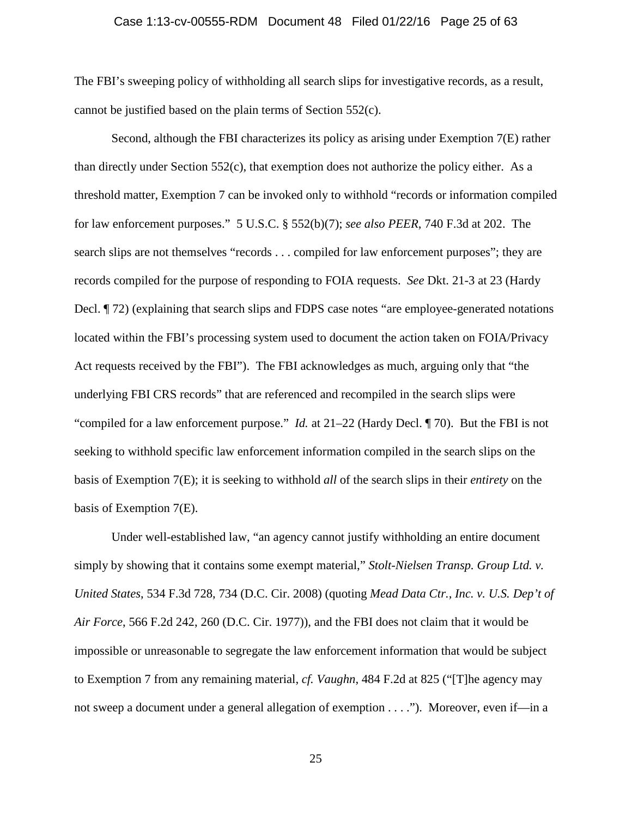#### Case 1:13-cv-00555-RDM Document 48 Filed 01/22/16 Page 25 of 63

The FBI's sweeping policy of withholding all search slips for investigative records, as a result, cannot be justified based on the plain terms of Section 552(c).

Second, although the FBI characterizes its policy as arising under Exemption 7(E) rather than directly under Section 552(c), that exemption does not authorize the policy either. As a threshold matter, Exemption 7 can be invoked only to withhold "records or information compiled for law enforcement purposes." 5 U.S.C. § 552(b)(7); *see also PEER*, 740 F.3d at 202. The search slips are not themselves "records . . . compiled for law enforcement purposes"; they are records compiled for the purpose of responding to FOIA requests. *See* Dkt. 21-3 at 23 (Hardy Decl. ¶ 72) (explaining that search slips and FDPS case notes "are employee-generated notations located within the FBI's processing system used to document the action taken on FOIA/Privacy Act requests received by the FBI"). The FBI acknowledges as much, arguing only that "the underlying FBI CRS records" that are referenced and recompiled in the search slips were "compiled for a law enforcement purpose." *Id.* at 21–22 (Hardy Decl. ¶ 70). But the FBI is not seeking to withhold specific law enforcement information compiled in the search slips on the basis of Exemption 7(E); it is seeking to withhold *all* of the search slips in their *entirety* on the basis of Exemption 7(E).

Under well-established law, "an agency cannot justify withholding an entire document simply by showing that it contains some exempt material," *Stolt-Nielsen Transp. Group Ltd. v. United States*, 534 F.3d 728, 734 (D.C. Cir. 2008) (quoting *Mead Data Ctr., Inc. v. U.S. Dep't of Air Force*, 566 F.2d 242, 260 (D.C. Cir. 1977)), and the FBI does not claim that it would be impossible or unreasonable to segregate the law enforcement information that would be subject to Exemption 7 from any remaining material, *cf. Vaughn*, 484 F.2d at 825 ("[T]he agency may not sweep a document under a general allegation of exemption . . . ."). Moreover, even if—in a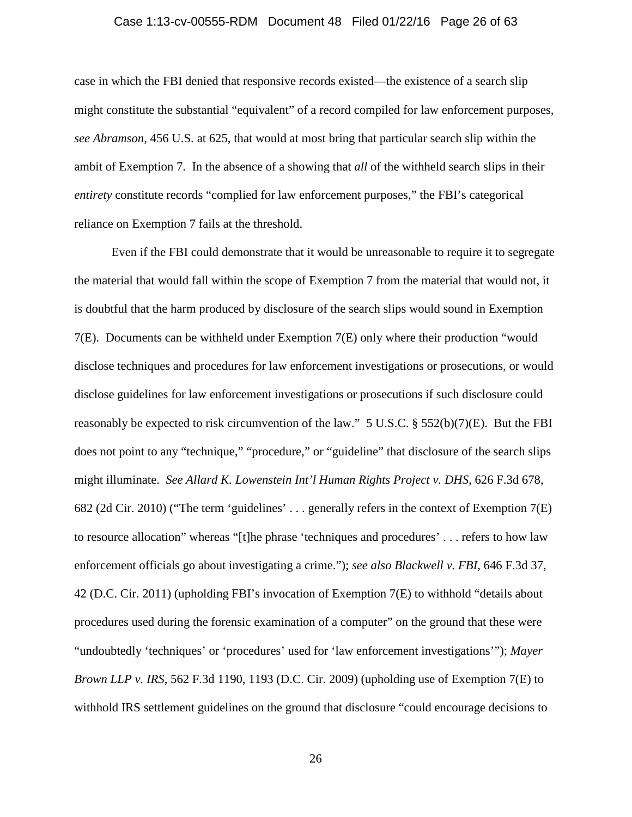#### Case 1:13-cv-00555-RDM Document 48 Filed 01/22/16 Page 26 of 63

case in which the FBI denied that responsive records existed—the existence of a search slip might constitute the substantial "equivalent" of a record compiled for law enforcement purposes, *see Abramson*, 456 U.S. at 625, that would at most bring that particular search slip within the ambit of Exemption 7. In the absence of a showing that *all* of the withheld search slips in their *entirety* constitute records "complied for law enforcement purposes," the FBI's categorical reliance on Exemption 7 fails at the threshold.

Even if the FBI could demonstrate that it would be unreasonable to require it to segregate the material that would fall within the scope of Exemption 7 from the material that would not, it is doubtful that the harm produced by disclosure of the search slips would sound in Exemption 7(E). Documents can be withheld under Exemption 7(E) only where their production "would disclose techniques and procedures for law enforcement investigations or prosecutions, or would disclose guidelines for law enforcement investigations or prosecutions if such disclosure could reasonably be expected to risk circumvention of the law." 5 U.S.C. § 552(b)(7)(E). But the FBI does not point to any "technique," "procedure," or "guideline" that disclosure of the search slips might illuminate. *See Allard K. Lowenstein Int'l Human Rights Project v. DHS*, 626 F.3d 678, 682 (2d Cir. 2010) ("The term 'guidelines' . . . generally refers in the context of Exemption 7(E) to resource allocation" whereas "[t]he phrase 'techniques and procedures' . . . refers to how law enforcement officials go about investigating a crime."); *see also Blackwell v. FBI*, 646 F.3d 37, 42 (D.C. Cir. 2011) (upholding FBI's invocation of Exemption 7(E) to withhold "details about procedures used during the forensic examination of a computer" on the ground that these were "undoubtedly 'techniques' or 'procedures' used for 'law enforcement investigations'"); *Mayer Brown LLP v. IRS*, 562 F.3d 1190, 1193 (D.C. Cir. 2009) (upholding use of Exemption 7(E) to withhold IRS settlement guidelines on the ground that disclosure "could encourage decisions to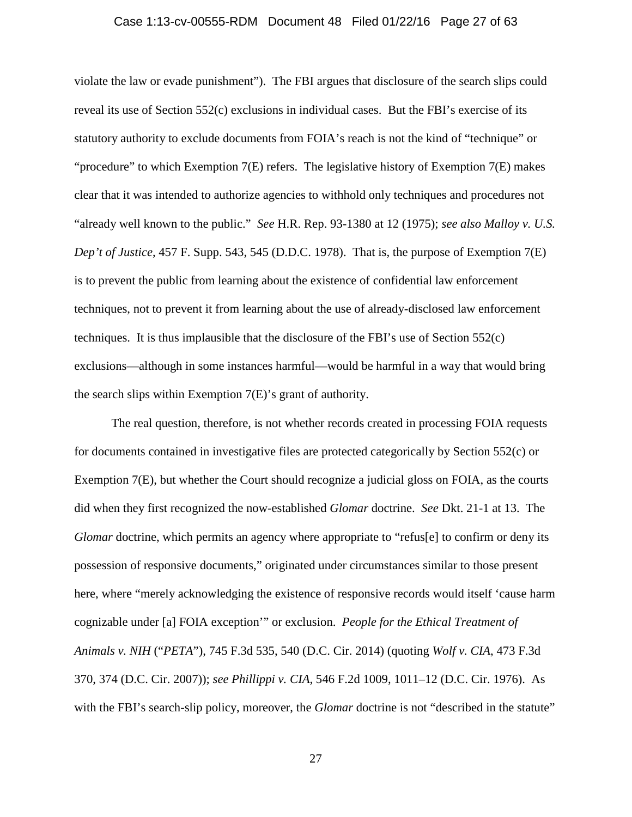## Case 1:13-cv-00555-RDM Document 48 Filed 01/22/16 Page 27 of 63

violate the law or evade punishment"). The FBI argues that disclosure of the search slips could reveal its use of Section 552(c) exclusions in individual cases. But the FBI's exercise of its statutory authority to exclude documents from FOIA's reach is not the kind of "technique" or "procedure" to which Exemption  $7(E)$  refers. The legislative history of Exemption  $7(E)$  makes clear that it was intended to authorize agencies to withhold only techniques and procedures not "already well known to the public." *See* H.R. Rep. 93-1380 at 12 (1975); *see also Malloy v. U.S. Dep't of Justice*, 457 F. Supp. 543, 545 (D.D.C. 1978). That is, the purpose of Exemption 7(E) is to prevent the public from learning about the existence of confidential law enforcement techniques, not to prevent it from learning about the use of already-disclosed law enforcement techniques. It is thus implausible that the disclosure of the FBI's use of Section 552(c) exclusions—although in some instances harmful—would be harmful in a way that would bring the search slips within Exemption 7(E)'s grant of authority.

The real question, therefore, is not whether records created in processing FOIA requests for documents contained in investigative files are protected categorically by Section 552(c) or Exemption 7(E), but whether the Court should recognize a judicial gloss on FOIA, as the courts did when they first recognized the now-established *Glomar* doctrine. *See* Dkt. 21-1 at 13. The *Glomar* doctrine, which permits an agency where appropriate to "refus[e] to confirm or deny its possession of responsive documents," originated under circumstances similar to those present here, where "merely acknowledging the existence of responsive records would itself 'cause harm cognizable under [a] FOIA exception'" or exclusion. *People for the Ethical Treatment of Animals v. NIH* ("*PETA*"), 745 F.3d 535, 540 (D.C. Cir. 2014) (quoting *Wolf v. CIA*, 473 F.3d 370, 374 (D.C. Cir. 2007)); *see Phillippi v. CIA*, 546 F.2d 1009, 1011–12 (D.C. Cir. 1976). As with the FBI's search-slip policy, moreover, the *Glomar* doctrine is not "described in the statute"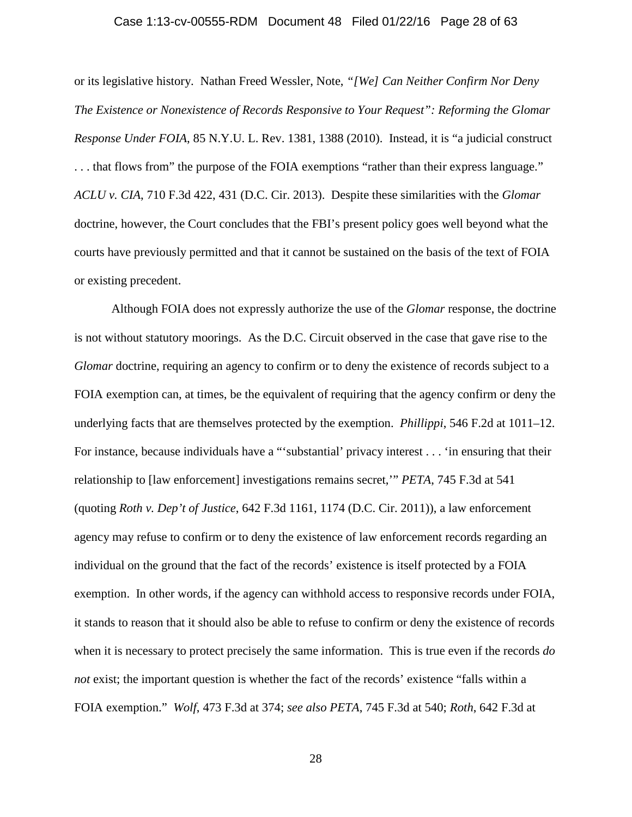# Case 1:13-cv-00555-RDM Document 48 Filed 01/22/16 Page 28 of 63

or its legislative history. Nathan Freed Wessler, Note, *"[We] Can Neither Confirm Nor Deny The Existence or Nonexistence of Records Responsive to Your Request": Reforming the Glomar Response Under FOIA*, 85 N.Y.U. L. Rev. 1381, 1388 (2010). Instead, it is "a judicial construct . . . that flows from" the purpose of the FOIA exemptions "rather than their express language." *ACLU v. CIA*, 710 F.3d 422, 431 (D.C. Cir. 2013). Despite these similarities with the *Glomar*  doctrine, however, the Court concludes that the FBI's present policy goes well beyond what the courts have previously permitted and that it cannot be sustained on the basis of the text of FOIA or existing precedent.

Although FOIA does not expressly authorize the use of the *Glomar* response, the doctrine is not without statutory moorings. As the D.C. Circuit observed in the case that gave rise to the *Glomar* doctrine, requiring an agency to confirm or to deny the existence of records subject to a FOIA exemption can, at times, be the equivalent of requiring that the agency confirm or deny the underlying facts that are themselves protected by the exemption. *Phillippi*, 546 F.2d at 1011–12. For instance, because individuals have a "'substantial' privacy interest . . . 'in ensuring that their relationship to [law enforcement] investigations remains secret,'" *PETA*, 745 F.3d at 541 (quoting *Roth v. Dep't of Justice*, 642 F.3d 1161, 1174 (D.C. Cir. 2011)), a law enforcement agency may refuse to confirm or to deny the existence of law enforcement records regarding an individual on the ground that the fact of the records' existence is itself protected by a FOIA exemption. In other words, if the agency can withhold access to responsive records under FOIA, it stands to reason that it should also be able to refuse to confirm or deny the existence of records when it is necessary to protect precisely the same information. This is true even if the records *do not* exist; the important question is whether the fact of the records' existence "falls within a FOIA exemption." *Wolf*, 473 F.3d at 374; *see also PETA*, 745 F.3d at 540; *Roth*, 642 F.3d at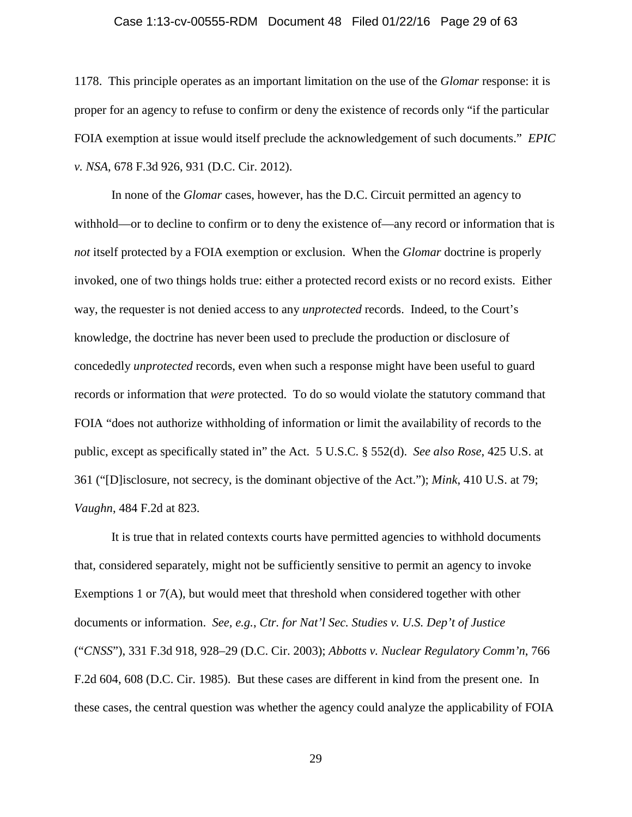#### Case 1:13-cv-00555-RDM Document 48 Filed 01/22/16 Page 29 of 63

1178. This principle operates as an important limitation on the use of the *Glomar* response: it is proper for an agency to refuse to confirm or deny the existence of records only "if the particular FOIA exemption at issue would itself preclude the acknowledgement of such documents." *EPIC v. NSA*, 678 F.3d 926, 931 (D.C. Cir. 2012).

In none of the *Glomar* cases, however, has the D.C. Circuit permitted an agency to withhold—or to decline to confirm or to deny the existence of—any record or information that is *not* itself protected by a FOIA exemption or exclusion. When the *Glomar* doctrine is properly invoked, one of two things holds true: either a protected record exists or no record exists. Either way, the requester is not denied access to any *unprotected* records. Indeed, to the Court's knowledge, the doctrine has never been used to preclude the production or disclosure of concededly *unprotected* records, even when such a response might have been useful to guard records or information that *were* protected. To do so would violate the statutory command that FOIA "does not authorize withholding of information or limit the availability of records to the public, except as specifically stated in" the Act. 5 U.S.C. § 552(d). *See also Rose*, 425 U.S. at 361 ("[D]isclosure, not secrecy, is the dominant objective of the Act."); *Mink*, 410 U.S. at 79; *Vaughn*, 484 F.2d at 823.

It is true that in related contexts courts have permitted agencies to withhold documents that, considered separately, might not be sufficiently sensitive to permit an agency to invoke Exemptions 1 or 7(A), but would meet that threshold when considered together with other documents or information. *See, e.g.*, *Ctr. for Nat'l Sec. Studies v. U.S. Dep't of Justice* ("*CNSS*"), 331 F.3d 918, 928–29 (D.C. Cir. 2003); *Abbotts v. Nuclear Regulatory Comm'n*, 766 F.2d 604, 608 (D.C. Cir. 1985). But these cases are different in kind from the present one. In these cases, the central question was whether the agency could analyze the applicability of FOIA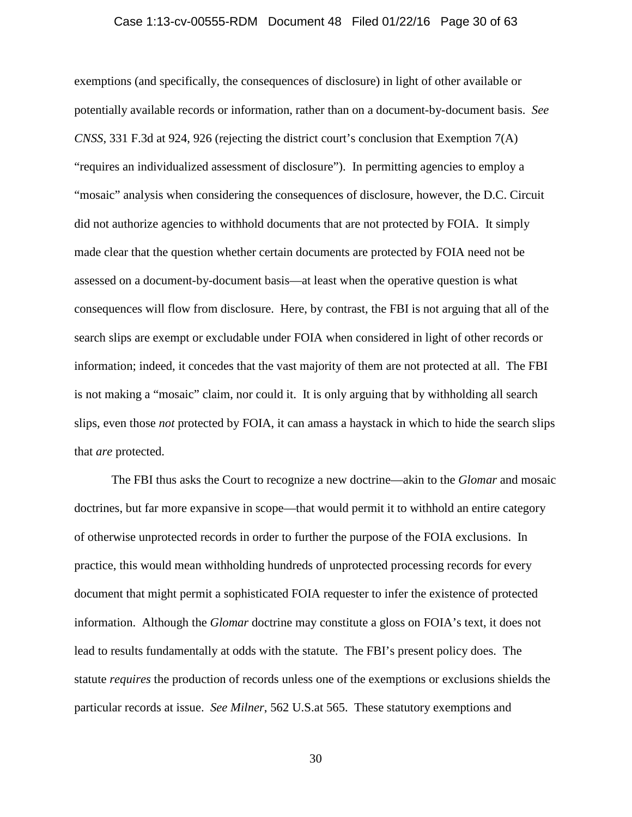## Case 1:13-cv-00555-RDM Document 48 Filed 01/22/16 Page 30 of 63

exemptions (and specifically, the consequences of disclosure) in light of other available or potentially available records or information, rather than on a document-by-document basis. *See CNSS*, 331 F.3d at 924, 926 (rejecting the district court's conclusion that Exemption 7(A) "requires an individualized assessment of disclosure"). In permitting agencies to employ a "mosaic" analysis when considering the consequences of disclosure, however, the D.C. Circuit did not authorize agencies to withhold documents that are not protected by FOIA. It simply made clear that the question whether certain documents are protected by FOIA need not be assessed on a document-by-document basis—at least when the operative question is what consequences will flow from disclosure. Here, by contrast, the FBI is not arguing that all of the search slips are exempt or excludable under FOIA when considered in light of other records or information; indeed, it concedes that the vast majority of them are not protected at all. The FBI is not making a "mosaic" claim, nor could it. It is only arguing that by withholding all search slips, even those *not* protected by FOIA, it can amass a haystack in which to hide the search slips that *are* protected.

The FBI thus asks the Court to recognize a new doctrine—akin to the *Glomar* and mosaic doctrines, but far more expansive in scope—that would permit it to withhold an entire category of otherwise unprotected records in order to further the purpose of the FOIA exclusions. In practice, this would mean withholding hundreds of unprotected processing records for every document that might permit a sophisticated FOIA requester to infer the existence of protected information. Although the *Glomar* doctrine may constitute a gloss on FOIA's text, it does not lead to results fundamentally at odds with the statute. The FBI's present policy does. The statute *requires* the production of records unless one of the exemptions or exclusions shields the particular records at issue. *See Milner*, 562 U.S.at 565. These statutory exemptions and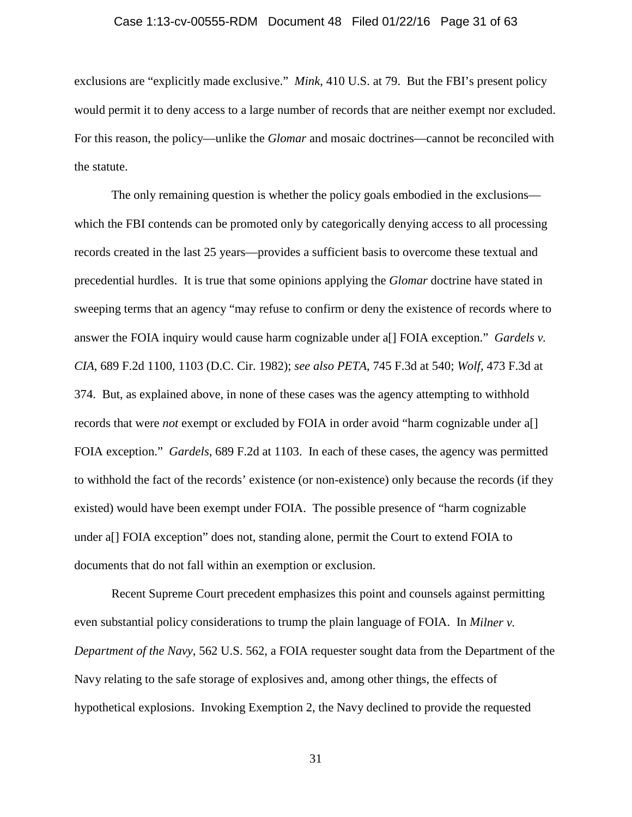# Case 1:13-cv-00555-RDM Document 48 Filed 01/22/16 Page 31 of 63

exclusions are "explicitly made exclusive." *Mink*, 410 U.S. at 79. But the FBI's present policy would permit it to deny access to a large number of records that are neither exempt nor excluded. For this reason, the policy—unlike the *Glomar* and mosaic doctrines—cannot be reconciled with the statute.

The only remaining question is whether the policy goals embodied in the exclusions which the FBI contends can be promoted only by categorically denying access to all processing records created in the last 25 years—provides a sufficient basis to overcome these textual and precedential hurdles. It is true that some opinions applying the *Glomar* doctrine have stated in sweeping terms that an agency "may refuse to confirm or deny the existence of records where to answer the FOIA inquiry would cause harm cognizable under a[] FOIA exception." *Gardels v. CIA*, 689 F.2d 1100, 1103 (D.C. Cir. 1982); *see also PETA*, 745 F.3d at 540; *Wolf*, 473 F.3d at 374. But, as explained above, in none of these cases was the agency attempting to withhold records that were *not* exempt or excluded by FOIA in order avoid "harm cognizable under a[] FOIA exception." *Gardels*, 689 F.2d at 1103. In each of these cases, the agency was permitted to withhold the fact of the records' existence (or non-existence) only because the records (if they existed) would have been exempt under FOIA. The possible presence of "harm cognizable under a[] FOIA exception" does not, standing alone, permit the Court to extend FOIA to documents that do not fall within an exemption or exclusion.

Recent Supreme Court precedent emphasizes this point and counsels against permitting even substantial policy considerations to trump the plain language of FOIA. In *Milner v. Department of the Navy*, 562 U.S. 562, a FOIA requester sought data from the Department of the Navy relating to the safe storage of explosives and, among other things, the effects of hypothetical explosions. Invoking Exemption 2, the Navy declined to provide the requested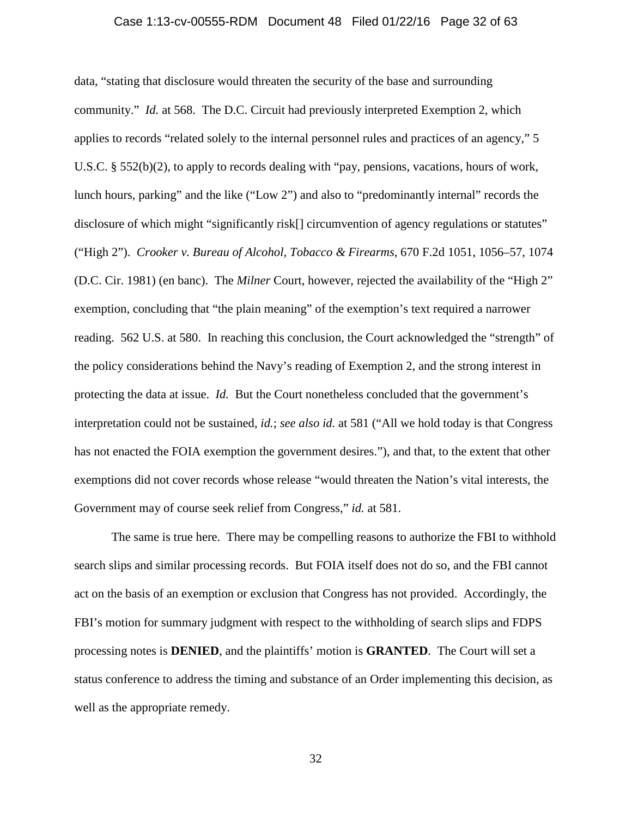## Case 1:13-cv-00555-RDM Document 48 Filed 01/22/16 Page 32 of 63

data, "stating that disclosure would threaten the security of the base and surrounding community." *Id.* at 568. The D.C. Circuit had previously interpreted Exemption 2, which applies to records "related solely to the internal personnel rules and practices of an agency," 5 U.S.C. § 552(b)(2), to apply to records dealing with "pay, pensions, vacations, hours of work, lunch hours, parking" and the like ("Low 2") and also to "predominantly internal" records the disclosure of which might "significantly risk<sup>[]</sup> circumvention of agency regulations or statutes" ("High 2"). *Crooker v. Bureau of Alcohol, Tobacco & Firearms*, 670 F.2d 1051, 1056–57, 1074 (D.C. Cir. 1981) (en banc). The *Milner* Court, however, rejected the availability of the "High 2" exemption, concluding that "the plain meaning" of the exemption's text required a narrower reading. 562 U.S. at 580. In reaching this conclusion, the Court acknowledged the "strength" of the policy considerations behind the Navy's reading of Exemption 2, and the strong interest in protecting the data at issue. *Id.* But the Court nonetheless concluded that the government's interpretation could not be sustained, *id.*; *see also id.* at 581 ("All we hold today is that Congress has not enacted the FOIA exemption the government desires."), and that, to the extent that other exemptions did not cover records whose release "would threaten the Nation's vital interests, the Government may of course seek relief from Congress," *id.* at 581.

The same is true here. There may be compelling reasons to authorize the FBI to withhold search slips and similar processing records. But FOIA itself does not do so, and the FBI cannot act on the basis of an exemption or exclusion that Congress has not provided. Accordingly, the FBI's motion for summary judgment with respect to the withholding of search slips and FDPS processing notes is **DENIED**, and the plaintiffs' motion is **GRANTED**. The Court will set a status conference to address the timing and substance of an Order implementing this decision, as well as the appropriate remedy.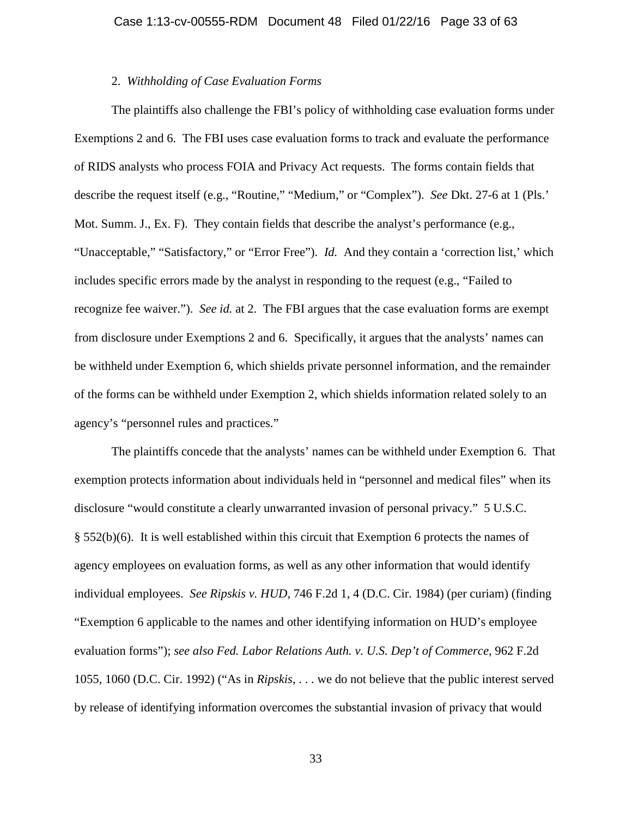## 2. *Withholding of Case Evaluation Forms*

The plaintiffs also challenge the FBI's policy of withholding case evaluation forms under Exemptions 2 and 6. The FBI uses case evaluation forms to track and evaluate the performance of RIDS analysts who process FOIA and Privacy Act requests. The forms contain fields that describe the request itself (e.g., "Routine," "Medium," or "Complex"). *See* Dkt. 27-6 at 1 (Pls.' Mot. Summ. J., Ex. F). They contain fields that describe the analyst's performance (e.g., "Unacceptable," "Satisfactory," or "Error Free"). *Id.* And they contain a 'correction list,' which includes specific errors made by the analyst in responding to the request (e.g., "Failed to recognize fee waiver."). *See id.* at 2. The FBI argues that the case evaluation forms are exempt from disclosure under Exemptions 2 and 6. Specifically, it argues that the analysts' names can be withheld under Exemption 6, which shields private personnel information, and the remainder of the forms can be withheld under Exemption 2, which shields information related solely to an agency's "personnel rules and practices."

The plaintiffs concede that the analysts' names can be withheld under Exemption 6. That exemption protects information about individuals held in "personnel and medical files" when its disclosure "would constitute a clearly unwarranted invasion of personal privacy." 5 U.S.C.  $\S$  552(b)(6). It is well established within this circuit that Exemption 6 protects the names of agency employees on evaluation forms, as well as any other information that would identify individual employees. *See Ripskis v. HUD*, 746 F.2d 1, 4 (D.C. Cir. 1984) (per curiam) (finding "Exemption 6 applicable to the names and other identifying information on HUD's employee evaluation forms"); *see also Fed. Labor Relations Auth. v. U.S. Dep't of Commerce*, 962 F.2d 1055, 1060 (D.C. Cir. 1992) ("As in *Ripskis*, . . . we do not believe that the public interest served by release of identifying information overcomes the substantial invasion of privacy that would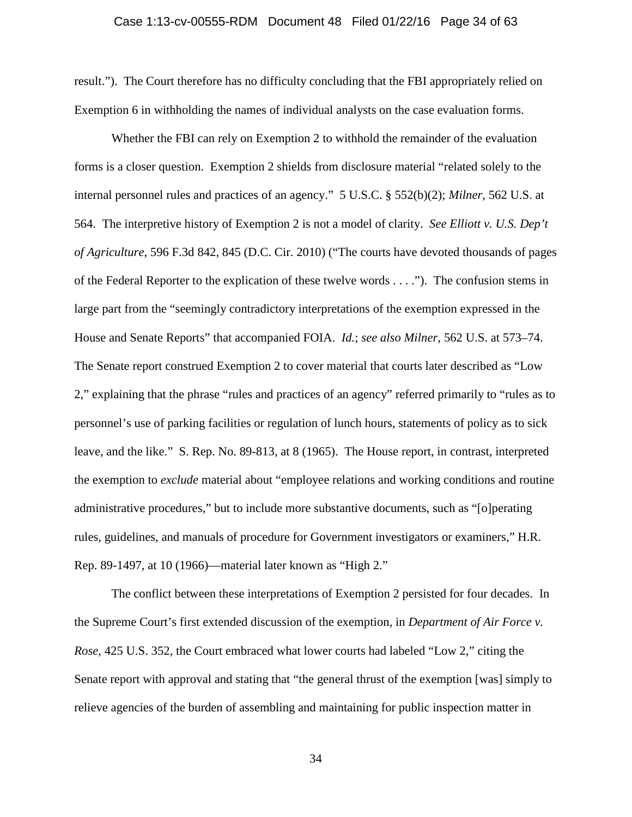## Case 1:13-cv-00555-RDM Document 48 Filed 01/22/16 Page 34 of 63

result."). The Court therefore has no difficulty concluding that the FBI appropriately relied on Exemption 6 in withholding the names of individual analysts on the case evaluation forms.

Whether the FBI can rely on Exemption 2 to withhold the remainder of the evaluation forms is a closer question. Exemption 2 shields from disclosure material "related solely to the internal personnel rules and practices of an agency." 5 U.S.C. § 552(b)(2); *Milner*, 562 U.S. at 564. The interpretive history of Exemption 2 is not a model of clarity. *See Elliott v. U.S. Dep't of Agriculture*, 596 F.3d 842, 845 (D.C. Cir. 2010) ("The courts have devoted thousands of pages of the Federal Reporter to the explication of these twelve words . . . ."). The confusion stems in large part from the "seemingly contradictory interpretations of the exemption expressed in the House and Senate Reports" that accompanied FOIA. *Id.*; *see also Milner*, 562 U.S. at 573–74. The Senate report construed Exemption 2 to cover material that courts later described as "Low 2," explaining that the phrase "rules and practices of an agency" referred primarily to "rules as to personnel's use of parking facilities or regulation of lunch hours, statements of policy as to sick leave, and the like." S. Rep. No. 89-813, at 8 (1965). The House report, in contrast, interpreted the exemption to *exclude* material about "employee relations and working conditions and routine administrative procedures," but to include more substantive documents, such as "[o]perating rules, guidelines, and manuals of procedure for Government investigators or examiners," H.R. Rep. 89-1497, at 10 (1966)—material later known as "High 2."

The conflict between these interpretations of Exemption 2 persisted for four decades. In the Supreme Court's first extended discussion of the exemption, in *Department of Air Force v. Rose*, 425 U.S. 352, the Court embraced what lower courts had labeled "Low 2," citing the Senate report with approval and stating that "the general thrust of the exemption [was] simply to relieve agencies of the burden of assembling and maintaining for public inspection matter in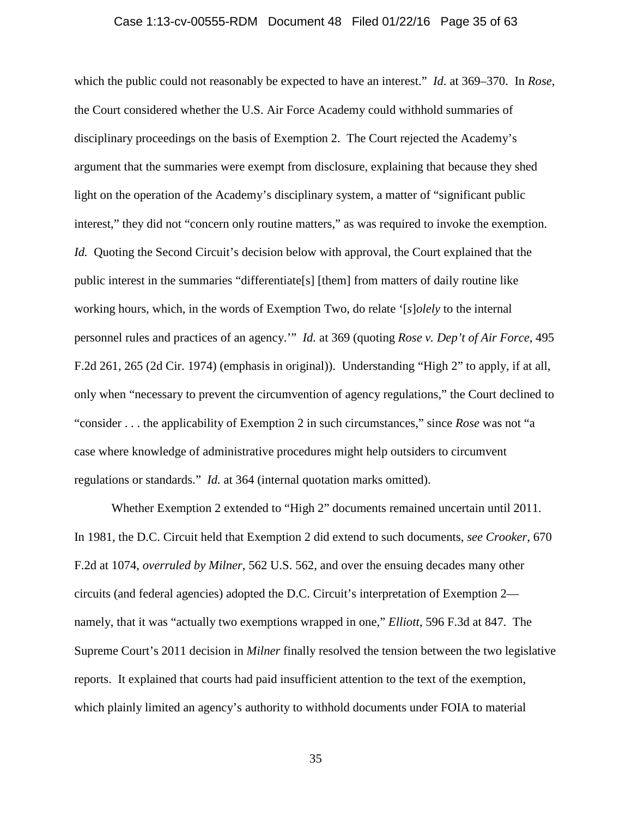## Case 1:13-cv-00555-RDM Document 48 Filed 01/22/16 Page 35 of 63

which the public could not reasonably be expected to have an interest." *Id.* at 369–370. In *Rose*, the Court considered whether the U.S. Air Force Academy could withhold summaries of disciplinary proceedings on the basis of Exemption 2. The Court rejected the Academy's argument that the summaries were exempt from disclosure, explaining that because they shed light on the operation of the Academy's disciplinary system, a matter of "significant public interest," they did not "concern only routine matters," as was required to invoke the exemption. *Id.* Quoting the Second Circuit's decision below with approval, the Court explained that the public interest in the summaries "differentiate[s] [them] from matters of daily routine like working hours, which, in the words of Exemption Two, do relate '[*s*]*olely* to the internal personnel rules and practices of an agency.'" *Id.* at 369 (quoting *Rose v. Dep't of Air Force*, 495 F.2d 261, 265 (2d Cir. 1974) (emphasis in original)). Understanding "High 2" to apply, if at all, only when "necessary to prevent the circumvention of agency regulations," the Court declined to "consider . . . the applicability of Exemption 2 in such circumstances," since *Rose* was not "a case where knowledge of administrative procedures might help outsiders to circumvent regulations or standards." *Id.* at 364 (internal quotation marks omitted).

Whether Exemption 2 extended to "High 2" documents remained uncertain until 2011. In 1981, the D.C. Circuit held that Exemption 2 did extend to such documents, *see Crooker*, 670 F.2d at 1074, *overruled by Milner*, 562 U.S. 562, and over the ensuing decades many other circuits (and federal agencies) adopted the D.C. Circuit's interpretation of Exemption 2 namely, that it was "actually two exemptions wrapped in one," *Elliott*, 596 F.3d at 847. The Supreme Court's 2011 decision in *Milner* finally resolved the tension between the two legislative reports. It explained that courts had paid insufficient attention to the text of the exemption, which plainly limited an agency's authority to withhold documents under FOIA to material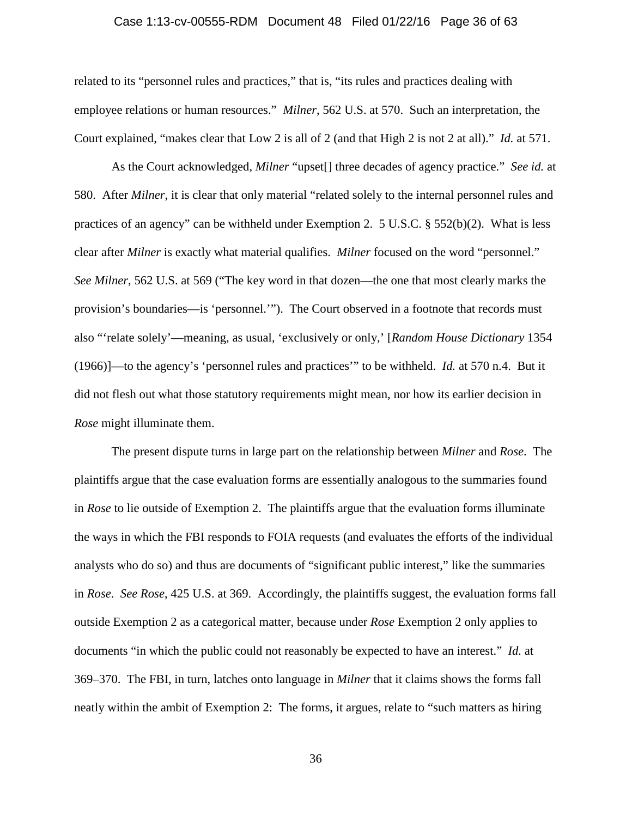## Case 1:13-cv-00555-RDM Document 48 Filed 01/22/16 Page 36 of 63

related to its "personnel rules and practices," that is, "its rules and practices dealing with employee relations or human resources." *Milner*, 562 U.S. at 570. Such an interpretation, the Court explained, "makes clear that Low 2 is all of 2 (and that High 2 is not 2 at all)." *Id.* at 571.

As the Court acknowledged, *Milner* "upset[] three decades of agency practice." *See id.* at 580. After *Milner*, it is clear that only material "related solely to the internal personnel rules and practices of an agency" can be withheld under Exemption 2. 5 U.S.C.  $\S$  552(b)(2). What is less clear after *Milner* is exactly what material qualifies. *Milner* focused on the word "personnel." *See Milner*, 562 U.S. at 569 ("The key word in that dozen—the one that most clearly marks the provision's boundaries—is 'personnel.'"). The Court observed in a footnote that records must also "'relate solely'—meaning, as usual, 'exclusively or only,' [*Random House Dictionary* 1354 (1966)]—to the agency's 'personnel rules and practices'" to be withheld. *Id.* at 570 n.4. But it did not flesh out what those statutory requirements might mean, nor how its earlier decision in *Rose* might illuminate them.

The present dispute turns in large part on the relationship between *Milner* and *Rose*. The plaintiffs argue that the case evaluation forms are essentially analogous to the summaries found in *Rose* to lie outside of Exemption 2. The plaintiffs argue that the evaluation forms illuminate the ways in which the FBI responds to FOIA requests (and evaluates the efforts of the individual analysts who do so) and thus are documents of "significant public interest," like the summaries in *Rose*. *See Rose*, 425 U.S. at 369. Accordingly, the plaintiffs suggest, the evaluation forms fall outside Exemption 2 as a categorical matter, because under *Rose* Exemption 2 only applies to documents "in which the public could not reasonably be expected to have an interest." *Id.* at 369–370. The FBI, in turn, latches onto language in *Milner* that it claims shows the forms fall neatly within the ambit of Exemption 2: The forms, it argues, relate to "such matters as hiring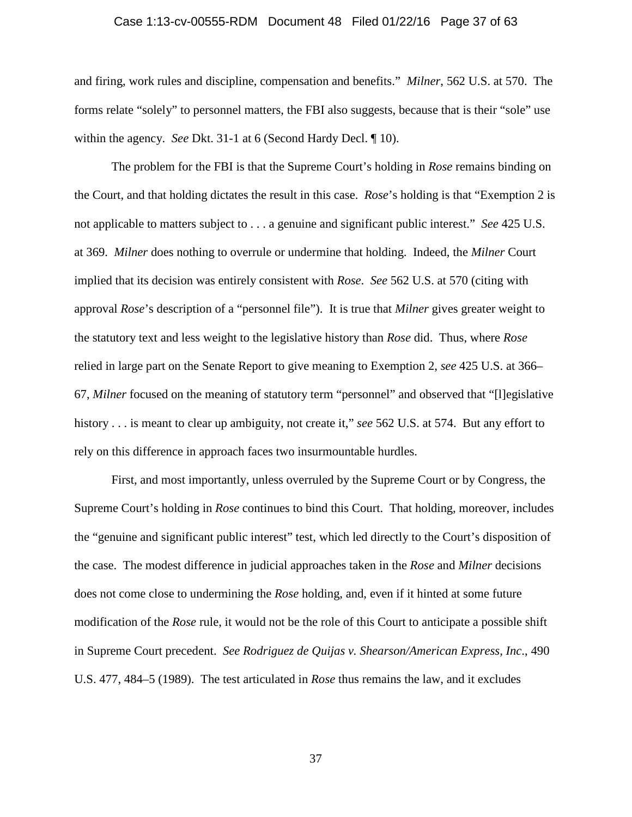## Case 1:13-cv-00555-RDM Document 48 Filed 01/22/16 Page 37 of 63

and firing, work rules and discipline, compensation and benefits." *Milner*, 562 U.S. at 570. The forms relate "solely" to personnel matters, the FBI also suggests, because that is their "sole" use within the agency. *See* Dkt. 31-1 at 6 (Second Hardy Decl. ¶ 10).

The problem for the FBI is that the Supreme Court's holding in *Rose* remains binding on the Court, and that holding dictates the result in this case. *Rose*'s holding is that "Exemption 2 is not applicable to matters subject to . . . a genuine and significant public interest." *See* 425 U.S. at 369. *Milner* does nothing to overrule or undermine that holding. Indeed, the *Milner* Court implied that its decision was entirely consistent with *Rose*. *See* 562 U.S. at 570 (citing with approval *Rose*'s description of a "personnel file"). It is true that *Milner* gives greater weight to the statutory text and less weight to the legislative history than *Rose* did. Thus, where *Rose*  relied in large part on the Senate Report to give meaning to Exemption 2, *see* 425 U.S. at 366– 67, *Milner* focused on the meaning of statutory term "personnel" and observed that "[l]egislative history . . . is meant to clear up ambiguity, not create it," *see* 562 U.S. at 574. But any effort to rely on this difference in approach faces two insurmountable hurdles.

First, and most importantly, unless overruled by the Supreme Court or by Congress, the Supreme Court's holding in *Rose* continues to bind this Court. That holding, moreover, includes the "genuine and significant public interest" test, which led directly to the Court's disposition of the case. The modest difference in judicial approaches taken in the *Rose* and *Milner* decisions does not come close to undermining the *Rose* holding, and, even if it hinted at some future modification of the *Rose* rule, it would not be the role of this Court to anticipate a possible shift in Supreme Court precedent. *See Rodriguez de Quijas v. Shearson/American Express, Inc*., 490 U.S. 477, 484–5 (1989). The test articulated in *Rose* thus remains the law, and it excludes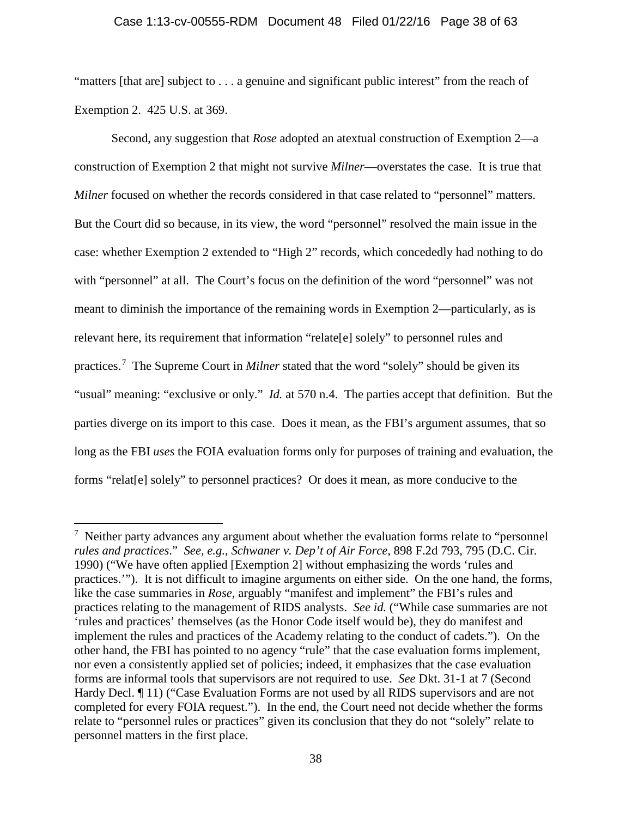#### Case 1:13-cv-00555-RDM Document 48 Filed 01/22/16 Page 38 of 63

"matters [that are] subject to . . . a genuine and significant public interest" from the reach of Exemption 2. 425 U.S. at 369.

Second, any suggestion that *Rose* adopted an atextual construction of Exemption 2—a construction of Exemption 2 that might not survive *Milner*—overstates the case. It is true that *Milner* focused on whether the records considered in that case related to "personnel" matters. But the Court did so because, in its view, the word "personnel" resolved the main issue in the case: whether Exemption 2 extended to "High 2" records, which concededly had nothing to do with "personnel" at all. The Court's focus on the definition of the word "personnel" was not meant to diminish the importance of the remaining words in Exemption 2—particularly, as is relevant here, its requirement that information "relate[e] solely" to personnel rules and practices.[7](#page-37-0) The Supreme Court in *Milner* stated that the word "solely" should be given its "usual" meaning: "exclusive or only." *Id.* at 570 n.4. The parties accept that definition. But the parties diverge on its import to this case. Does it mean, as the FBI's argument assumes, that so long as the FBI *uses* the FOIA evaluation forms only for purposes of training and evaluation, the forms "relat[e] solely" to personnel practices? Or does it mean, as more conducive to the

 $\overline{\phantom{a}}$ 

<span id="page-37-0"></span> $<sup>7</sup>$  Neither party advances any argument about whether the evaluation forms relate to "personnel"</sup> *rules and practices*." *See, e.g.*, *Schwaner v. Dep't of Air Force*, 898 F.2d 793, 795 (D.C. Cir. 1990) ("We have often applied [Exemption 2] without emphasizing the words 'rules and practices.'"). It is not difficult to imagine arguments on either side. On the one hand, the forms, like the case summaries in *Rose*, arguably "manifest and implement" the FBI's rules and practices relating to the management of RIDS analysts. *See id.* ("While case summaries are not 'rules and practices' themselves (as the Honor Code itself would be), they do manifest and implement the rules and practices of the Academy relating to the conduct of cadets."). On the other hand, the FBI has pointed to no agency "rule" that the case evaluation forms implement, nor even a consistently applied set of policies; indeed, it emphasizes that the case evaluation forms are informal tools that supervisors are not required to use. *See* Dkt. 31-1 at 7 (Second Hardy Decl. ¶ 11) ("Case Evaluation Forms are not used by all RIDS supervisors and are not completed for every FOIA request."). In the end, the Court need not decide whether the forms relate to "personnel rules or practices" given its conclusion that they do not "solely" relate to personnel matters in the first place.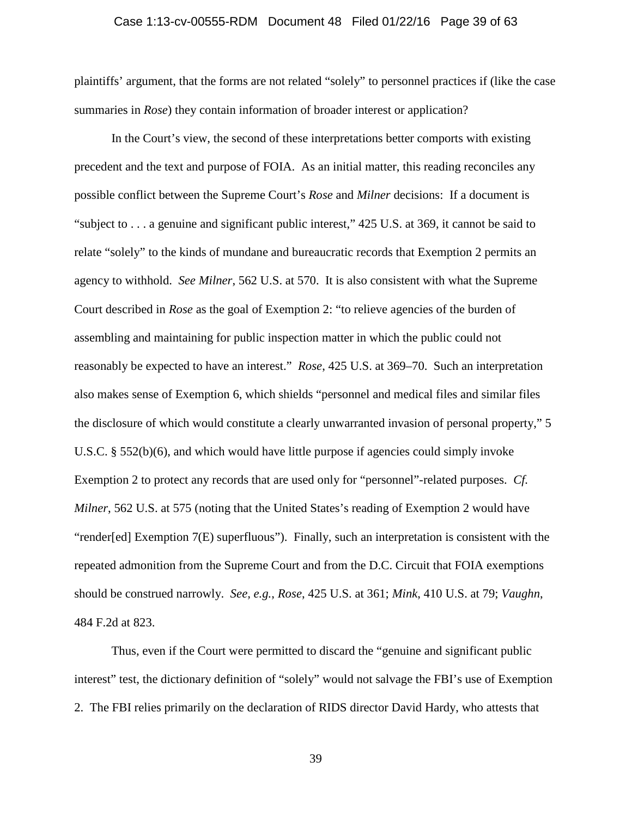## Case 1:13-cv-00555-RDM Document 48 Filed 01/22/16 Page 39 of 63

plaintiffs' argument, that the forms are not related "solely" to personnel practices if (like the case summaries in *Rose*) they contain information of broader interest or application?

In the Court's view, the second of these interpretations better comports with existing precedent and the text and purpose of FOIA. As an initial matter, this reading reconciles any possible conflict between the Supreme Court's *Rose* and *Milner* decisions: If a document is "subject to . . . a genuine and significant public interest," 425 U.S. at 369, it cannot be said to relate "solely" to the kinds of mundane and bureaucratic records that Exemption 2 permits an agency to withhold. *See Milner*, 562 U.S. at 570. It is also consistent with what the Supreme Court described in *Rose* as the goal of Exemption 2: "to relieve agencies of the burden of assembling and maintaining for public inspection matter in which the public could not reasonably be expected to have an interest." *Rose*, 425 U.S. at 369–70. Such an interpretation also makes sense of Exemption 6, which shields "personnel and medical files and similar files the disclosure of which would constitute a clearly unwarranted invasion of personal property," 5 U.S.C. § 552(b)(6), and which would have little purpose if agencies could simply invoke Exemption 2 to protect any records that are used only for "personnel"-related purposes. *Cf. Milner*, 562 U.S. at 575 (noting that the United States's reading of Exemption 2 would have "render[ed] Exemption 7(E) superfluous"). Finally, such an interpretation is consistent with the repeated admonition from the Supreme Court and from the D.C. Circuit that FOIA exemptions should be construed narrowly. *See, e.g.*, *Rose*, 425 U.S. at 361; *Mink*, 410 U.S. at 79; *Vaughn*, 484 F.2d at 823.

Thus, even if the Court were permitted to discard the "genuine and significant public interest" test, the dictionary definition of "solely" would not salvage the FBI's use of Exemption 2. The FBI relies primarily on the declaration of RIDS director David Hardy, who attests that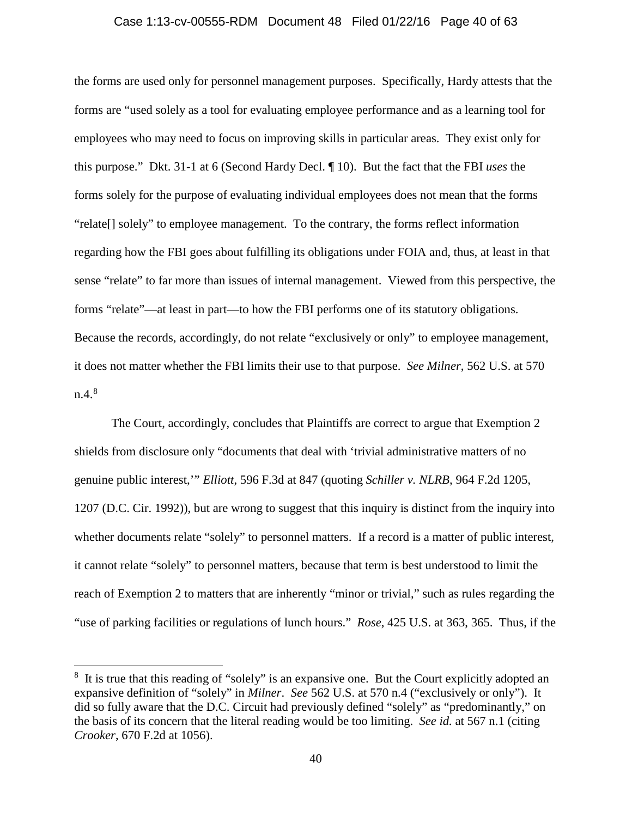#### Case 1:13-cv-00555-RDM Document 48 Filed 01/22/16 Page 40 of 63

the forms are used only for personnel management purposes. Specifically, Hardy attests that the forms are "used solely as a tool for evaluating employee performance and as a learning tool for employees who may need to focus on improving skills in particular areas. They exist only for this purpose." Dkt. 31-1 at 6 (Second Hardy Decl. ¶ 10). But the fact that the FBI *uses* the forms solely for the purpose of evaluating individual employees does not mean that the forms "relate[] solely" to employee management. To the contrary, the forms reflect information regarding how the FBI goes about fulfilling its obligations under FOIA and, thus, at least in that sense "relate" to far more than issues of internal management. Viewed from this perspective, the forms "relate"—at least in part—to how the FBI performs one of its statutory obligations. Because the records, accordingly, do not relate "exclusively or only" to employee management, it does not matter whether the FBI limits their use to that purpose. *See Milner*, 562 U.S. at 570 n.4.[8](#page-39-0)

The Court, accordingly, concludes that Plaintiffs are correct to argue that Exemption 2 shields from disclosure only "documents that deal with 'trivial administrative matters of no genuine public interest,'" *Elliott*, 596 F.3d at 847 (quoting *Schiller v. NLRB*, 964 F.2d 1205, 1207 (D.C. Cir. 1992)), but are wrong to suggest that this inquiry is distinct from the inquiry into whether documents relate "solely" to personnel matters. If a record is a matter of public interest, it cannot relate "solely" to personnel matters, because that term is best understood to limit the reach of Exemption 2 to matters that are inherently "minor or trivial," such as rules regarding the "use of parking facilities or regulations of lunch hours." *Rose*, 425 U.S. at 363, 365. Thus, if the

 $\overline{\phantom{a}}$ 

<span id="page-39-0"></span><sup>&</sup>lt;sup>8</sup> It is true that this reading of "solely" is an expansive one. But the Court explicitly adopted an expansive definition of "solely" in *Milner*. *See* 562 U.S. at 570 n.4 ("exclusively or only"). It did so fully aware that the D.C. Circuit had previously defined "solely" as "predominantly," on the basis of its concern that the literal reading would be too limiting. *See id.* at 567 n.1 (citing *Crooker*, 670 F.2d at 1056).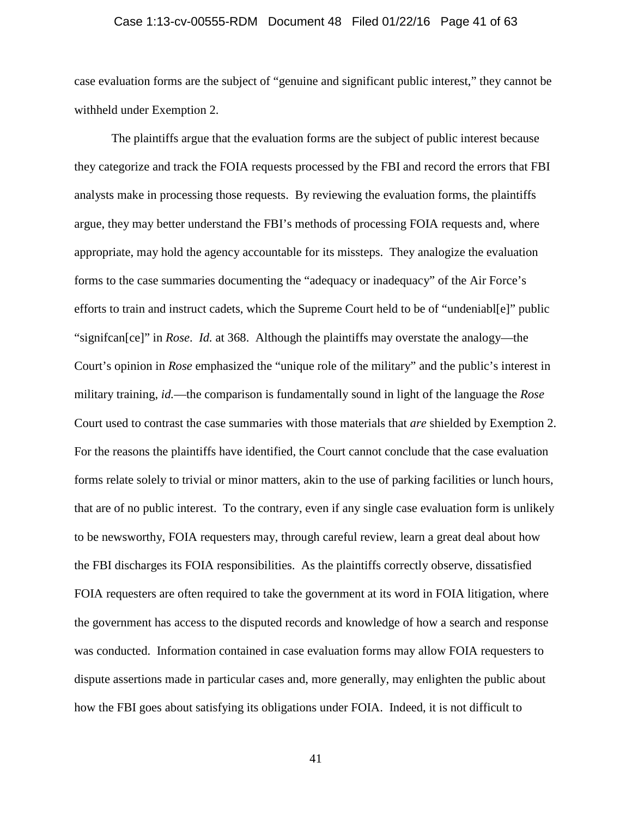### Case 1:13-cv-00555-RDM Document 48 Filed 01/22/16 Page 41 of 63

case evaluation forms are the subject of "genuine and significant public interest," they cannot be withheld under Exemption 2.

The plaintiffs argue that the evaluation forms are the subject of public interest because they categorize and track the FOIA requests processed by the FBI and record the errors that FBI analysts make in processing those requests. By reviewing the evaluation forms, the plaintiffs argue, they may better understand the FBI's methods of processing FOIA requests and, where appropriate, may hold the agency accountable for its missteps. They analogize the evaluation forms to the case summaries documenting the "adequacy or inadequacy" of the Air Force's efforts to train and instruct cadets, which the Supreme Court held to be of "undeniabl[e]" public "signifcan[ce]" in *Rose*. *Id.* at 368. Although the plaintiffs may overstate the analogy—the Court's opinion in *Rose* emphasized the "unique role of the military" and the public's interest in military training, *id.*—the comparison is fundamentally sound in light of the language the *Rose*  Court used to contrast the case summaries with those materials that *are* shielded by Exemption 2. For the reasons the plaintiffs have identified, the Court cannot conclude that the case evaluation forms relate solely to trivial or minor matters, akin to the use of parking facilities or lunch hours, that are of no public interest. To the contrary, even if any single case evaluation form is unlikely to be newsworthy, FOIA requesters may, through careful review, learn a great deal about how the FBI discharges its FOIA responsibilities. As the plaintiffs correctly observe, dissatisfied FOIA requesters are often required to take the government at its word in FOIA litigation, where the government has access to the disputed records and knowledge of how a search and response was conducted. Information contained in case evaluation forms may allow FOIA requesters to dispute assertions made in particular cases and, more generally, may enlighten the public about how the FBI goes about satisfying its obligations under FOIA. Indeed, it is not difficult to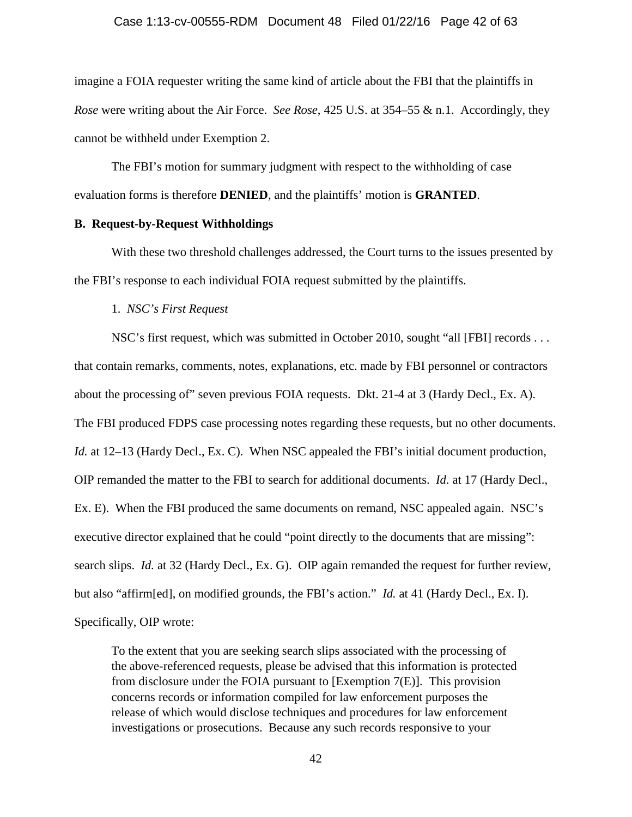### Case 1:13-cv-00555-RDM Document 48 Filed 01/22/16 Page 42 of 63

imagine a FOIA requester writing the same kind of article about the FBI that the plaintiffs in *Rose* were writing about the Air Force. *See Rose*, 425 U.S. at 354–55 & n.1. Accordingly, they cannot be withheld under Exemption 2.

The FBI's motion for summary judgment with respect to the withholding of case evaluation forms is therefore **DENIED**, and the plaintiffs' motion is **GRANTED**.

# **B. Request-by-Request Withholdings**

With these two threshold challenges addressed, the Court turns to the issues presented by the FBI's response to each individual FOIA request submitted by the plaintiffs.

# 1. *NSC's First Request*

NSC's first request, which was submitted in October 2010, sought "all [FBI] records . . . that contain remarks, comments, notes, explanations, etc. made by FBI personnel or contractors about the processing of" seven previous FOIA requests. Dkt. 21-4 at 3 (Hardy Decl., Ex. A). The FBI produced FDPS case processing notes regarding these requests, but no other documents. *Id.* at 12–13 (Hardy Decl., Ex. C). When NSC appealed the FBI's initial document production, OIP remanded the matter to the FBI to search for additional documents. *Id.* at 17 (Hardy Decl., Ex. E). When the FBI produced the same documents on remand, NSC appealed again. NSC's executive director explained that he could "point directly to the documents that are missing": search slips. *Id.* at 32 (Hardy Decl., Ex. G). OIP again remanded the request for further review, but also "affirm[ed], on modified grounds, the FBI's action." *Id.* at 41 (Hardy Decl., Ex. I). Specifically, OIP wrote:

To the extent that you are seeking search slips associated with the processing of the above-referenced requests, please be advised that this information is protected from disclosure under the FOIA pursuant to [Exemption 7(E)]. This provision concerns records or information compiled for law enforcement purposes the release of which would disclose techniques and procedures for law enforcement investigations or prosecutions. Because any such records responsive to your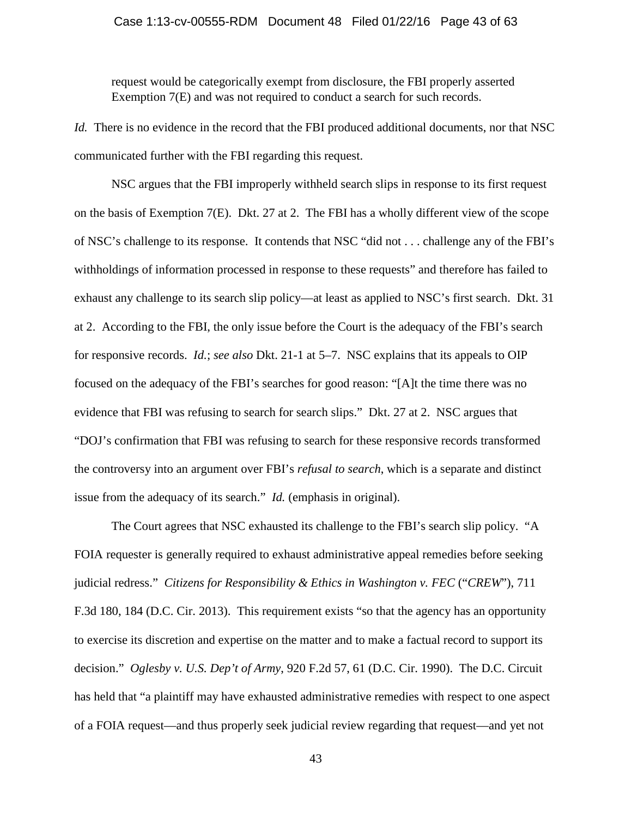## Case 1:13-cv-00555-RDM Document 48 Filed 01/22/16 Page 43 of 63

request would be categorically exempt from disclosure, the FBI properly asserted Exemption 7(E) and was not required to conduct a search for such records.

*Id.* There is no evidence in the record that the FBI produced additional documents, nor that NSC communicated further with the FBI regarding this request.

NSC argues that the FBI improperly withheld search slips in response to its first request on the basis of Exemption 7(E). Dkt. 27 at 2. The FBI has a wholly different view of the scope of NSC's challenge to its response. It contends that NSC "did not . . . challenge any of the FBI's withholdings of information processed in response to these requests" and therefore has failed to exhaust any challenge to its search slip policy—at least as applied to NSC's first search. Dkt. 31 at 2. According to the FBI, the only issue before the Court is the adequacy of the FBI's search for responsive records. *Id.*; *see also* Dkt. 21-1 at 5–7. NSC explains that its appeals to OIP focused on the adequacy of the FBI's searches for good reason: "[A]t the time there was no evidence that FBI was refusing to search for search slips." Dkt. 27 at 2. NSC argues that "DOJ's confirmation that FBI was refusing to search for these responsive records transformed the controversy into an argument over FBI's *refusal to search*, which is a separate and distinct issue from the adequacy of its search." *Id.* (emphasis in original).

The Court agrees that NSC exhausted its challenge to the FBI's search slip policy. "A FOIA requester is generally required to exhaust administrative appeal remedies before seeking judicial redress." *Citizens for Responsibility & Ethics in Washington v. FEC* ("*CREW*"), 711 F.3d 180, 184 (D.C. Cir. 2013). This requirement exists "so that the agency has an opportunity to exercise its discretion and expertise on the matter and to make a factual record to support its decision." *Oglesby v. U.S. Dep't of Army*, 920 F.2d 57, 61 (D.C. Cir. 1990). The D.C. Circuit has held that "a plaintiff may have exhausted administrative remedies with respect to one aspect of a FOIA request—and thus properly seek judicial review regarding that request—and yet not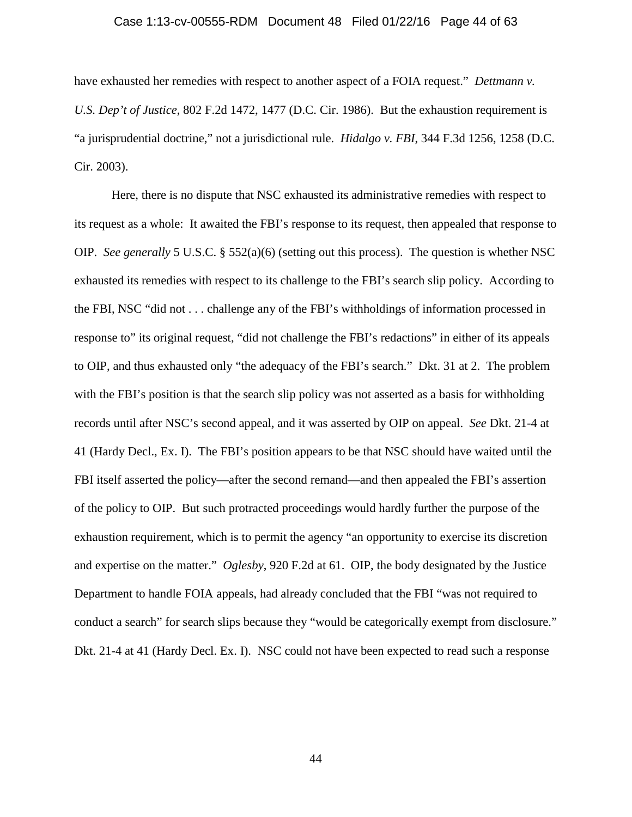# Case 1:13-cv-00555-RDM Document 48 Filed 01/22/16 Page 44 of 63

have exhausted her remedies with respect to another aspect of a FOIA request." *Dettmann v. U.S. Dep't of Justice*, 802 F.2d 1472, 1477 (D.C. Cir. 1986). But the exhaustion requirement is "a jurisprudential doctrine," not a jurisdictional rule. *Hidalgo v. FBI*, 344 F.3d 1256, 1258 (D.C. Cir. 2003).

Here, there is no dispute that NSC exhausted its administrative remedies with respect to its request as a whole: It awaited the FBI's response to its request, then appealed that response to OIP. *See generally* 5 U.S.C. § 552(a)(6) (setting out this process). The question is whether NSC exhausted its remedies with respect to its challenge to the FBI's search slip policy. According to the FBI, NSC "did not . . . challenge any of the FBI's withholdings of information processed in response to" its original request, "did not challenge the FBI's redactions" in either of its appeals to OIP, and thus exhausted only "the adequacy of the FBI's search." Dkt. 31 at 2. The problem with the FBI's position is that the search slip policy was not asserted as a basis for withholding records until after NSC's second appeal, and it was asserted by OIP on appeal. *See* Dkt. 21-4 at 41 (Hardy Decl., Ex. I). The FBI's position appears to be that NSC should have waited until the FBI itself asserted the policy—after the second remand—and then appealed the FBI's assertion of the policy to OIP. But such protracted proceedings would hardly further the purpose of the exhaustion requirement, which is to permit the agency "an opportunity to exercise its discretion and expertise on the matter." *Oglesby*, 920 F.2d at 61. OIP, the body designated by the Justice Department to handle FOIA appeals, had already concluded that the FBI "was not required to conduct a search" for search slips because they "would be categorically exempt from disclosure." Dkt. 21-4 at 41 (Hardy Decl. Ex. I). NSC could not have been expected to read such a response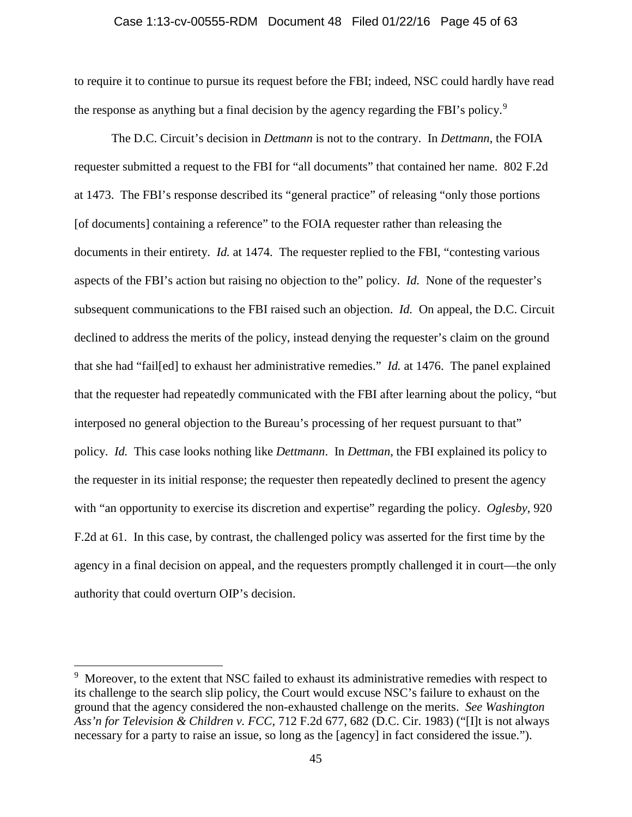#### Case 1:13-cv-00555-RDM Document 48 Filed 01/22/16 Page 45 of 63

to require it to continue to pursue its request before the FBI; indeed, NSC could hardly have read the response as anything but a final decision by the agency regarding the FBI's policy.<sup>[9](#page-44-0)</sup>

The D.C. Circuit's decision in *Dettmann* is not to the contrary. In *Dettmann*, the FOIA requester submitted a request to the FBI for "all documents" that contained her name. 802 F.2d at 1473. The FBI's response described its "general practice" of releasing "only those portions [of documents] containing a reference" to the FOIA requester rather than releasing the documents in their entirety. *Id.* at 1474. The requester replied to the FBI, "contesting various aspects of the FBI's action but raising no objection to the" policy. *Id.* None of the requester's subsequent communications to the FBI raised such an objection. *Id.* On appeal, the D.C. Circuit declined to address the merits of the policy, instead denying the requester's claim on the ground that she had "fail[ed] to exhaust her administrative remedies." *Id.* at 1476. The panel explained that the requester had repeatedly communicated with the FBI after learning about the policy, "but interposed no general objection to the Bureau's processing of her request pursuant to that" policy. *Id.* This case looks nothing like *Dettmann*. In *Dettman*, the FBI explained its policy to the requester in its initial response; the requester then repeatedly declined to present the agency with "an opportunity to exercise its discretion and expertise" regarding the policy. *Oglesby*, 920 F.2d at 61. In this case, by contrast, the challenged policy was asserted for the first time by the agency in a final decision on appeal, and the requesters promptly challenged it in court—the only authority that could overturn OIP's decision.

 $\overline{\phantom{a}}$ 

<span id="page-44-0"></span><sup>&</sup>lt;sup>9</sup> Moreover, to the extent that NSC failed to exhaust its administrative remedies with respect to its challenge to the search slip policy, the Court would excuse NSC's failure to exhaust on the ground that the agency considered the non-exhausted challenge on the merits. *See Washington Ass'n for Television & Children v. FCC*, 712 F.2d 677, 682 (D.C. Cir. 1983) ("[I]t is not always necessary for a party to raise an issue, so long as the [agency] in fact considered the issue.").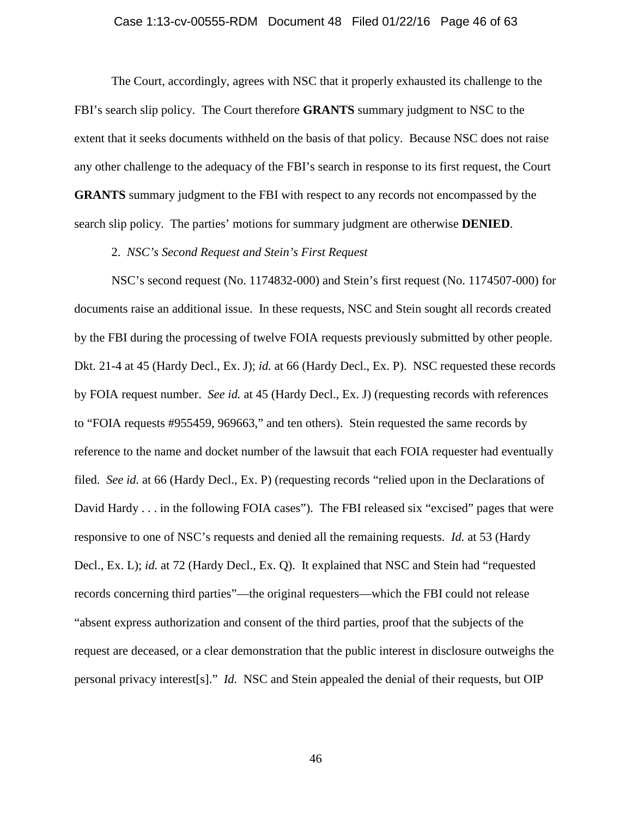## Case 1:13-cv-00555-RDM Document 48 Filed 01/22/16 Page 46 of 63

The Court, accordingly, agrees with NSC that it properly exhausted its challenge to the FBI's search slip policy. The Court therefore **GRANTS** summary judgment to NSC to the extent that it seeks documents withheld on the basis of that policy. Because NSC does not raise any other challenge to the adequacy of the FBI's search in response to its first request, the Court **GRANTS** summary judgment to the FBI with respect to any records not encompassed by the search slip policy. The parties' motions for summary judgment are otherwise **DENIED**.

## 2. *NSC's Second Request and Stein's First Request*

NSC's second request (No. 1174832-000) and Stein's first request (No. 1174507-000) for documents raise an additional issue. In these requests, NSC and Stein sought all records created by the FBI during the processing of twelve FOIA requests previously submitted by other people. Dkt. 21-4 at 45 (Hardy Decl., Ex. J); *id.* at 66 (Hardy Decl., Ex. P). NSC requested these records by FOIA request number. *See id.* at 45 (Hardy Decl., Ex. J) (requesting records with references to "FOIA requests #955459, 969663," and ten others). Stein requested the same records by reference to the name and docket number of the lawsuit that each FOIA requester had eventually filed. *See id.* at 66 (Hardy Decl., Ex. P) (requesting records "relied upon in the Declarations of David Hardy . . . in the following FOIA cases"). The FBI released six "excised" pages that were responsive to one of NSC's requests and denied all the remaining requests. *Id.* at 53 (Hardy Decl., Ex. L); *id.* at 72 (Hardy Decl., Ex. Q). It explained that NSC and Stein had "requested records concerning third parties"—the original requesters—which the FBI could not release "absent express authorization and consent of the third parties, proof that the subjects of the request are deceased, or a clear demonstration that the public interest in disclosure outweighs the personal privacy interest[s]." *Id.* NSC and Stein appealed the denial of their requests, but OIP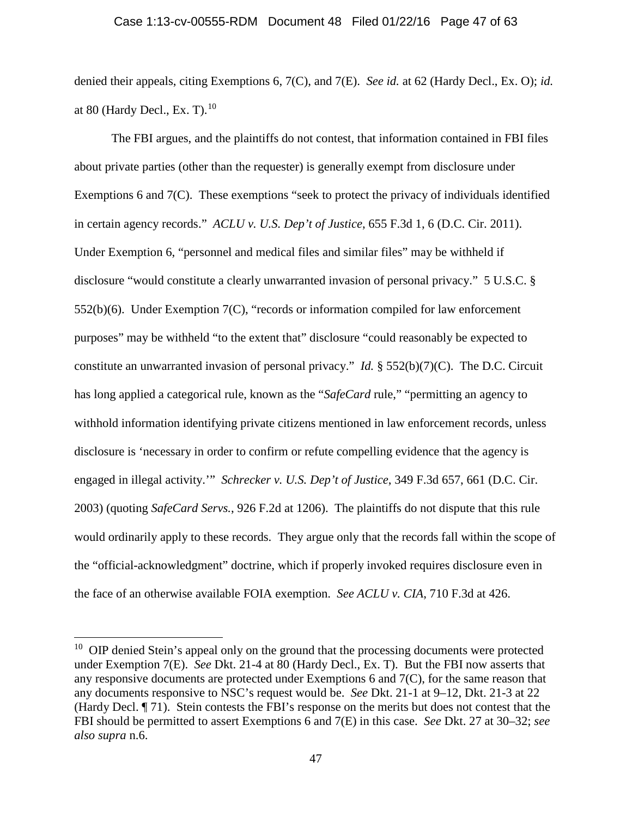### Case 1:13-cv-00555-RDM Document 48 Filed 01/22/16 Page 47 of 63

denied their appeals, citing Exemptions 6, 7(C), and 7(E). *See id.* at 62 (Hardy Decl., Ex. O); *id.* at 80 (Hardy Decl., Ex. T). $^{10}$  $^{10}$  $^{10}$ 

The FBI argues, and the plaintiffs do not contest, that information contained in FBI files about private parties (other than the requester) is generally exempt from disclosure under Exemptions 6 and 7(C). These exemptions "seek to protect the privacy of individuals identified in certain agency records." *ACLU v. U.S. Dep't of Justice*, 655 F.3d 1, 6 (D.C. Cir. 2011). Under Exemption 6, "personnel and medical files and similar files" may be withheld if disclosure "would constitute a clearly unwarranted invasion of personal privacy." 5 U.S.C. § 552(b)(6). Under Exemption 7(C), "records or information compiled for law enforcement purposes" may be withheld "to the extent that" disclosure "could reasonably be expected to constitute an unwarranted invasion of personal privacy." *Id.* § 552(b)(7)(C). The D.C. Circuit has long applied a categorical rule, known as the "*SafeCard* rule," "permitting an agency to withhold information identifying private citizens mentioned in law enforcement records, unless disclosure is 'necessary in order to confirm or refute compelling evidence that the agency is engaged in illegal activity.'" *Schrecker v. U.S. Dep't of Justice*, 349 F.3d 657, 661 (D.C. Cir. 2003) (quoting *SafeCard Servs.*, 926 F.2d at 1206). The plaintiffs do not dispute that this rule would ordinarily apply to these records. They argue only that the records fall within the scope of the "official-acknowledgment" doctrine, which if properly invoked requires disclosure even in the face of an otherwise available FOIA exemption. *See ACLU v. CIA*, 710 F.3d at 426.

 $\overline{a}$ 

<span id="page-46-0"></span><sup>&</sup>lt;sup>10</sup> OIP denied Stein's appeal only on the ground that the processing documents were protected under Exemption 7(E). *See* Dkt. 21-4 at 80 (Hardy Decl., Ex. T). But the FBI now asserts that any responsive documents are protected under Exemptions 6 and 7(C), for the same reason that any documents responsive to NSC's request would be. *See* Dkt. 21-1 at 9–12, Dkt. 21-3 at 22 (Hardy Decl. ¶ 71). Stein contests the FBI's response on the merits but does not contest that the FBI should be permitted to assert Exemptions 6 and 7(E) in this case. *See* Dkt. 27 at 30–32; *see also supra* n.6.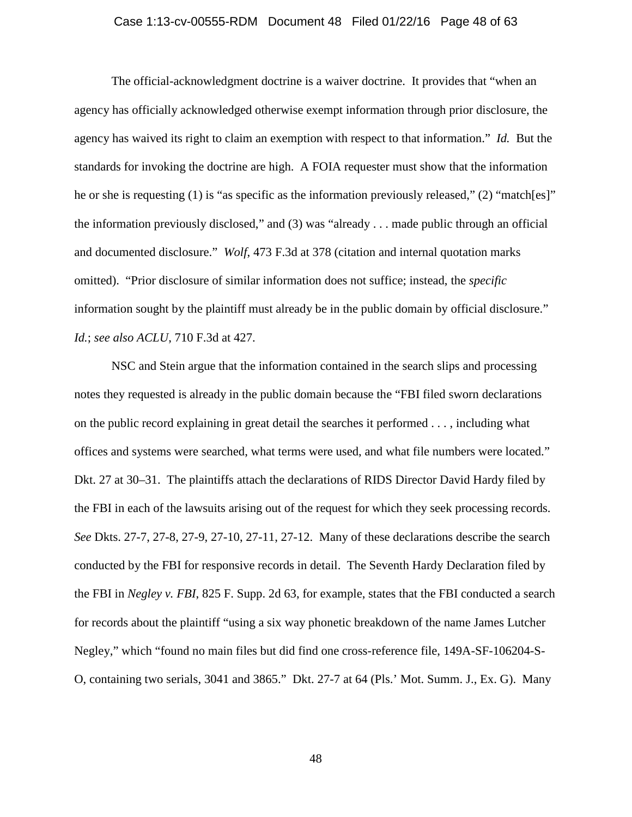## Case 1:13-cv-00555-RDM Document 48 Filed 01/22/16 Page 48 of 63

The official-acknowledgment doctrine is a waiver doctrine. It provides that "when an agency has officially acknowledged otherwise exempt information through prior disclosure, the agency has waived its right to claim an exemption with respect to that information." *Id.* But the standards for invoking the doctrine are high. A FOIA requester must show that the information he or she is requesting (1) is "as specific as the information previously released," (2) "match[es]" the information previously disclosed," and (3) was "already . . . made public through an official and documented disclosure." *Wolf*, 473 F.3d at 378 (citation and internal quotation marks omitted). "Prior disclosure of similar information does not suffice; instead, the *specific* information sought by the plaintiff must already be in the public domain by official disclosure." *Id.*; *see also ACLU*, 710 F.3d at 427.

NSC and Stein argue that the information contained in the search slips and processing notes they requested is already in the public domain because the "FBI filed sworn declarations on the public record explaining in great detail the searches it performed . . . , including what offices and systems were searched, what terms were used, and what file numbers were located." Dkt. 27 at 30–31. The plaintiffs attach the declarations of RIDS Director David Hardy filed by the FBI in each of the lawsuits arising out of the request for which they seek processing records. *See* Dkts. 27-7, 27-8, 27-9, 27-10, 27-11, 27-12. Many of these declarations describe the search conducted by the FBI for responsive records in detail. The Seventh Hardy Declaration filed by the FBI in *Negley v. FBI*, 825 F. Supp. 2d 63, for example, states that the FBI conducted a search for records about the plaintiff "using a six way phonetic breakdown of the name James Lutcher Negley," which "found no main files but did find one cross-reference file, 149A-SF-106204-S-O, containing two serials, 3041 and 3865." Dkt. 27-7 at 64 (Pls.' Mot. Summ. J., Ex. G). Many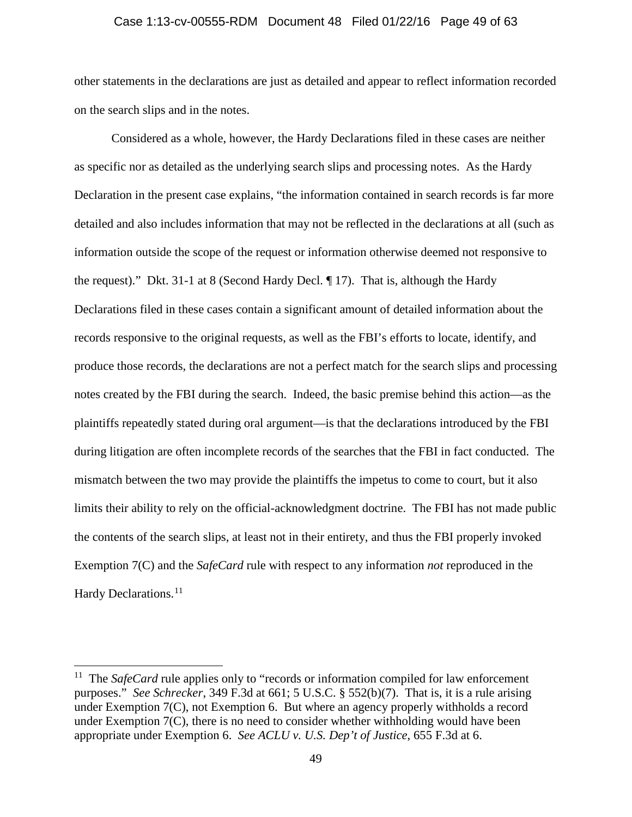#### Case 1:13-cv-00555-RDM Document 48 Filed 01/22/16 Page 49 of 63

other statements in the declarations are just as detailed and appear to reflect information recorded on the search slips and in the notes.

Considered as a whole, however, the Hardy Declarations filed in these cases are neither as specific nor as detailed as the underlying search slips and processing notes. As the Hardy Declaration in the present case explains, "the information contained in search records is far more detailed and also includes information that may not be reflected in the declarations at all (such as information outside the scope of the request or information otherwise deemed not responsive to the request)." Dkt. 31-1 at 8 (Second Hardy Decl. ¶ 17). That is, although the Hardy Declarations filed in these cases contain a significant amount of detailed information about the records responsive to the original requests, as well as the FBI's efforts to locate, identify, and produce those records, the declarations are not a perfect match for the search slips and processing notes created by the FBI during the search. Indeed, the basic premise behind this action—as the plaintiffs repeatedly stated during oral argument—is that the declarations introduced by the FBI during litigation are often incomplete records of the searches that the FBI in fact conducted. The mismatch between the two may provide the plaintiffs the impetus to come to court, but it also limits their ability to rely on the official-acknowledgment doctrine. The FBI has not made public the contents of the search slips, at least not in their entirety, and thus the FBI properly invoked Exemption 7(C) and the *SafeCard* rule with respect to any information *not* reproduced in the Hardy Declarations.<sup>[11](#page-48-0)</sup>

 $\overline{\phantom{a}}$ 

<span id="page-48-0"></span><sup>&</sup>lt;sup>11</sup> The *SafeCard* rule applies only to "records or information compiled for law enforcement purposes." *See Schrecker*, 349 F.3d at 661; 5 U.S.C. § 552(b)(7). That is, it is a rule arising under Exemption 7(C), not Exemption 6. But where an agency properly withholds a record under Exemption 7(C), there is no need to consider whether withholding would have been appropriate under Exemption 6. *See ACLU v. U.S. Dep't of Justice*, 655 F.3d at 6.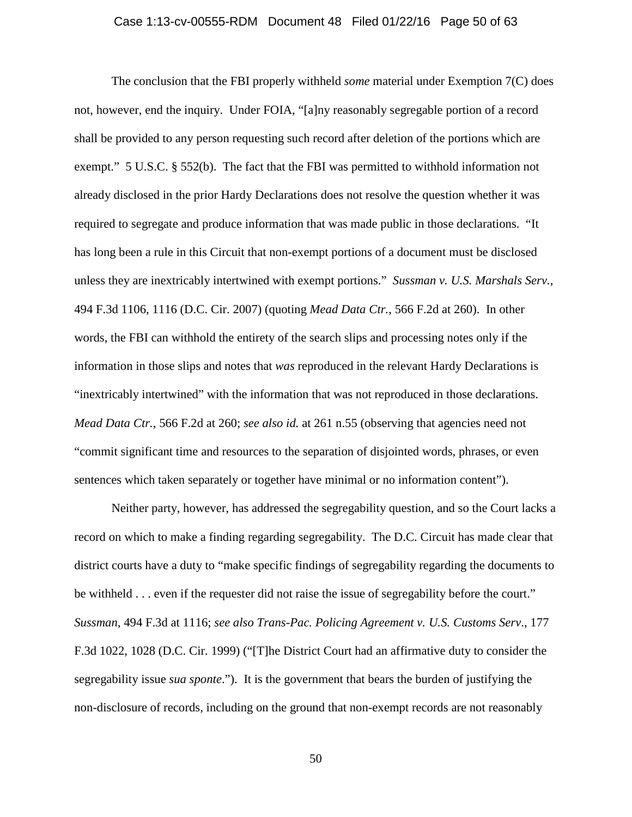## Case 1:13-cv-00555-RDM Document 48 Filed 01/22/16 Page 50 of 63

The conclusion that the FBI properly withheld *some* material under Exemption 7(C) does not, however, end the inquiry. Under FOIA, "[a]ny reasonably segregable portion of a record shall be provided to any person requesting such record after deletion of the portions which are exempt." 5 U.S.C. § 552(b). The fact that the FBI was permitted to withhold information not already disclosed in the prior Hardy Declarations does not resolve the question whether it was required to segregate and produce information that was made public in those declarations. "It has long been a rule in this Circuit that non-exempt portions of a document must be disclosed unless they are inextricably intertwined with exempt portions." *Sussman v. U.S. Marshals Serv.*, 494 F.3d 1106, 1116 (D.C. Cir. 2007) (quoting *Mead Data Ctr.*, 566 F.2d at 260). In other words, the FBI can withhold the entirety of the search slips and processing notes only if the information in those slips and notes that *was* reproduced in the relevant Hardy Declarations is "inextricably intertwined" with the information that was not reproduced in those declarations. *Mead Data Ctr.*, 566 F.2d at 260; *see also id.* at 261 n.55 (observing that agencies need not "commit significant time and resources to the separation of disjointed words, phrases, or even sentences which taken separately or together have minimal or no information content").

Neither party, however, has addressed the segregability question, and so the Court lacks a record on which to make a finding regarding segregability. The D.C. Circuit has made clear that district courts have a duty to "make specific findings of segregability regarding the documents to be withheld . . . even if the requester did not raise the issue of segregability before the court." *Sussman*, 494 F.3d at 1116; *see also Trans-Pac. Policing Agreement v. U.S. Customs Serv*., 177 F.3d 1022, 1028 (D.C. Cir. 1999) ("[T]he District Court had an affirmative duty to consider the segregability issue *sua sponte*."). It is the government that bears the burden of justifying the non-disclosure of records, including on the ground that non-exempt records are not reasonably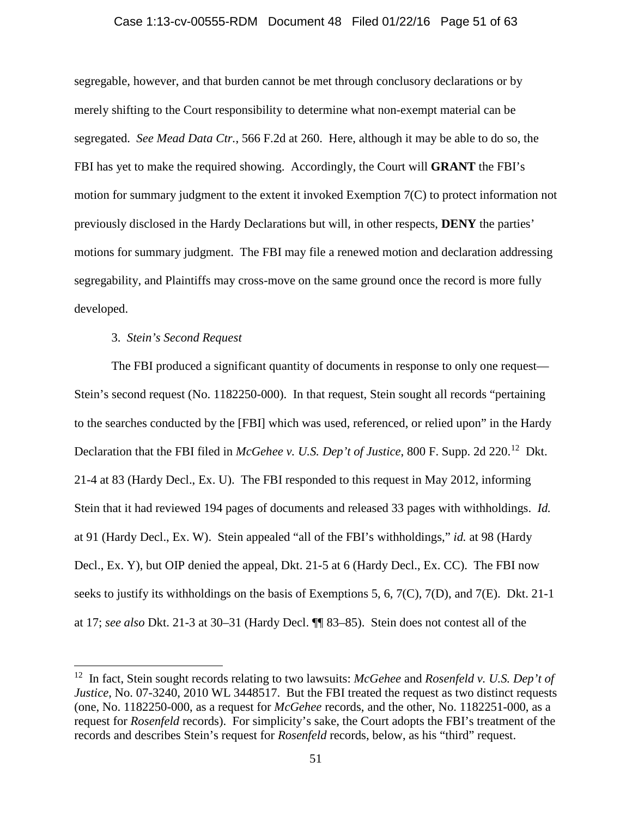#### Case 1:13-cv-00555-RDM Document 48 Filed 01/22/16 Page 51 of 63

segregable, however, and that burden cannot be met through conclusory declarations or by merely shifting to the Court responsibility to determine what non-exempt material can be segregated. *See Mead Data Ctr.*, 566 F.2d at 260. Here, although it may be able to do so, the FBI has yet to make the required showing. Accordingly, the Court will **GRANT** the FBI's motion for summary judgment to the extent it invoked Exemption 7(C) to protect information not previously disclosed in the Hardy Declarations but will, in other respects, **DENY** the parties' motions for summary judgment. The FBI may file a renewed motion and declaration addressing segregability, and Plaintiffs may cross-move on the same ground once the record is more fully developed.

# 3. *Stein's Second Request*

 $\overline{\phantom{a}}$ 

The FBI produced a significant quantity of documents in response to only one request— Stein's second request (No. 1182250-000). In that request, Stein sought all records "pertaining to the searches conducted by the [FBI] which was used, referenced, or relied upon" in the Hardy Declaration that the FBI filed in *McGehee v. U.S. Dep't of Justice*, 800 F. Supp. 2d 220.[12](#page-50-0) Dkt. 21-4 at 83 (Hardy Decl., Ex. U). The FBI responded to this request in May 2012, informing Stein that it had reviewed 194 pages of documents and released 33 pages with withholdings. *Id.* at 91 (Hardy Decl., Ex. W). Stein appealed "all of the FBI's withholdings," *id.* at 98 (Hardy Decl., Ex. Y), but OIP denied the appeal, Dkt. 21-5 at 6 (Hardy Decl., Ex. CC). The FBI now seeks to justify its withholdings on the basis of Exemptions 5, 6, 7(C), 7(D), and 7(E). Dkt. 21-1 at 17; *see also* Dkt. 21-3 at 30–31 (Hardy Decl. ¶¶ 83–85). Stein does not contest all of the

<span id="page-50-0"></span><sup>12</sup> In fact, Stein sought records relating to two lawsuits: *McGehee* and *Rosenfeld v. U.S. Dep't of Justice*, No. 07-3240, 2010 WL 3448517. But the FBI treated the request as two distinct requests (one, No. 1182250-000, as a request for *McGehee* records, and the other, No. 1182251-000, as a request for *Rosenfeld* records). For simplicity's sake, the Court adopts the FBI's treatment of the records and describes Stein's request for *Rosenfeld* records, below, as his "third" request.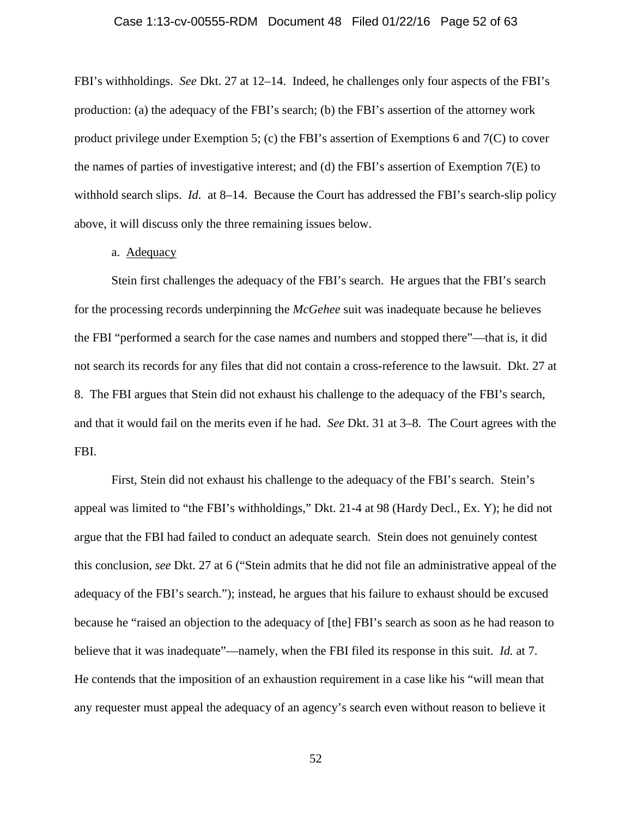FBI's withholdings. *See* Dkt. 27 at 12–14. Indeed, he challenges only four aspects of the FBI's production: (a) the adequacy of the FBI's search; (b) the FBI's assertion of the attorney work product privilege under Exemption 5; (c) the FBI's assertion of Exemptions 6 and 7(C) to cover the names of parties of investigative interest; and (d) the FBI's assertion of Exemption 7(E) to withhold search slips. *Id.* at 8–14. Because the Court has addressed the FBI's search-slip policy above, it will discuss only the three remaining issues below.

## a. Adequacy

Stein first challenges the adequacy of the FBI's search. He argues that the FBI's search for the processing records underpinning the *McGehee* suit was inadequate because he believes the FBI "performed a search for the case names and numbers and stopped there"—that is, it did not search its records for any files that did not contain a cross-reference to the lawsuit. Dkt. 27 at 8. The FBI argues that Stein did not exhaust his challenge to the adequacy of the FBI's search, and that it would fail on the merits even if he had. *See* Dkt. 31 at 3–8. The Court agrees with the FBI.

First, Stein did not exhaust his challenge to the adequacy of the FBI's search. Stein's appeal was limited to "the FBI's withholdings," Dkt. 21-4 at 98 (Hardy Decl., Ex. Y); he did not argue that the FBI had failed to conduct an adequate search. Stein does not genuinely contest this conclusion, *see* Dkt. 27 at 6 ("Stein admits that he did not file an administrative appeal of the adequacy of the FBI's search."); instead, he argues that his failure to exhaust should be excused because he "raised an objection to the adequacy of [the] FBI's search as soon as he had reason to believe that it was inadequate"—namely, when the FBI filed its response in this suit. *Id.* at 7. He contends that the imposition of an exhaustion requirement in a case like his "will mean that any requester must appeal the adequacy of an agency's search even without reason to believe it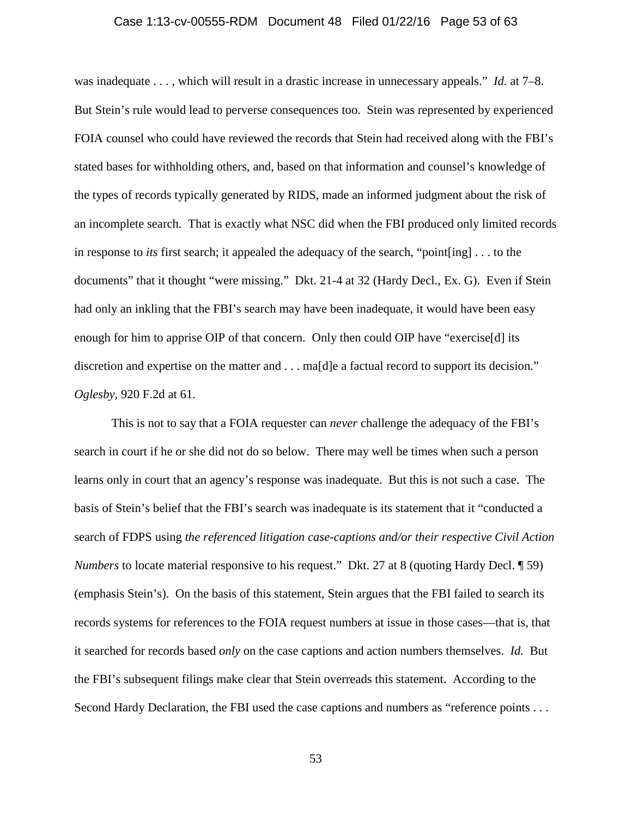## Case 1:13-cv-00555-RDM Document 48 Filed 01/22/16 Page 53 of 63

was inadequate . . . , which will result in a drastic increase in unnecessary appeals." *Id.* at 7–8. But Stein's rule would lead to perverse consequences too. Stein was represented by experienced FOIA counsel who could have reviewed the records that Stein had received along with the FBI's stated bases for withholding others, and, based on that information and counsel's knowledge of the types of records typically generated by RIDS, made an informed judgment about the risk of an incomplete search. That is exactly what NSC did when the FBI produced only limited records in response to *its* first search; it appealed the adequacy of the search, "point[ing] . . . to the documents" that it thought "were missing." Dkt. 21-4 at 32 (Hardy Decl., Ex. G). Even if Stein had only an inkling that the FBI's search may have been inadequate, it would have been easy enough for him to apprise OIP of that concern. Only then could OIP have "exercise[d] its discretion and expertise on the matter and . . . ma[d]e a factual record to support its decision." *Oglesby*, 920 F.2d at 61.

This is not to say that a FOIA requester can *never* challenge the adequacy of the FBI's search in court if he or she did not do so below. There may well be times when such a person learns only in court that an agency's response was inadequate. But this is not such a case. The basis of Stein's belief that the FBI's search was inadequate is its statement that it "conducted a search of FDPS using *the referenced litigation case-captions and/or their respective Civil Action Numbers* to locate material responsive to his request." Dkt. 27 at 8 (quoting Hardy Decl. 159) (emphasis Stein's). On the basis of this statement, Stein argues that the FBI failed to search its records systems for references to the FOIA request numbers at issue in those cases—that is, that it searched for records based *only* on the case captions and action numbers themselves. *Id.* But the FBI's subsequent filings make clear that Stein overreads this statement. According to the Second Hardy Declaration, the FBI used the case captions and numbers as "reference points . . .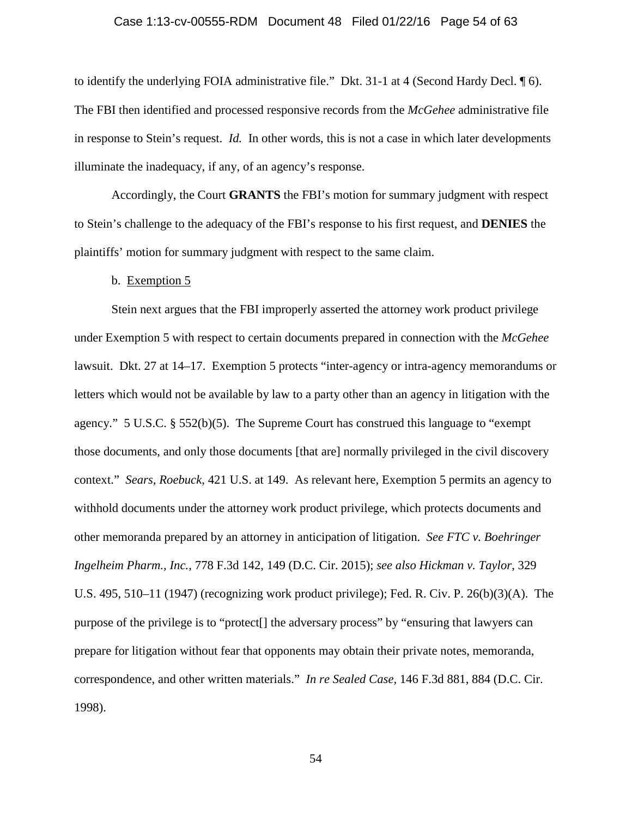## Case 1:13-cv-00555-RDM Document 48 Filed 01/22/16 Page 54 of 63

to identify the underlying FOIA administrative file." Dkt. 31-1 at 4 (Second Hardy Decl. ¶ 6). The FBI then identified and processed responsive records from the *McGehee* administrative file in response to Stein's request. *Id.* In other words, this is not a case in which later developments illuminate the inadequacy, if any, of an agency's response.

Accordingly, the Court **GRANTS** the FBI's motion for summary judgment with respect to Stein's challenge to the adequacy of the FBI's response to his first request, and **DENIES** the plaintiffs' motion for summary judgment with respect to the same claim.

## b. Exemption 5

Stein next argues that the FBI improperly asserted the attorney work product privilege under Exemption 5 with respect to certain documents prepared in connection with the *McGehee* lawsuit. Dkt. 27 at 14–17. Exemption 5 protects "inter-agency or intra-agency memorandums or letters which would not be available by law to a party other than an agency in litigation with the agency." 5 U.S.C. § 552(b)(5). The Supreme Court has construed this language to "exempt those documents, and only those documents [that are] normally privileged in the civil discovery context." *Sears, Roebuck*, 421 U.S. at 149. As relevant here, Exemption 5 permits an agency to withhold documents under the attorney work product privilege, which protects documents and other memoranda prepared by an attorney in anticipation of litigation. *See FTC v. Boehringer Ingelheim Pharm., Inc.*, 778 F.3d 142, 149 (D.C. Cir. 2015); *see also Hickman v. Taylor*, 329 U.S. 495, 510–11 (1947) (recognizing work product privilege); Fed. R. Civ. P. 26(b)(3)(A). The purpose of the privilege is to "protect[] the adversary process" by "ensuring that lawyers can prepare for litigation without fear that opponents may obtain their private notes, memoranda, correspondence, and other written materials." *In re Sealed Case*, 146 F.3d 881, 884 (D.C. Cir. 1998).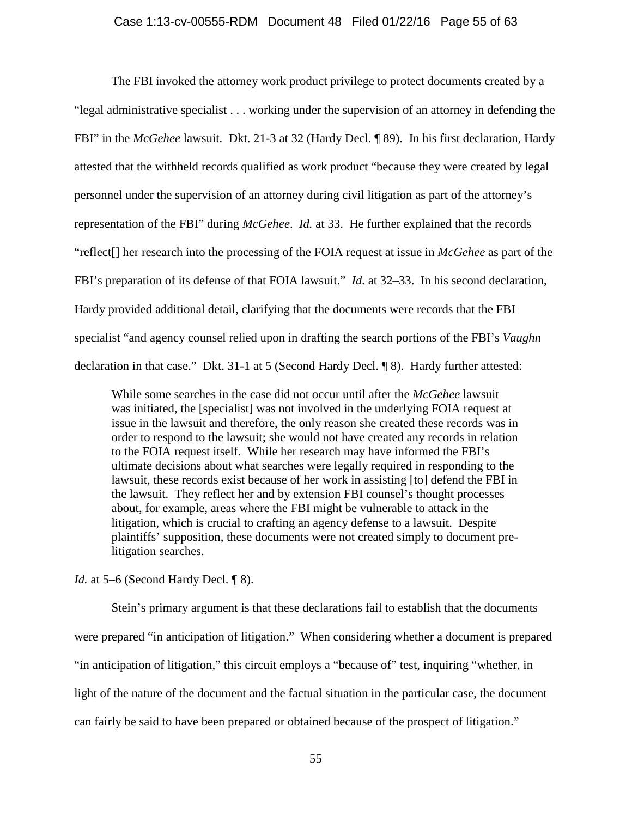#### Case 1:13-cv-00555-RDM Document 48 Filed 01/22/16 Page 55 of 63

The FBI invoked the attorney work product privilege to protect documents created by a "legal administrative specialist . . . working under the supervision of an attorney in defending the FBI" in the *McGehee* lawsuit. Dkt. 21-3 at 32 (Hardy Decl. ¶ 89). In his first declaration, Hardy attested that the withheld records qualified as work product "because they were created by legal personnel under the supervision of an attorney during civil litigation as part of the attorney's representation of the FBI" during *McGehee*. *Id.* at 33. He further explained that the records "reflect[] her research into the processing of the FOIA request at issue in *McGehee* as part of the FBI's preparation of its defense of that FOIA lawsuit." *Id.* at 32–33. In his second declaration, Hardy provided additional detail, clarifying that the documents were records that the FBI specialist "and agency counsel relied upon in drafting the search portions of the FBI's *Vaughn* declaration in that case." Dkt. 31-1 at 5 (Second Hardy Decl. ¶ 8). Hardy further attested:

While some searches in the case did not occur until after the *McGehee* lawsuit was initiated, the [specialist] was not involved in the underlying FOIA request at issue in the lawsuit and therefore, the only reason she created these records was in order to respond to the lawsuit; she would not have created any records in relation to the FOIA request itself. While her research may have informed the FBI's ultimate decisions about what searches were legally required in responding to the lawsuit, these records exist because of her work in assisting [to] defend the FBI in the lawsuit. They reflect her and by extension FBI counsel's thought processes about, for example, areas where the FBI might be vulnerable to attack in the litigation, which is crucial to crafting an agency defense to a lawsuit. Despite plaintiffs' supposition, these documents were not created simply to document prelitigation searches.

*Id.* at 5–6 (Second Hardy Decl. ¶ 8).

Stein's primary argument is that these declarations fail to establish that the documents were prepared "in anticipation of litigation." When considering whether a document is prepared "in anticipation of litigation," this circuit employs a "because of" test, inquiring "whether, in light of the nature of the document and the factual situation in the particular case, the document can fairly be said to have been prepared or obtained because of the prospect of litigation."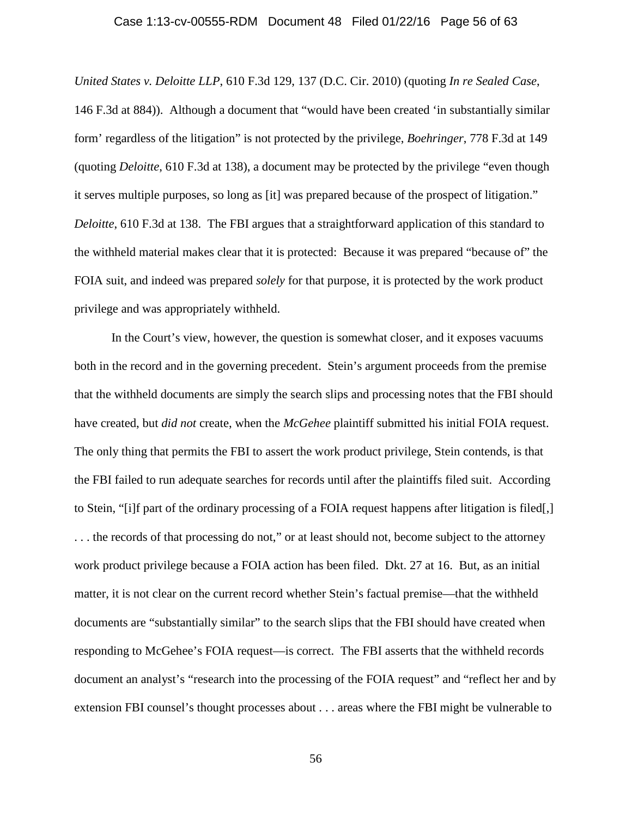### Case 1:13-cv-00555-RDM Document 48 Filed 01/22/16 Page 56 of 63

*United States v. Deloitte LLP*, 610 F.3d 129, 137 (D.C. Cir. 2010) (quoting *In re Sealed Case*, 146 F.3d at 884)). Although a document that "would have been created 'in substantially similar form' regardless of the litigation" is not protected by the privilege, *Boehringer*, 778 F.3d at 149 (quoting *Deloitte*, 610 F.3d at 138), a document may be protected by the privilege "even though it serves multiple purposes, so long as [it] was prepared because of the prospect of litigation." *Deloitte*, 610 F.3d at 138. The FBI argues that a straightforward application of this standard to the withheld material makes clear that it is protected: Because it was prepared "because of" the FOIA suit, and indeed was prepared *solely* for that purpose, it is protected by the work product privilege and was appropriately withheld.

In the Court's view, however, the question is somewhat closer, and it exposes vacuums both in the record and in the governing precedent. Stein's argument proceeds from the premise that the withheld documents are simply the search slips and processing notes that the FBI should have created, but *did not* create, when the *McGehee* plaintiff submitted his initial FOIA request. The only thing that permits the FBI to assert the work product privilege, Stein contends, is that the FBI failed to run adequate searches for records until after the plaintiffs filed suit. According to Stein, "[i]f part of the ordinary processing of a FOIA request happens after litigation is filed[,] . . . the records of that processing do not," or at least should not, become subject to the attorney work product privilege because a FOIA action has been filed. Dkt. 27 at 16. But, as an initial matter, it is not clear on the current record whether Stein's factual premise—that the withheld documents are "substantially similar" to the search slips that the FBI should have created when responding to McGehee's FOIA request—is correct. The FBI asserts that the withheld records document an analyst's "research into the processing of the FOIA request" and "reflect her and by extension FBI counsel's thought processes about . . . areas where the FBI might be vulnerable to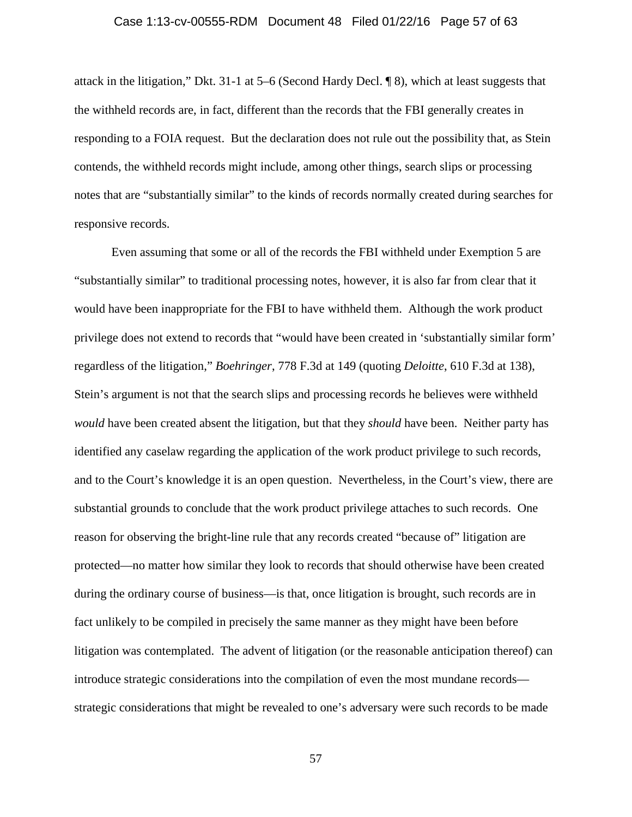# Case 1:13-cv-00555-RDM Document 48 Filed 01/22/16 Page 57 of 63

attack in the litigation," Dkt. 31-1 at 5–6 (Second Hardy Decl. ¶ 8), which at least suggests that the withheld records are, in fact, different than the records that the FBI generally creates in responding to a FOIA request. But the declaration does not rule out the possibility that, as Stein contends, the withheld records might include, among other things, search slips or processing notes that are "substantially similar" to the kinds of records normally created during searches for responsive records.

Even assuming that some or all of the records the FBI withheld under Exemption 5 are "substantially similar" to traditional processing notes, however, it is also far from clear that it would have been inappropriate for the FBI to have withheld them. Although the work product privilege does not extend to records that "would have been created in 'substantially similar form' regardless of the litigation," *Boehringer*, 778 F.3d at 149 (quoting *Deloitte*, 610 F.3d at 138), Stein's argument is not that the search slips and processing records he believes were withheld *would* have been created absent the litigation, but that they *should* have been. Neither party has identified any caselaw regarding the application of the work product privilege to such records, and to the Court's knowledge it is an open question. Nevertheless, in the Court's view, there are substantial grounds to conclude that the work product privilege attaches to such records. One reason for observing the bright-line rule that any records created "because of" litigation are protected—no matter how similar they look to records that should otherwise have been created during the ordinary course of business—is that, once litigation is brought, such records are in fact unlikely to be compiled in precisely the same manner as they might have been before litigation was contemplated. The advent of litigation (or the reasonable anticipation thereof) can introduce strategic considerations into the compilation of even the most mundane records strategic considerations that might be revealed to one's adversary were such records to be made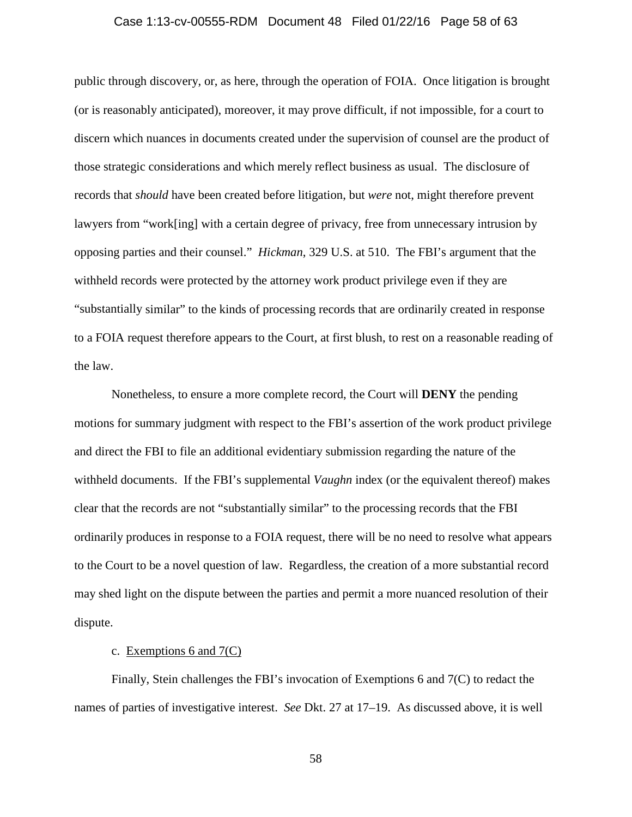#### Case 1:13-cv-00555-RDM Document 48 Filed 01/22/16 Page 58 of 63

public through discovery, or, as here, through the operation of FOIA. Once litigation is brought (or is reasonably anticipated), moreover, it may prove difficult, if not impossible, for a court to discern which nuances in documents created under the supervision of counsel are the product of those strategic considerations and which merely reflect business as usual. The disclosure of records that *should* have been created before litigation, but *were* not, might therefore prevent lawyers from "work[ing] with a certain degree of privacy, free from unnecessary intrusion by opposing parties and their counsel." *Hickman*, 329 U.S. at 510. The FBI's argument that the withheld records were protected by the attorney work product privilege even if they are "substantially similar" to the kinds of processing records that are ordinarily created in response to a FOIA request therefore appears to the Court, at first blush, to rest on a reasonable reading of the law.

Nonetheless, to ensure a more complete record, the Court will **DENY** the pending motions for summary judgment with respect to the FBI's assertion of the work product privilege and direct the FBI to file an additional evidentiary submission regarding the nature of the withheld documents. If the FBI's supplemental *Vaughn* index (or the equivalent thereof) makes clear that the records are not "substantially similar" to the processing records that the FBI ordinarily produces in response to a FOIA request, there will be no need to resolve what appears to the Court to be a novel question of law. Regardless, the creation of a more substantial record may shed light on the dispute between the parties and permit a more nuanced resolution of their dispute.

## c. Exemptions 6 and 7(C)

Finally, Stein challenges the FBI's invocation of Exemptions 6 and 7(C) to redact the names of parties of investigative interest. *See* Dkt. 27 at 17–19. As discussed above, it is well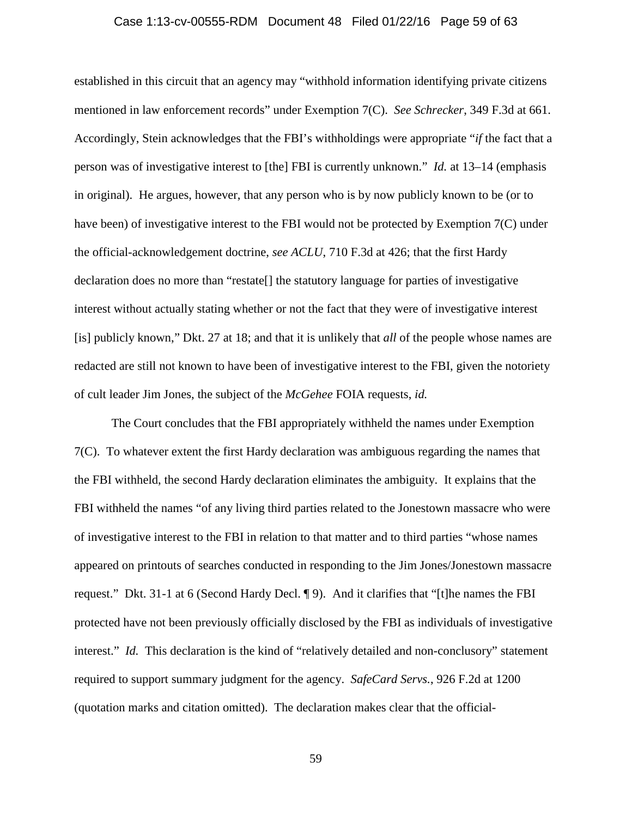## Case 1:13-cv-00555-RDM Document 48 Filed 01/22/16 Page 59 of 63

established in this circuit that an agency may "withhold information identifying private citizens mentioned in law enforcement records" under Exemption 7(C). *See Schrecker*, 349 F.3d at 661. Accordingly, Stein acknowledges that the FBI's withholdings were appropriate "*if* the fact that a person was of investigative interest to [the] FBI is currently unknown." *Id.* at 13–14 (emphasis in original). He argues, however, that any person who is by now publicly known to be (or to have been) of investigative interest to the FBI would not be protected by Exemption 7(C) under the official-acknowledgement doctrine, *see ACLU*, 710 F.3d at 426; that the first Hardy declaration does no more than "restate[] the statutory language for parties of investigative interest without actually stating whether or not the fact that they were of investigative interest [is] publicly known," Dkt. 27 at 18; and that it is unlikely that *all* of the people whose names are redacted are still not known to have been of investigative interest to the FBI, given the notoriety of cult leader Jim Jones, the subject of the *McGehee* FOIA requests, *id.* 

The Court concludes that the FBI appropriately withheld the names under Exemption 7(C). To whatever extent the first Hardy declaration was ambiguous regarding the names that the FBI withheld, the second Hardy declaration eliminates the ambiguity. It explains that the FBI withheld the names "of any living third parties related to the Jonestown massacre who were of investigative interest to the FBI in relation to that matter and to third parties "whose names appeared on printouts of searches conducted in responding to the Jim Jones/Jonestown massacre request." Dkt. 31-1 at 6 (Second Hardy Decl. ¶ 9). And it clarifies that "[t]he names the FBI protected have not been previously officially disclosed by the FBI as individuals of investigative interest." *Id.* This declaration is the kind of "relatively detailed and non-conclusory" statement required to support summary judgment for the agency. *SafeCard Servs.*, 926 F.2d at 1200 (quotation marks and citation omitted). The declaration makes clear that the official-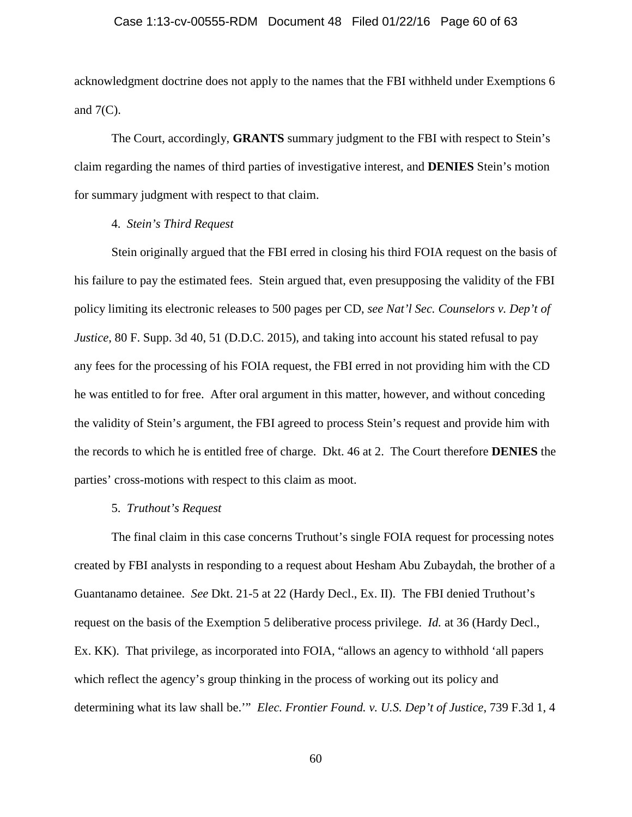#### Case 1:13-cv-00555-RDM Document 48 Filed 01/22/16 Page 60 of 63

acknowledgment doctrine does not apply to the names that the FBI withheld under Exemptions 6 and  $7(C)$ .

The Court, accordingly, **GRANTS** summary judgment to the FBI with respect to Stein's claim regarding the names of third parties of investigative interest, and **DENIES** Stein's motion for summary judgment with respect to that claim.

### 4. *Stein's Third Request*

Stein originally argued that the FBI erred in closing his third FOIA request on the basis of his failure to pay the estimated fees. Stein argued that, even presupposing the validity of the FBI policy limiting its electronic releases to 500 pages per CD, *see Nat'l Sec. Counselors v. Dep't of Justice*, 80 F. Supp. 3d 40, 51 (D.D.C. 2015), and taking into account his stated refusal to pay any fees for the processing of his FOIA request, the FBI erred in not providing him with the CD he was entitled to for free. After oral argument in this matter, however, and without conceding the validity of Stein's argument, the FBI agreed to process Stein's request and provide him with the records to which he is entitled free of charge. Dkt. 46 at 2. The Court therefore **DENIES** the parties' cross-motions with respect to this claim as moot.

### 5. *Truthout's Request*

The final claim in this case concerns Truthout's single FOIA request for processing notes created by FBI analysts in responding to a request about Hesham Abu Zubaydah, the brother of a Guantanamo detainee. *See* Dkt. 21-5 at 22 (Hardy Decl., Ex. II). The FBI denied Truthout's request on the basis of the Exemption 5 deliberative process privilege. *Id.* at 36 (Hardy Decl., Ex. KK). That privilege, as incorporated into FOIA, "allows an agency to withhold 'all papers which reflect the agency's group thinking in the process of working out its policy and determining what its law shall be.'" *Elec. Frontier Found. v. U.S. Dep't of Justice*, 739 F.3d 1, 4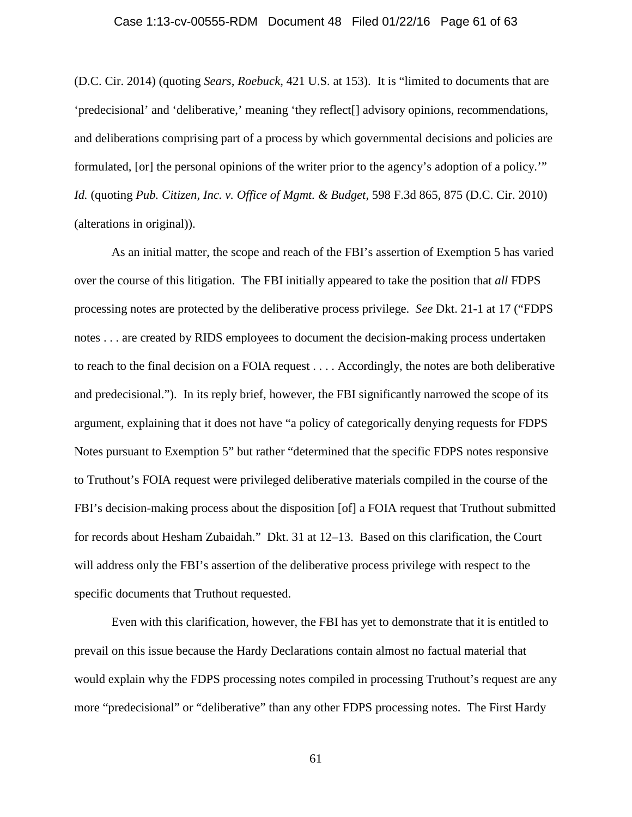# Case 1:13-cv-00555-RDM Document 48 Filed 01/22/16 Page 61 of 63

(D.C. Cir. 2014) (quoting *Sears, Roebuck*, 421 U.S. at 153). It is "limited to documents that are 'predecisional' and 'deliberative,' meaning 'they reflect[] advisory opinions, recommendations, and deliberations comprising part of a process by which governmental decisions and policies are formulated, [or] the personal opinions of the writer prior to the agency's adoption of a policy.'" *Id.* (quoting *Pub. Citizen, Inc. v. Office of Mgmt. & Budget*, 598 F.3d 865, 875 (D.C. Cir. 2010) (alterations in original)).

As an initial matter, the scope and reach of the FBI's assertion of Exemption 5 has varied over the course of this litigation. The FBI initially appeared to take the position that *all* FDPS processing notes are protected by the deliberative process privilege. *See* Dkt. 21-1 at 17 ("FDPS notes . . . are created by RIDS employees to document the decision-making process undertaken to reach to the final decision on a FOIA request . . . . Accordingly, the notes are both deliberative and predecisional."). In its reply brief, however, the FBI significantly narrowed the scope of its argument, explaining that it does not have "a policy of categorically denying requests for FDPS Notes pursuant to Exemption 5" but rather "determined that the specific FDPS notes responsive to Truthout's FOIA request were privileged deliberative materials compiled in the course of the FBI's decision-making process about the disposition [of] a FOIA request that Truthout submitted for records about Hesham Zubaidah." Dkt. 31 at 12–13. Based on this clarification, the Court will address only the FBI's assertion of the deliberative process privilege with respect to the specific documents that Truthout requested.

Even with this clarification, however, the FBI has yet to demonstrate that it is entitled to prevail on this issue because the Hardy Declarations contain almost no factual material that would explain why the FDPS processing notes compiled in processing Truthout's request are any more "predecisional" or "deliberative" than any other FDPS processing notes. The First Hardy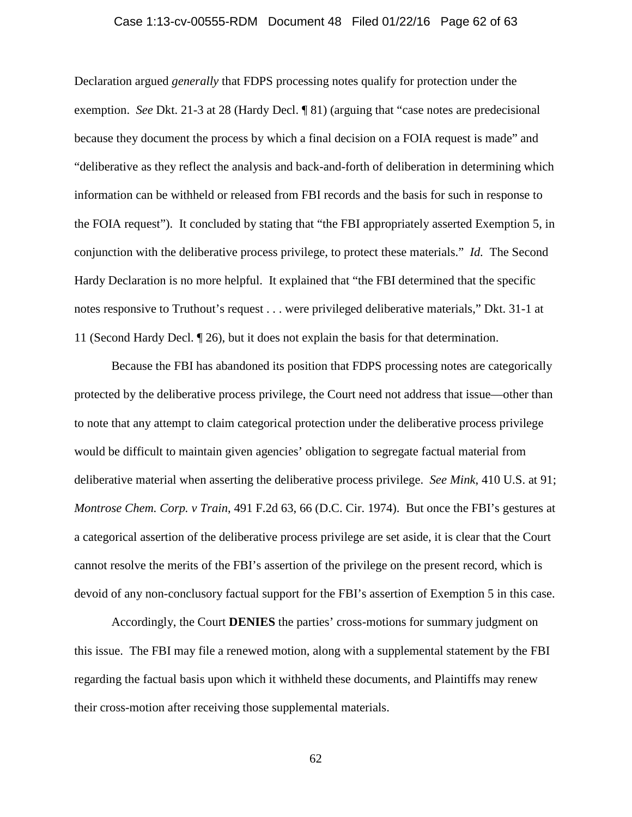## Case 1:13-cv-00555-RDM Document 48 Filed 01/22/16 Page 62 of 63

Declaration argued *generally* that FDPS processing notes qualify for protection under the exemption. *See* Dkt. 21-3 at 28 (Hardy Decl. ¶ 81) (arguing that "case notes are predecisional because they document the process by which a final decision on a FOIA request is made" and "deliberative as they reflect the analysis and back-and-forth of deliberation in determining which information can be withheld or released from FBI records and the basis for such in response to the FOIA request"). It concluded by stating that "the FBI appropriately asserted Exemption 5, in conjunction with the deliberative process privilege, to protect these materials." *Id.* The Second Hardy Declaration is no more helpful. It explained that "the FBI determined that the specific notes responsive to Truthout's request . . . were privileged deliberative materials," Dkt. 31-1 at 11 (Second Hardy Decl. ¶ 26), but it does not explain the basis for that determination.

Because the FBI has abandoned its position that FDPS processing notes are categorically protected by the deliberative process privilege, the Court need not address that issue—other than to note that any attempt to claim categorical protection under the deliberative process privilege would be difficult to maintain given agencies' obligation to segregate factual material from deliberative material when asserting the deliberative process privilege. *See Mink*, 410 U.S. at 91; *Montrose Chem. Corp. v Train*, 491 F.2d 63, 66 (D.C. Cir. 1974). But once the FBI's gestures at a categorical assertion of the deliberative process privilege are set aside, it is clear that the Court cannot resolve the merits of the FBI's assertion of the privilege on the present record, which is devoid of any non-conclusory factual support for the FBI's assertion of Exemption 5 in this case.

Accordingly, the Court **DENIES** the parties' cross-motions for summary judgment on this issue. The FBI may file a renewed motion, along with a supplemental statement by the FBI regarding the factual basis upon which it withheld these documents, and Plaintiffs may renew their cross-motion after receiving those supplemental materials.